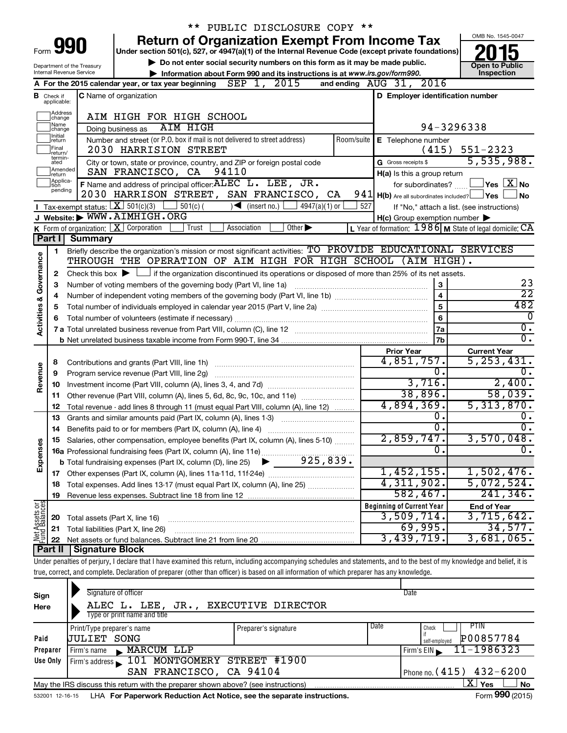|                            |                               |                                | ** PUBLIC DISCLOSURE COPY **                                                                                                                                               |                                                             |                                            |  |  |  |  |  |
|----------------------------|-------------------------------|--------------------------------|----------------------------------------------------------------------------------------------------------------------------------------------------------------------------|-------------------------------------------------------------|--------------------------------------------|--|--|--|--|--|
|                            |                               |                                | <b>Return of Organization Exempt From Income Tax</b>                                                                                                                       |                                                             | OMB No. 1545-0047                          |  |  |  |  |  |
|                            |                               | Form <b>990</b>                | Under section 501(c), 527, or 4947(a)(1) of the Internal Revenue Code (except private foundations)                                                                         |                                                             |                                            |  |  |  |  |  |
| Department of the Treasury | <b>Open to Public</b>         |                                |                                                                                                                                                                            |                                                             |                                            |  |  |  |  |  |
|                            |                               | Internal Revenue Service       | Information about Form 990 and its instructions is at www.irs.gov/form990.                                                                                                 |                                                             | Inspection                                 |  |  |  |  |  |
|                            |                               |                                | SEP 1, 2015<br>A For the 2015 calendar year, or tax year beginning                                                                                                         | and ending AUG 31, 2016                                     |                                            |  |  |  |  |  |
|                            | <b>B</b> Check if applicable: |                                | <b>C</b> Name of organization                                                                                                                                              | D Employer identification number                            |                                            |  |  |  |  |  |
|                            | Address<br>change             |                                | AIM HIGH FOR HIGH SCHOOL                                                                                                                                                   |                                                             |                                            |  |  |  |  |  |
|                            | Name<br>change                |                                | AIM HIGH<br>Doing business as                                                                                                                                              |                                                             | 94-3296338                                 |  |  |  |  |  |
|                            | Initial<br>∣return            |                                | Number and street (or P.O. box if mail is not delivered to street address)<br>Room/suite                                                                                   | E Telephone number                                          |                                            |  |  |  |  |  |
|                            | lFinal<br>return/             |                                | 2030 HARRISION STREET                                                                                                                                                      | (415)                                                       | $551 - 2323$                               |  |  |  |  |  |
|                            | termin-<br>ated               |                                | City or town, state or province, country, and ZIP or foreign postal code                                                                                                   | G Gross receipts \$                                         | 5,535,988.                                 |  |  |  |  |  |
|                            | Amended<br>Ireturn            |                                | 94110<br>SAN FRANCISCO, CA                                                                                                                                                 | H(a) Is this a group return                                 |                                            |  |  |  |  |  |
|                            | Applica-<br>ltion             |                                | F Name and address of principal officer: ALEC L. LEE, JR.                                                                                                                  | for subordinates?                                           | $ Y$ es $ \overline{X} $ No                |  |  |  |  |  |
|                            | pending                       |                                | 2030 HARRISON STREET, SAN FRANCISCO, CA                                                                                                                                    | $941$ H(b) Are all subordinates included? $\Box$ Yes        | l No                                       |  |  |  |  |  |
|                            |                               |                                | Tax-exempt status: $X \ 501(c)(3)$ 501(c)(<br>$\sqrt{\frac{1}{1}}$ (insert no.)<br>$4947(a)(1)$ or                                                                         | 527                                                         | If "No," attach a list. (see instructions) |  |  |  |  |  |
|                            |                               |                                | J Website: WWW.AIMHIGH.ORG                                                                                                                                                 | $H(c)$ Group exemption number $\blacktriangleright$         |                                            |  |  |  |  |  |
|                            |                               |                                | <b>K</b> Form of organization: $\boxed{\mathbf{X}}$ Corporation<br>$\overline{Other}$<br>Trust<br>Association                                                              | L Year of formation: $1986$ M State of legal domicile: $CA$ |                                            |  |  |  |  |  |
|                            | Part I                        | <b>Summary</b>                 |                                                                                                                                                                            |                                                             |                                            |  |  |  |  |  |
|                            | 1                             |                                | Briefly describe the organization's mission or most significant activities: TO PROVIDE EDUCATIONAL SERVICES                                                                |                                                             |                                            |  |  |  |  |  |
| Governance                 |                               |                                | THROUGH THE OPERATION OF AIM HIGH FOR HIGH SCHOOL (AIM HIGH).                                                                                                              |                                                             |                                            |  |  |  |  |  |
|                            | 2                             |                                | Check this box $\blacktriangleright$ $\Box$ if the organization discontinued its operations or disposed of more than 25% of its net assets.                                |                                                             |                                            |  |  |  |  |  |
|                            | 3                             |                                | Number of voting members of the governing body (Part VI, line 1a)                                                                                                          | 3                                                           | 23<br>$\overline{22}$                      |  |  |  |  |  |
|                            | 4                             |                                | $\overline{\mathbf{4}}$                                                                                                                                                    |                                                             |                                            |  |  |  |  |  |
|                            | 5                             |                                |                                                                                                                                                                            |                                                             |                                            |  |  |  |  |  |
| <b>Activities &amp;</b>    | 6                             |                                |                                                                                                                                                                            | 6                                                           | $\overline{0}$                             |  |  |  |  |  |
|                            |                               |                                |                                                                                                                                                                            | <b>7a</b>                                                   | $\overline{0}$ .                           |  |  |  |  |  |
|                            |                               |                                |                                                                                                                                                                            | 7 <sub>b</sub>                                              | $\overline{0}$ .                           |  |  |  |  |  |
|                            |                               |                                |                                                                                                                                                                            | <b>Prior Year</b>                                           | <b>Current Year</b>                        |  |  |  |  |  |
|                            | 8                             |                                |                                                                                                                                                                            | 4,851,757.                                                  | 5, 253, 431.                               |  |  |  |  |  |
| Revenue                    | 9                             |                                | Program service revenue (Part VIII, line 2g)                                                                                                                               | $\overline{0}$ .                                            | $\overline{0}$ .                           |  |  |  |  |  |
|                            | 10                            |                                |                                                                                                                                                                            | 3,716.                                                      | 2,400.                                     |  |  |  |  |  |
|                            | 11                            |                                | Other revenue (Part VIII, column (A), lines 5, 6d, 8c, 9c, 10c, and 11e)                                                                                                   | 38,896.                                                     | 58,039.                                    |  |  |  |  |  |
|                            | 12                            |                                | Total revenue - add lines 8 through 11 (must equal Part VIII, column (A), line 12)                                                                                         | 4,894,369.                                                  | 5,313,870.                                 |  |  |  |  |  |
|                            | 13                            |                                | Grants and similar amounts paid (Part IX, column (A), lines 1-3)                                                                                                           | $\overline{0}$ .                                            | 0.                                         |  |  |  |  |  |
|                            |                               |                                |                                                                                                                                                                            | $\overline{0}$ .                                            | $\overline{0}$ .                           |  |  |  |  |  |
|                            |                               |                                | Salaries, other compensation, employee benefits (Part IX, column (A), lines 5-10)                                                                                          | 2,859,747.                                                  | 3,570,048.                                 |  |  |  |  |  |
|                            |                               |                                |                                                                                                                                                                            | 0.                                                          | σ.                                         |  |  |  |  |  |
| Expenses                   |                               |                                |                                                                                                                                                                            |                                                             |                                            |  |  |  |  |  |
|                            |                               |                                |                                                                                                                                                                            | 1,452,155.<br>4,311,902.                                    | 1,502,476.                                 |  |  |  |  |  |
|                            | 18                            |                                | Total expenses. Add lines 13-17 (must equal Part IX, column (A), line 25)                                                                                                  |                                                             | 5,072,524.<br>241, 346.                    |  |  |  |  |  |
|                            | 19                            |                                |                                                                                                                                                                            | 582,467.                                                    |                                            |  |  |  |  |  |
|                            |                               |                                |                                                                                                                                                                            | <b>Beginning of Current Year</b><br>3,509,714.              | <b>End of Year</b><br>3,715,642.           |  |  |  |  |  |
|                            | 20                            | Total assets (Part X, line 16) |                                                                                                                                                                            | 69,995.                                                     | 34,577.                                    |  |  |  |  |  |
| Net Assets or              | 21                            |                                | Total liabilities (Part X, line 26)                                                                                                                                        | 3,439,719.                                                  | 3,681,065.                                 |  |  |  |  |  |
|                            | 22<br>Part II                 | <b>Signature Block</b>         |                                                                                                                                                                            |                                                             |                                            |  |  |  |  |  |
|                            |                               |                                | Under penalties of perjury, I declare that I have examined this return, including accompanying schedules and statements, and to the best of my knowledge and belief, it is |                                                             |                                            |  |  |  |  |  |
|                            |                               |                                | true, correct, and complete. Declaration of preparer (other than officer) is based on all information of which preparer has any knowledge.                                 |                                                             |                                            |  |  |  |  |  |
|                            |                               |                                |                                                                                                                                                                            |                                                             |                                            |  |  |  |  |  |
|                            |                               |                                |                                                                                                                                                                            |                                                             |                                            |  |  |  |  |  |

| Sign<br>Here | Signature of officer<br>ALEC L. LEE, JR., EXECUTIVE DIRECTOR<br>Type or print name and title |                              | Date                                        |
|--------------|----------------------------------------------------------------------------------------------|------------------------------|---------------------------------------------|
| Paid         | Print/Type preparer's name<br><b>JULIET SONG</b>                                             | Date<br>Preparer's signature | PTIN<br>Check<br>P00857784<br>self-employed |
| Preparer     | MARCUM LLP<br>Firm's name                                                                    |                              | 11-1986323<br>Firm's EIN                    |
| Use Only     | Firm's address 101 MONTGOMERY STREET #1900                                                   |                              |                                             |
|              | SAN FRANCISCO, CA 94104                                                                      |                              | Phone no. $(415)$ $432 - 6200$              |
|              | May the IRS discuss this return with the preparer shown above? (see instructions)            |                              | $\mathbf{X}$ Yes<br><b>No</b>               |
|              |                                                                                              |                              | ---                                         |

532001 12-16-15 **For Paperwork Reduction Act Notice, see the separate instructions.** LHA Form (2015)

**990**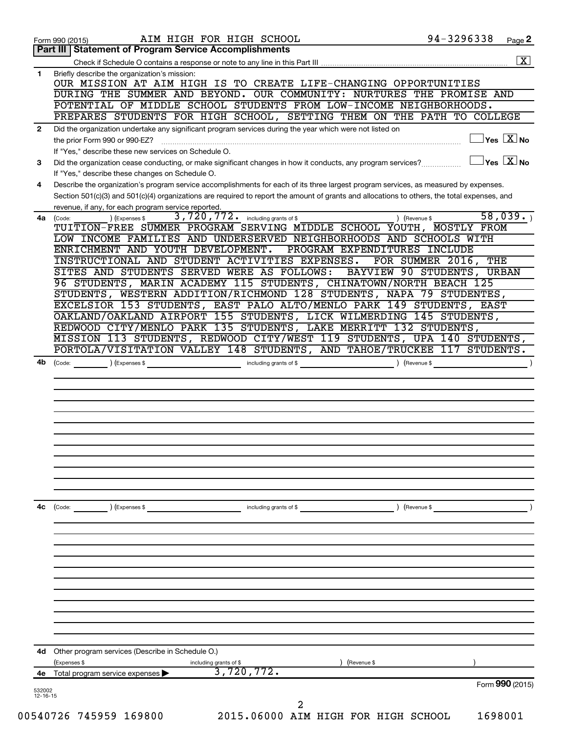|                | AIM HIGH FOR HIGH SCHOOL<br>Form 990 (2015)                                                                                                                                                                                                                     | 94-3296338                 | Page 2                                           |
|----------------|-----------------------------------------------------------------------------------------------------------------------------------------------------------------------------------------------------------------------------------------------------------------|----------------------------|--------------------------------------------------|
|                | Part III   Statement of Program Service Accomplishments                                                                                                                                                                                                         |                            |                                                  |
|                |                                                                                                                                                                                                                                                                 |                            | $\boxed{\textbf{X}}$                             |
| 1              | Briefly describe the organization's mission:<br>OUR MISSION AT AIM HIGH IS TO CREATE LIFE-CHANGING OPPORTUNITIES<br>DURING THE SUMMER AND BEYOND. OUR COMMUNITY: NURTURES THE PROMISE AND<br>POTENTIAL OF MIDDLE SCHOOL STUDENTS FROM LOW-INCOME NEIGHBORHOODS. |                            |                                                  |
|                | PREPARES STUDENTS FOR HIGH SCHOOL, SETTING THEM ON THE PATH TO COLLEGE                                                                                                                                                                                          |                            |                                                  |
| $\mathbf{2}$   | Did the organization undertake any significant program services during the year which were not listed on                                                                                                                                                        |                            |                                                  |
|                | the prior Form 990 or 990-EZ?<br>If "Yes," describe these new services on Schedule O.                                                                                                                                                                           |                            | $\overline{\ }$ Yes $\overline{\phantom{a}X}$ No |
| 3              | Did the organization cease conducting, or make significant changes in how it conducts, any program services?                                                                                                                                                    |                            | $\overline{\ }$ Yes $\overline{\phantom{a}X}$ No |
|                | If "Yes," describe these changes on Schedule O.                                                                                                                                                                                                                 |                            |                                                  |
| 4              | Describe the organization's program service accomplishments for each of its three largest program services, as measured by expenses.                                                                                                                            |                            |                                                  |
|                | Section 501(c)(3) and 501(c)(4) organizations are required to report the amount of grants and allocations to others, the total expenses, and                                                                                                                    |                            |                                                  |
|                | revenue, if any, for each program service reported.<br>3,720,772. including grants of \$                                                                                                                                                                        |                            | 58,039.                                          |
|                | 4a (Code:<br>(Expenses \$<br>TUITION-FREE SUMMER PROGRAM SERVING MIDDLE SCHOOL YOUTH, MOSTLY FROM                                                                                                                                                               | ) (Revenue \$              |                                                  |
|                | LOW INCOME FAMILIES AND UNDERSERVED NEIGHBORHOODS AND SCHOOLS WITH                                                                                                                                                                                              |                            |                                                  |
|                | PROGRAM EXPENDITURES INCLUDE<br>ENRICHMENT AND YOUTH DEVELOPMENT.                                                                                                                                                                                               |                            |                                                  |
|                | INSTRUCTIONAL AND STUDENT ACTIVITIES EXPENSES.                                                                                                                                                                                                                  | FOR SUMMER 2016, THE       |                                                  |
|                | SITES AND STUDENTS SERVED WERE AS FOLLOWS:                                                                                                                                                                                                                      | BAYVIEW 90 STUDENTS, URBAN |                                                  |
|                | 96 STUDENTS, MARIN ACADEMY 115 STUDENTS, CHINATOWN/NORTH BEACH 125                                                                                                                                                                                              |                            |                                                  |
|                | STUDENTS, WESTERN ADDITION/RICHMOND 128 STUDENTS, NAPA 79 STUDENTES,                                                                                                                                                                                            |                            |                                                  |
|                | EXCELSIOR 153 STUDENTS, EAST PALO ALTO/MENLO PARK 149 STUDENTS, EAST                                                                                                                                                                                            |                            |                                                  |
|                | OAKLAND/OAKLAND AIRPORT 155 STUDENTS, LICK WILMERDING 145 STUDENTS,                                                                                                                                                                                             |                            |                                                  |
|                | REDWOOD CITY/MENLO PARK 135 STUDENTS, LAKE MERRITT 132 STUDENTS,                                                                                                                                                                                                |                            |                                                  |
|                | MISSION 113 STUDENTS, REDWOOD CITY/WEST 119 STUDENTS, UPA 140 STUDENTS,                                                                                                                                                                                         |                            |                                                  |
|                | PORTOLA/VISITATION VALLEY 148 STUDENTS, AND TAHOE/TRUCKEE 117 STUDENTS.                                                                                                                                                                                         |                            |                                                  |
| 4b             | (Code:<br>(Expenses \$<br>including grants of \$                                                                                                                                                                                                                | (Revenue \$                |                                                  |
|                |                                                                                                                                                                                                                                                                 |                            |                                                  |
|                |                                                                                                                                                                                                                                                                 |                            |                                                  |
|                |                                                                                                                                                                                                                                                                 |                            |                                                  |
|                |                                                                                                                                                                                                                                                                 |                            |                                                  |
|                |                                                                                                                                                                                                                                                                 |                            |                                                  |
|                |                                                                                                                                                                                                                                                                 |                            |                                                  |
|                |                                                                                                                                                                                                                                                                 |                            |                                                  |
|                |                                                                                                                                                                                                                                                                 |                            |                                                  |
|                |                                                                                                                                                                                                                                                                 |                            |                                                  |
|                |                                                                                                                                                                                                                                                                 |                            |                                                  |
|                |                                                                                                                                                                                                                                                                 |                            |                                                  |
|                |                                                                                                                                                                                                                                                                 |                            |                                                  |
|                |                                                                                                                                                                                                                                                                 |                            |                                                  |
| 4с             | including grants of \$<br>(Code:<br>) (Expenses \$                                                                                                                                                                                                              | (Revenue \$                |                                                  |
|                |                                                                                                                                                                                                                                                                 |                            |                                                  |
|                |                                                                                                                                                                                                                                                                 |                            |                                                  |
|                |                                                                                                                                                                                                                                                                 |                            |                                                  |
|                |                                                                                                                                                                                                                                                                 |                            |                                                  |
|                |                                                                                                                                                                                                                                                                 |                            |                                                  |
|                |                                                                                                                                                                                                                                                                 |                            |                                                  |
|                |                                                                                                                                                                                                                                                                 |                            |                                                  |
|                |                                                                                                                                                                                                                                                                 |                            |                                                  |
|                |                                                                                                                                                                                                                                                                 |                            |                                                  |
|                |                                                                                                                                                                                                                                                                 |                            |                                                  |
|                |                                                                                                                                                                                                                                                                 |                            |                                                  |
|                |                                                                                                                                                                                                                                                                 |                            |                                                  |
|                |                                                                                                                                                                                                                                                                 |                            |                                                  |
| 4d             | Other program services (Describe in Schedule O.)                                                                                                                                                                                                                |                            |                                                  |
|                | (Expenses \$<br>including grants of \$<br>(Revenue \$<br>3,720,772.                                                                                                                                                                                             |                            |                                                  |
| 4е             | Total program service expenses                                                                                                                                                                                                                                  |                            |                                                  |
| 532002         |                                                                                                                                                                                                                                                                 |                            | Form 990 (2015)                                  |
| $12 - 16 - 15$ |                                                                                                                                                                                                                                                                 |                            |                                                  |
|                | 2                                                                                                                                                                                                                                                               |                            |                                                  |
|                | 00540726 745959 169800<br>2015.06000 AIM HIGH FOR HIGH SCHOOL                                                                                                                                                                                                   |                            | 1698001                                          |
|                |                                                                                                                                                                                                                                                                 |                            |                                                  |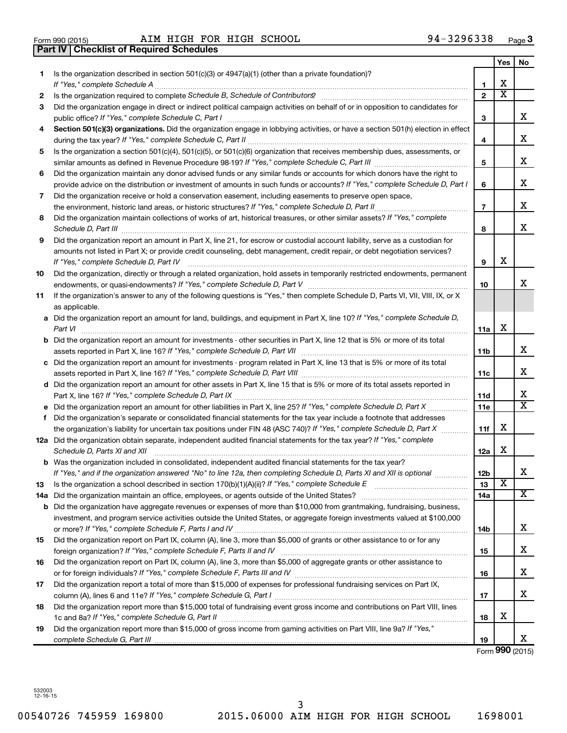| Form 990 (2015) |  |  |
|-----------------|--|--|

**Part IV Checklist of Required Schedules**

Form 990 (2015) Page AIM HIGH FOR HIGH SCHOOL 94-3296338

|    |                                                                                                                                                                 |                 | Yes                   | No |
|----|-----------------------------------------------------------------------------------------------------------------------------------------------------------------|-----------------|-----------------------|----|
| 1  | Is the organization described in section 501(c)(3) or $4947(a)(1)$ (other than a private foundation)?                                                           |                 |                       |    |
|    |                                                                                                                                                                 | 1               | х                     |    |
| 2  | Is the organization required to complete Schedule B, Schedule of Contributors? [11] The organization required to complete Schedule B, Schedule of Contributors? | $\overline{2}$  | $\overline{\text{x}}$ |    |
| 3  | Did the organization engage in direct or indirect political campaign activities on behalf of or in opposition to candidates for                                 | З               |                       | x  |
| 4  | Section 501(c)(3) organizations. Did the organization engage in lobbying activities, or have a section 501(h) election in effect                                | 4               |                       | X  |
| 5  | Is the organization a section 501(c)(4), 501(c)(5), or 501(c)(6) organization that receives membership dues, assessments, or                                    |                 |                       |    |
|    |                                                                                                                                                                 | 5               |                       | x  |
| 6  | Did the organization maintain any donor advised funds or any similar funds or accounts for which donors have the right to                                       |                 |                       |    |
|    | provide advice on the distribution or investment of amounts in such funds or accounts? If "Yes," complete Schedule D, Part I                                    | 6               |                       | х  |
| 7  | Did the organization receive or hold a conservation easement, including easements to preserve open space,                                                       |                 |                       |    |
|    |                                                                                                                                                                 | 7               |                       | x  |
| 8  | Did the organization maintain collections of works of art, historical treasures, or other similar assets? If "Yes," complete                                    | 8               |                       | x  |
| 9  | Did the organization report an amount in Part X, line 21, for escrow or custodial account liability, serve as a custodian for                                   |                 |                       |    |
|    | amounts not listed in Part X; or provide credit counseling, debt management, credit repair, or debt negotiation services?                                       |                 |                       |    |
|    | If "Yes," complete Schedule D, Part IV                                                                                                                          | 9               | х                     |    |
| 10 | Did the organization, directly or through a related organization, hold assets in temporarily restricted endowments, permanent                                   |                 |                       |    |
|    |                                                                                                                                                                 | 10              |                       | x  |
| 11 | If the organization's answer to any of the following questions is "Yes," then complete Schedule D, Parts VI, VII, VIII, IX, or X                                |                 |                       |    |
|    | as applicable.                                                                                                                                                  |                 |                       |    |
|    | a Did the organization report an amount for land, buildings, and equipment in Part X, line 10? If "Yes," complete Schedule D,<br>Part VI                        | 11a             | х                     |    |
|    | <b>b</b> Did the organization report an amount for investments - other securities in Part X, line 12 that is 5% or more of its total                            | 11 <sub>b</sub> |                       | x  |
|    | c Did the organization report an amount for investments - program related in Part X, line 13 that is 5% or more of its total                                    |                 |                       |    |
|    |                                                                                                                                                                 | 11c             |                       | x. |
|    | d Did the organization report an amount for other assets in Part X, line 15 that is 5% or more of its total assets reported in                                  |                 |                       |    |
|    |                                                                                                                                                                 | 11d             |                       | х  |
|    | e Did the organization report an amount for other liabilities in Part X, line 25? If "Yes," complete Schedule D, Part X                                         | 11e             |                       | X  |
| f. | Did the organization's separate or consolidated financial statements for the tax year include a footnote that addresses                                         |                 |                       |    |
|    | the organization's liability for uncertain tax positions under FIN 48 (ASC 740)? If "Yes," complete Schedule D, Part X                                          | 11f             | х                     |    |
|    | 12a Did the organization obtain separate, independent audited financial statements for the tax year? If "Yes," complete<br>Schedule D, Parts XI and XII         | 12a             | х                     |    |
|    | <b>b</b> Was the organization included in consolidated, independent audited financial statements for the tax year?                                              |                 |                       |    |
|    | If "Yes," and if the organization answered "No" to line 12a, then completing Schedule D, Parts XI and XII is optional                                           | 12D             |                       | ▵  |
| 13 | Is the organization a school described in section $170(b)(1)(A)(ii)?$ If "Yes," complete Schedule E                                                             | 13              | х                     |    |
|    | 14a Did the organization maintain an office, employees, or agents outside of the United States?                                                                 | 14a             |                       | x  |
|    | <b>b</b> Did the organization have aggregate revenues or expenses of more than \$10,000 from grantmaking, fundraising, business,                                |                 |                       |    |
|    | investment, and program service activities outside the United States, or aggregate foreign investments valued at \$100,000                                      |                 |                       | x  |
|    |                                                                                                                                                                 | 14b             |                       |    |
| 15 | Did the organization report on Part IX, column (A), line 3, more than \$5,000 of grants or other assistance to or for any                                       | 15              |                       | x  |
| 16 | Did the organization report on Part IX, column (A), line 3, more than \$5,000 of aggregate grants or other assistance to                                        |                 |                       |    |
|    |                                                                                                                                                                 | 16              |                       | x  |
| 17 | Did the organization report a total of more than \$15,000 of expenses for professional fundraising services on Part IX,                                         |                 |                       |    |
|    |                                                                                                                                                                 | 17              |                       | х  |
| 18 | Did the organization report more than \$15,000 total of fundraising event gross income and contributions on Part VIII, lines                                    | 18              | х                     |    |
| 19 | Did the organization report more than \$15,000 of gross income from gaming activities on Part VIII, line 9a? If "Yes,"                                          |                 |                       |    |
|    |                                                                                                                                                                 | 19              |                       | x  |

Form **990** (2015)

532003 12-16-15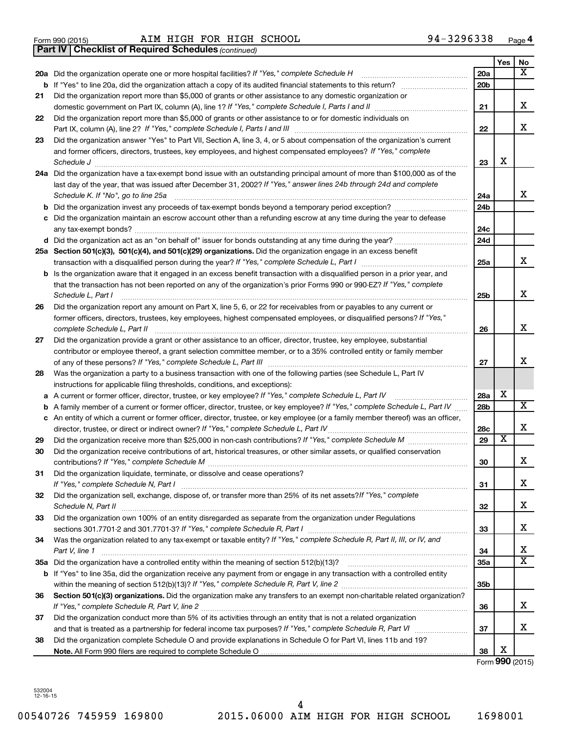Form 990 (2015) Page AIM HIGH FOR HIGH SCHOOL 94-3296338

*(continued)* **Part IV Checklist of Required Schedules**

|    |                                                                                                                                                                                                                                                 |     | Yes                     | No                      |
|----|-------------------------------------------------------------------------------------------------------------------------------------------------------------------------------------------------------------------------------------------------|-----|-------------------------|-------------------------|
|    | 20a Did the organization operate one or more hospital facilities? If "Yes," complete Schedule H                                                                                                                                                 | 20a |                         | $\overline{\mathbf{X}}$ |
|    |                                                                                                                                                                                                                                                 | 20b |                         |                         |
| 21 | Did the organization report more than \$5,000 of grants or other assistance to any domestic organization or                                                                                                                                     |     |                         |                         |
|    | domestic government on Part IX, column (A), line 1? If "Yes," complete Schedule I, Parts I and II                                                                                                                                               | 21  |                         | x                       |
| 22 | Did the organization report more than \$5,000 of grants or other assistance to or for domestic individuals on                                                                                                                                   |     |                         |                         |
|    |                                                                                                                                                                                                                                                 | 22  |                         | x                       |
| 23 | Did the organization answer "Yes" to Part VII, Section A, line 3, 4, or 5 about compensation of the organization's current                                                                                                                      |     |                         |                         |
|    | and former officers, directors, trustees, key employees, and highest compensated employees? If "Yes," complete                                                                                                                                  |     |                         |                         |
|    | Schedule J <b>Example 2 Contract 2 Contract 2 Contract 2 Contract 2 Contract 2 Contract 2 Contract 2 Contract 2 Contract 2 Contract 2 Contract 2 Contract 2 Contract 2 Contract 2 Contract 2 Con</b>                                            | 23  | x                       |                         |
|    | 24a Did the organization have a tax-exempt bond issue with an outstanding principal amount of more than \$100,000 as of the                                                                                                                     |     |                         |                         |
|    | last day of the year, that was issued after December 31, 2002? If "Yes," answer lines 24b through 24d and complete<br>Schedule K. If "No", go to line 25a                                                                                       | 24a |                         | x                       |
| b  |                                                                                                                                                                                                                                                 | 24b |                         |                         |
|    | c Did the organization maintain an escrow account other than a refunding escrow at any time during the year to defease                                                                                                                          |     |                         |                         |
|    |                                                                                                                                                                                                                                                 | 24c |                         |                         |
|    |                                                                                                                                                                                                                                                 | 24d |                         |                         |
|    | 25a Section 501(c)(3), 501(c)(4), and 501(c)(29) organizations. Did the organization engage in an excess benefit                                                                                                                                |     |                         |                         |
|    |                                                                                                                                                                                                                                                 | 25a |                         | x                       |
|    | <b>b</b> Is the organization aware that it engaged in an excess benefit transaction with a disqualified person in a prior year, and                                                                                                             |     |                         |                         |
|    | that the transaction has not been reported on any of the organization's prior Forms 990 or 990-EZ? If "Yes," complete                                                                                                                           |     |                         |                         |
|    | Schedule L, Part I                                                                                                                                                                                                                              | 25b |                         | x                       |
| 26 | Did the organization report any amount on Part X, line 5, 6, or 22 for receivables from or payables to any current or<br>former officers, directors, trustees, key employees, highest compensated employees, or disqualified persons? If "Yes," |     |                         |                         |
|    | complete Schedule L, Part II                                                                                                                                                                                                                    | 26  |                         | x                       |
| 27 | Did the organization provide a grant or other assistance to an officer, director, trustee, key employee, substantial                                                                                                                            |     |                         |                         |
|    | contributor or employee thereof, a grant selection committee member, or to a 35% controlled entity or family member                                                                                                                             |     |                         |                         |
|    |                                                                                                                                                                                                                                                 | 27  |                         | x                       |
| 28 | Was the organization a party to a business transaction with one of the following parties (see Schedule L, Part IV                                                                                                                               |     |                         |                         |
|    | instructions for applicable filing thresholds, conditions, and exceptions):                                                                                                                                                                     |     |                         |                         |
|    | a A current or former officer, director, trustee, or key employee? If "Yes," complete Schedule L, Part IV                                                                                                                                       | 28a | х                       |                         |
|    | b A family member of a current or former officer, director, trustee, or key employee? If "Yes," complete Schedule L, Part IV                                                                                                                    | 28b |                         | $\overline{X}$          |
|    | c An entity of which a current or former officer, director, trustee, or key employee (or a family member thereof) was an officer,                                                                                                               |     |                         |                         |
|    |                                                                                                                                                                                                                                                 | 28c | $\overline{\mathbf{X}}$ | x                       |
| 29 |                                                                                                                                                                                                                                                 | 29  |                         |                         |
| 30 | Did the organization receive contributions of art, historical treasures, or other similar assets, or qualified conservation                                                                                                                     | 30  |                         | x                       |
| 31 | Did the organization liquidate, terminate, or dissolve and cease operations?                                                                                                                                                                    |     |                         |                         |
|    | If "Yes," complete Schedule N, Part I manufactured and all resources and the Ves," complete Schedule N, Part I                                                                                                                                  | 31  |                         | x                       |
| 32 | Did the organization sell, exchange, dispose of, or transfer more than 25% of its net assets? If "Yes," complete                                                                                                                                |     |                         |                         |
|    | Schedule N, Part II                                                                                                                                                                                                                             | 32  |                         | x                       |
| 33 | Did the organization own 100% of an entity disregarded as separate from the organization under Regulations                                                                                                                                      |     |                         |                         |
|    |                                                                                                                                                                                                                                                 | 33  |                         | x                       |
| 34 | Was the organization related to any tax-exempt or taxable entity? If "Yes," complete Schedule R, Part II, III, or IV, and                                                                                                                       |     |                         |                         |
|    | Part V, line 1                                                                                                                                                                                                                                  | 34  |                         | x                       |
|    |                                                                                                                                                                                                                                                 | 35a |                         | $\overline{\texttt{x}}$ |
|    | b If "Yes" to line 35a, did the organization receive any payment from or engage in any transaction with a controlled entity                                                                                                                     |     |                         |                         |
|    |                                                                                                                                                                                                                                                 | 35b |                         |                         |
| 36 | Section 501(c)(3) organizations. Did the organization make any transfers to an exempt non-charitable related organization?                                                                                                                      | 36  |                         | x                       |
| 37 | Did the organization conduct more than 5% of its activities through an entity that is not a related organization                                                                                                                                |     |                         |                         |
|    |                                                                                                                                                                                                                                                 | 37  |                         | x                       |
| 38 | Did the organization complete Schedule O and provide explanations in Schedule O for Part VI, lines 11b and 19?                                                                                                                                  |     |                         |                         |
|    |                                                                                                                                                                                                                                                 | 38  | х                       |                         |

Form **990** (2015)

532004 12-16-15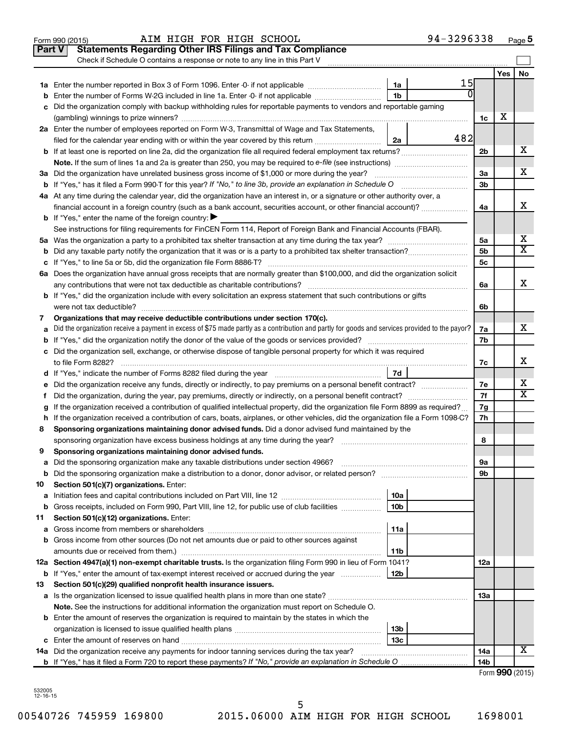|    | AIM HIGH FOR HIGH SCHOOL<br>Form 990 (2015)                                                                                                     | 94-3296338 |                |     | Page 5          |
|----|-------------------------------------------------------------------------------------------------------------------------------------------------|------------|----------------|-----|-----------------|
|    | <b>Statements Regarding Other IRS Filings and Tax Compliance</b><br><b>Part V</b>                                                               |            |                |     |                 |
|    | Check if Schedule O contains a response or note to any line in this Part V                                                                      |            |                |     |                 |
|    |                                                                                                                                                 |            |                | Yes | <b>No</b>       |
|    | 1a                                                                                                                                              | 15         |                |     |                 |
| b  | 1 <sub>b</sub><br>Enter the number of Forms W-2G included in line 1a. Enter -0- if not applicable                                               |            |                |     |                 |
| с  | Did the organization comply with backup withholding rules for reportable payments to vendors and reportable gaming                              |            |                |     |                 |
|    |                                                                                                                                                 |            | 1c             | X   |                 |
|    | 2a Enter the number of employees reported on Form W-3, Transmittal of Wage and Tax Statements,                                                  |            |                |     |                 |
|    | filed for the calendar year ending with or within the year covered by this return <i>manumumumum</i><br>2a                                      | 482        |                |     |                 |
|    | b If at least one is reported on line 2a, did the organization file all required federal employment tax returns?                                |            | 2 <sub>b</sub> |     | х               |
|    |                                                                                                                                                 |            |                |     |                 |
|    | 3a Did the organization have unrelated business gross income of \$1,000 or more during the year?                                                |            | За             |     | х               |
|    |                                                                                                                                                 |            | 3 <sub>b</sub> |     |                 |
|    | 4a At any time during the calendar year, did the organization have an interest in, or a signature or other authority over, a                    |            |                |     |                 |
|    | financial account in a foreign country (such as a bank account, securities account, or other financial account)?                                |            | 4a             |     | X               |
|    | <b>b</b> If "Yes," enter the name of the foreign country: $\blacktriangleright$                                                                 |            |                |     |                 |
|    | See instructions for filing requirements for FinCEN Form 114, Report of Foreign Bank and Financial Accounts (FBAR).                             |            |                |     |                 |
|    |                                                                                                                                                 |            | 5a             |     | х               |
| b  |                                                                                                                                                 |            | 5b             |     | X               |
| с  |                                                                                                                                                 |            | 5c             |     |                 |
|    | 6a Does the organization have annual gross receipts that are normally greater than \$100,000, and did the organization solicit                  |            |                |     |                 |
|    |                                                                                                                                                 |            | 6a             |     | х               |
|    | <b>b</b> If "Yes," did the organization include with every solicitation an express statement that such contributions or gifts                   |            |                |     |                 |
|    |                                                                                                                                                 |            | 6b             |     |                 |
| 7  | Organizations that may receive deductible contributions under section 170(c).                                                                   |            |                |     |                 |
| а  | Did the organization receive a payment in excess of \$75 made partly as a contribution and partly for goods and services provided to the payor? |            | 7a             |     | х               |
| b  |                                                                                                                                                 |            | 7b             |     |                 |
|    | c Did the organization sell, exchange, or otherwise dispose of tangible personal property for which it was required                             |            |                |     | x               |
|    |                                                                                                                                                 |            | 7с             |     |                 |
|    | 7d                                                                                                                                              |            |                |     | х               |
| е  |                                                                                                                                                 |            | 7е<br>7f       |     | х               |
| f. | If the organization received a contribution of qualified intellectual property, did the organization file Form 8899 as required?                |            | 7g             |     |                 |
|    | h If the organization received a contribution of cars, boats, airplanes, or other vehicles, did the organization file a Form 1098-C?            |            | 7h             |     |                 |
| 8  | Sponsoring organizations maintaining donor advised funds. Did a donor advised fund maintained by the                                            |            |                |     |                 |
|    |                                                                                                                                                 |            | 8              |     |                 |
|    | Sponsoring organizations maintaining donor advised funds.                                                                                       |            |                |     |                 |
| а  | Did the sponsoring organization make any taxable distributions under section 4966?                                                              |            | 9а             |     |                 |
| b  |                                                                                                                                                 |            | 9b             |     |                 |
| 10 | Section 501(c)(7) organizations. Enter:                                                                                                         |            |                |     |                 |
| а  | 10a                                                                                                                                             |            |                |     |                 |
| b  | Gross receipts, included on Form 990, Part VIII, line 12, for public use of club facilities<br>10 <sub>b</sub>                                  |            |                |     |                 |
| 11 | Section 501(c)(12) organizations. Enter:                                                                                                        |            |                |     |                 |
| а  | 11a                                                                                                                                             |            |                |     |                 |
|    | <b>b</b> Gross income from other sources (Do not net amounts due or paid to other sources against                                               |            |                |     |                 |
|    | amounts due or received from them.)<br>11b                                                                                                      |            |                |     |                 |
|    | 12a Section 4947(a)(1) non-exempt charitable trusts. Is the organization filing Form 990 in lieu of Form 1041?                                  |            | 12a            |     |                 |
|    | 12b<br><b>b</b> If "Yes," enter the amount of tax-exempt interest received or accrued during the year                                           |            |                |     |                 |
| 13 | Section 501(c)(29) qualified nonprofit health insurance issuers.                                                                                |            |                |     |                 |
|    | a Is the organization licensed to issue qualified health plans in more than one state?                                                          |            | 13a            |     |                 |
|    | Note. See the instructions for additional information the organization must report on Schedule O.                                               |            |                |     |                 |
|    | <b>b</b> Enter the amount of reserves the organization is required to maintain by the states in which the                                       |            |                |     |                 |
|    | 13b                                                                                                                                             |            |                |     |                 |
| с  | 13c                                                                                                                                             |            |                |     |                 |
|    | 14a Did the organization receive any payments for indoor tanning services during the tax year?                                                  |            | 14a            |     | х               |
|    | <b>b</b> If "Yes," has it filed a Form 720 to report these payments? If "No," provide an explanation in Schedule O                              |            | 14b            |     |                 |
|    |                                                                                                                                                 |            |                |     | Form 990 (2015) |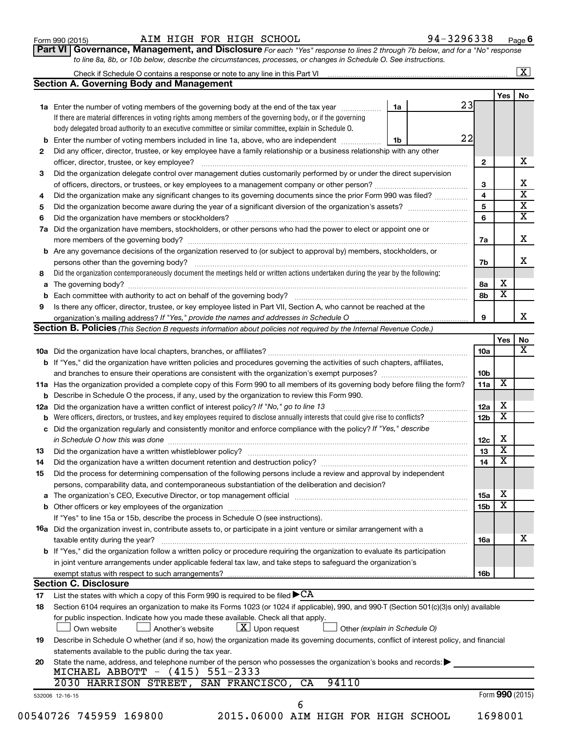| Form 990 (2015) |  |
|-----------------|--|
|-----------------|--|

#### Form 990 (2015) Page AIM HIGH FOR HIGH SCHOOL 94-3296338

**Part VI** Governance, Management, and Disclosure For each "Yes" response to lines 2 through 7b below, and for a "No" response *to line 8a, 8b, or 10b below, describe the circumstances, processes, or changes in Schedule O. See instructions.*

|     |                                                                                                                                           |                               |    |                 |                         | $\overline{\mathbf{X}}$ |
|-----|-------------------------------------------------------------------------------------------------------------------------------------------|-------------------------------|----|-----------------|-------------------------|-------------------------|
|     | <b>Section A. Governing Body and Management</b>                                                                                           |                               |    |                 |                         |                         |
|     |                                                                                                                                           |                               |    |                 | <b>Yes</b>              | No                      |
|     | 1a Enter the number of voting members of the governing body at the end of the tax year                                                    | 1a                            | 23 |                 |                         |                         |
|     | If there are material differences in voting rights among members of the governing body, or if the governing                               |                               |    |                 |                         |                         |
|     | body delegated broad authority to an executive committee or similar committee, explain in Schedule O.                                     |                               |    |                 |                         |                         |
|     | <b>b</b> Enter the number of voting members included in line 1a, above, who are independent <i>manumum</i>                                | 1b                            | 22 |                 |                         |                         |
| 2   | Did any officer, director, trustee, or key employee have a family relationship or a business relationship with any other                  |                               |    |                 |                         |                         |
|     |                                                                                                                                           |                               |    | $\mathbf{2}$    |                         |                         |
| З   | Did the organization delegate control over management duties customarily performed by or under the direct supervision                     |                               |    |                 |                         |                         |
|     |                                                                                                                                           |                               |    | 3               |                         |                         |
| 4   | Did the organization make any significant changes to its governing documents since the prior Form 990 was filed?                          |                               |    | $\overline{4}$  |                         |                         |
| 5   |                                                                                                                                           |                               |    | 5               |                         |                         |
| 6   |                                                                                                                                           |                               |    | 6               |                         |                         |
| 7a  | Did the organization have members, stockholders, or other persons who had the power to elect or appoint one or                            |                               |    |                 |                         |                         |
|     |                                                                                                                                           |                               |    | 7a              |                         |                         |
|     | <b>b</b> Are any governance decisions of the organization reserved to (or subject to approval by) members, stockholders, or               |                               |    |                 |                         |                         |
|     | persons other than the governing body?                                                                                                    |                               |    | 7b              |                         |                         |
| 8   | Did the organization contemporaneously document the meetings held or written actions undertaken during the year by the following:         |                               |    |                 |                         |                         |
|     |                                                                                                                                           |                               |    | 8a              | х                       |                         |
|     |                                                                                                                                           |                               |    | 8b              | $\overline{\mathbf{x}}$ |                         |
| 9   | Is there any officer, director, trustee, or key employee listed in Part VII, Section A, who cannot be reached at the                      |                               |    |                 |                         |                         |
|     |                                                                                                                                           |                               |    | 9               |                         |                         |
|     | Section B. Policies (This Section B requests information about policies not required by the Internal Revenue Code.)                       |                               |    |                 |                         |                         |
|     |                                                                                                                                           |                               |    |                 | Yes                     |                         |
|     |                                                                                                                                           |                               |    | 10a             |                         |                         |
|     | b If "Yes," did the organization have written policies and procedures governing the activities of such chapters, affiliates,              |                               |    |                 |                         |                         |
|     |                                                                                                                                           |                               |    | 10b             |                         |                         |
|     | 11a Has the organization provided a complete copy of this Form 990 to all members of its governing body before filing the form?           |                               |    | 11a             | $\overline{\mathbf{X}}$ |                         |
|     | <b>b</b> Describe in Schedule O the process, if any, used by the organization to review this Form 990.                                    |                               |    |                 |                         |                         |
| 12a | Did the organization have a written conflict of interest policy? If "No," go to line 13                                                   |                               |    | 12a             | х                       |                         |
|     |                                                                                                                                           |                               |    | 12 <sub>b</sub> | $\overline{\text{x}}$   |                         |
|     | c Did the organization regularly and consistently monitor and enforce compliance with the policy? If "Yes," describe                      |                               |    |                 |                         |                         |
|     | in Schedule O how this was done manufactured and continuum and contact the way to have a set of the state of t                            |                               |    | 12c             | х                       |                         |
| 13  |                                                                                                                                           |                               |    | 13              | $\overline{\textbf{x}}$ |                         |
| 14  | Did the organization have a written document retention and destruction policy? [11] manufaction manufaction in                            |                               |    | 14              | $\overline{\textbf{x}}$ |                         |
| 15  | Did the process for determining compensation of the following persons include a review and approval by independent                        |                               |    |                 |                         |                         |
|     |                                                                                                                                           |                               |    |                 |                         |                         |
|     | persons, comparability data, and contemporaneous substantiation of the deliberation and decision?                                         |                               |    |                 | х                       |                         |
|     |                                                                                                                                           |                               |    | 15a             | $\overline{\textbf{x}}$ |                         |
|     |                                                                                                                                           |                               |    | 15b             |                         |                         |
|     | If "Yes" to line 15a or 15b, describe the process in Schedule O (see instructions).                                                       |                               |    |                 |                         |                         |
|     | <b>16a</b> Did the organization invest in, contribute assets to, or participate in a joint venture or similar arrangement with a          |                               |    |                 |                         |                         |
|     | taxable entity during the year?                                                                                                           |                               |    | 16a             |                         |                         |
|     | <b>b</b> If "Yes," did the organization follow a written policy or procedure requiring the organization to evaluate its participation     |                               |    |                 |                         |                         |
|     | in joint venture arrangements under applicable federal tax law, and take steps to safeguard the organization's                            |                               |    |                 |                         |                         |
|     | exempt status with respect to such arrangements?                                                                                          |                               |    | 16b             |                         |                         |
|     | <b>Section C. Disclosure</b>                                                                                                              |                               |    |                 |                         |                         |
| 17  | List the states with which a copy of this Form 990 is required to be filed $\blacktriangleright$ CA                                       |                               |    |                 |                         |                         |
| 18  | Section 6104 requires an organization to make its Forms 1023 (or 1024 if applicable), 990, and 990-T (Section 501(c)(3)s only) available  |                               |    |                 |                         |                         |
|     | for public inspection. Indicate how you made these available. Check all that apply.                                                       |                               |    |                 |                         |                         |
|     | $\lfloor x \rfloor$ Upon request<br>Own website<br>Another's website                                                                      | Other (explain in Schedule O) |    |                 |                         |                         |
| 19  | Describe in Schedule O whether (and if so, how) the organization made its governing documents, conflict of interest policy, and financial |                               |    |                 |                         |                         |
|     | statements available to the public during the tax year.                                                                                   |                               |    |                 |                         |                         |
| 20  | State the name, address, and telephone number of the person who possesses the organization's books and records:                           |                               |    |                 |                         |                         |
|     | MICHAEL ABBOTT - (415) 551-2333                                                                                                           |                               |    |                 |                         |                         |
|     | 2030 HARRISON STREET, SAN FRANCISCO, CA<br>94110                                                                                          |                               |    |                 |                         |                         |
|     | 532006 12-16-15                                                                                                                           |                               |    |                 | Form 990 (2015)         |                         |
|     | 6                                                                                                                                         |                               |    |                 |                         |                         |
|     | 00540726 745959 169800<br>2015.06000 AIM HIGH FOR HIGH SCHOOL                                                                             |                               |    |                 | 1698001                 |                         |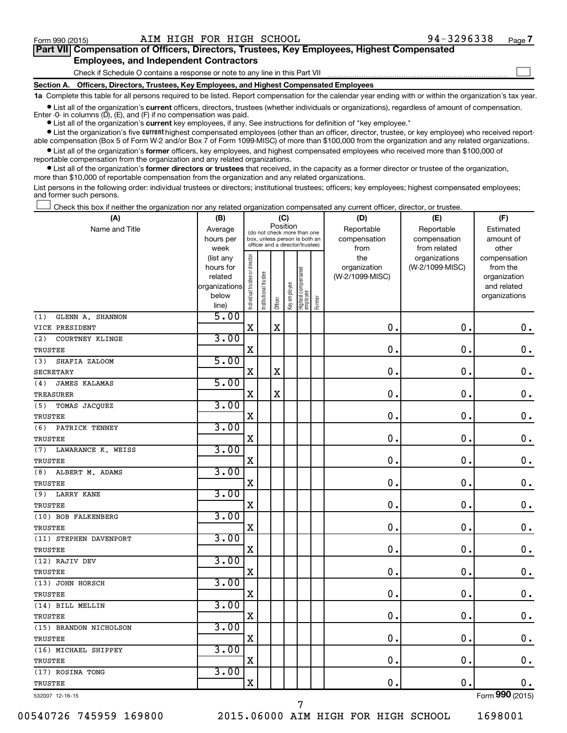$\Box$ 

| Part VII Compensation of Officers, Directors, Trustees, Key Employees, Highest Compensated |  |  |  |
|--------------------------------------------------------------------------------------------|--|--|--|
| <b>Employees, and Independent Contractors</b>                                              |  |  |  |

Check if Schedule O contains a response or note to any line in this Part VII

**Section A. Officers, Directors, Trustees, Key Employees, and Highest Compensated Employees**

**1a**  Complete this table for all persons required to be listed. Report compensation for the calendar year ending with or within the organization's tax year.

**•** List all of the organization's current officers, directors, trustees (whether individuals or organizations), regardless of amount of compensation. Enter -0- in columns  $(D)$ ,  $(E)$ , and  $(F)$  if no compensation was paid.

**•** List all of the organization's **current** key employees, if any. See instructions for definition of "key employee."

**•** List the organization's five current highest compensated employees (other than an officer, director, trustee, or key employee) who received reportable compensation (Box 5 of Form W-2 and/or Box 7 of Form 1099-MISC) of more than \$100,000 from the organization and any related organizations.

**•** List all of the organization's former officers, key employees, and highest compensated employees who received more than \$100,000 of reportable compensation from the organization and any related organizations.

**•** List all of the organization's former directors or trustees that received, in the capacity as a former director or trustee of the organization, more than \$10,000 of reportable compensation from the organization and any related organizations.

List persons in the following order: individual trustees or directors; institutional trustees; officers; key employees; highest compensated employees; and former such persons.

Check this box if neither the organization nor any related organization compensated any current officer, director, or trustee.  $\Box$ 

| (A)                         | (B)                    |                                |                                                                  | (C)         |              |                                 |        | (D)             | (E)                              | (F)                      |
|-----------------------------|------------------------|--------------------------------|------------------------------------------------------------------|-------------|--------------|---------------------------------|--------|-----------------|----------------------------------|--------------------------|
| Name and Title              | Average                |                                | (do not check more than one                                      | Position    |              |                                 |        | Reportable      | Reportable                       | Estimated                |
|                             | hours per              |                                | box, unless person is both an<br>officer and a director/trustee) |             |              |                                 |        | compensation    | compensation                     | amount of                |
|                             | week                   |                                |                                                                  |             |              |                                 |        | from<br>the     | from related                     | other                    |
|                             | (list any<br>hours for |                                |                                                                  |             |              |                                 |        | organization    | organizations<br>(W-2/1099-MISC) | compensation<br>from the |
|                             | related                |                                | trustee                                                          |             |              |                                 |        | (W-2/1099-MISC) |                                  | organization             |
|                             | organizations          |                                |                                                                  |             |              |                                 |        |                 |                                  | and related              |
|                             | below                  | Individual trustee or director | Institutional t                                                  |             | Key employee | Highest compensated<br>employee |        |                 |                                  | organizations            |
|                             | line)                  |                                |                                                                  | Officer     |              |                                 | Former |                 |                                  |                          |
| (1)<br>GLENN A. SHANNON     | 5.00                   |                                |                                                                  |             |              |                                 |        |                 |                                  |                          |
| VICE PRESIDENT              |                        | $\mathbf x$                    |                                                                  | $\mathbf X$ |              |                                 |        | $\mathbf 0$ .   | $\mathbf 0$ .                    | 0.                       |
| (2)<br>COURTNEY KLINGE      | 3.00                   |                                |                                                                  |             |              |                                 |        |                 |                                  |                          |
| TRUSTEE                     |                        | $\mathbf X$                    |                                                                  |             |              |                                 |        | $\mathbf 0$ .   | $\mathbf 0$ .                    | $\mathbf 0$ .            |
| SHAFIA ZALOOM<br>(3)        | 5.00                   |                                |                                                                  |             |              |                                 |        |                 |                                  |                          |
| <b>SECRETARY</b>            |                        | $\mathbf x$                    |                                                                  | $\mathbf X$ |              |                                 |        | 0.              | 0.                               | $\mathbf 0$ .            |
| <b>JAMES KALAMAS</b><br>(4) | 5.00                   |                                |                                                                  |             |              |                                 |        |                 |                                  |                          |
| TREASURER                   |                        | $\mathbf X$                    |                                                                  | $\mathbf X$ |              |                                 |        | 0.              | $\mathbf 0$ .                    | $\mathbf 0$ .            |
| TOMAS JACQUEZ<br>(5)        | 3.00                   |                                |                                                                  |             |              |                                 |        |                 |                                  |                          |
| TRUSTEE                     |                        | $\mathbf X$                    |                                                                  |             |              |                                 |        | $\mathbf 0$ .   | $\mathbf 0$ .                    | $\mathbf 0$ .            |
| (6)<br>PATRICK TENNEY       | 3.00                   |                                |                                                                  |             |              |                                 |        |                 |                                  |                          |
| TRUSTEE                     |                        | X                              |                                                                  |             |              |                                 |        | 0.              | $\mathbf 0$                      | $\mathbf 0$ .            |
| LAWARANCE K. WEISS<br>(7)   | 3.00                   |                                |                                                                  |             |              |                                 |        |                 |                                  |                          |
| TRUSTEE                     |                        | X                              |                                                                  |             |              |                                 |        | 0.              | $\mathbf 0$ .                    | $\mathbf 0$ .            |
| (8)<br>ALBERT M. ADAMS      | 3.00                   |                                |                                                                  |             |              |                                 |        |                 |                                  |                          |
| TRUSTEE                     |                        | $\mathbf X$                    |                                                                  |             |              |                                 |        | $\mathbf 0$ .   | $\mathbf 0$                      | $\mathbf 0$ .            |
| (9)<br>LARRY KANE           | 3.00                   |                                |                                                                  |             |              |                                 |        |                 |                                  |                          |
| TRUSTEE                     |                        | $\mathbf X$                    |                                                                  |             |              |                                 |        | $\mathbf 0$ .   | $\mathbf 0$ .                    | $\mathbf 0$ .            |
| (10) BOB FALKENBERG         | 3.00                   |                                |                                                                  |             |              |                                 |        |                 |                                  |                          |
| <b>TRUSTEE</b>              |                        | $\mathbf X$                    |                                                                  |             |              |                                 |        | $\mathbf{0}$ .  | $\mathbf 0$ .                    | $0$ .                    |
| (11) STEPHEN DAVENPORT      | 3.00                   |                                |                                                                  |             |              |                                 |        |                 |                                  |                          |
| <b>TRUSTEE</b>              |                        | X                              |                                                                  |             |              |                                 |        | $\mathbf 0$ .   | $\mathbf 0$ .                    | $\mathbf 0$ .            |
| (12) RAJIV DEV              | 3.00                   |                                |                                                                  |             |              |                                 |        |                 |                                  |                          |
| TRUSTEE                     |                        | $\mathbf X$                    |                                                                  |             |              |                                 |        | 0.              | $\mathbf 0$ .                    | $0$ .                    |
| (13) JOHN HORSCH            | 3.00                   |                                |                                                                  |             |              |                                 |        |                 |                                  |                          |
| TRUSTEE                     |                        | Χ                              |                                                                  |             |              |                                 |        | $\mathbf 0$ .   | $\mathbf 0$ .                    | $\mathbf 0$ .            |
| (14) BILL MELLIN            | 3.00                   |                                |                                                                  |             |              |                                 |        |                 |                                  |                          |
| <b>TRUSTEE</b>              |                        | $\mathbf X$                    |                                                                  |             |              |                                 |        | 0.              | $\mathbf 0$ .                    | $\mathbf 0$ .            |
| (15) BRANDON NICHOLSON      | 3.00                   |                                |                                                                  |             |              |                                 |        |                 |                                  |                          |
| TRUSTEE                     |                        | $\mathbf X$                    |                                                                  |             |              |                                 |        | 0.              | $\mathbf 0$ .                    | $\mathbf 0$ .            |
| (16) MICHAEL SHIPPEY        | 3.00                   |                                |                                                                  |             |              |                                 |        |                 |                                  |                          |
| TRUSTEE                     |                        | $\mathbf X$                    |                                                                  |             |              |                                 |        | 0.              | $\mathbf 0$ .                    | $\mathbf 0$ .            |
| (17) ROSINA TONG            | 3.00                   |                                |                                                                  |             |              |                                 |        |                 |                                  |                          |
| <b>TRUSTEE</b>              |                        | $\mathbf X$                    |                                                                  |             |              |                                 |        | 0.              | $\mathbf 0$ .                    | 0.                       |
|                             |                        |                                |                                                                  |             |              |                                 |        |                 |                                  | $\overline{000}$         |

532007 12-16-15

00540726 745959 169800 2015.06000 AIM HIGH FOR HIGH SCHOOL 1698001

7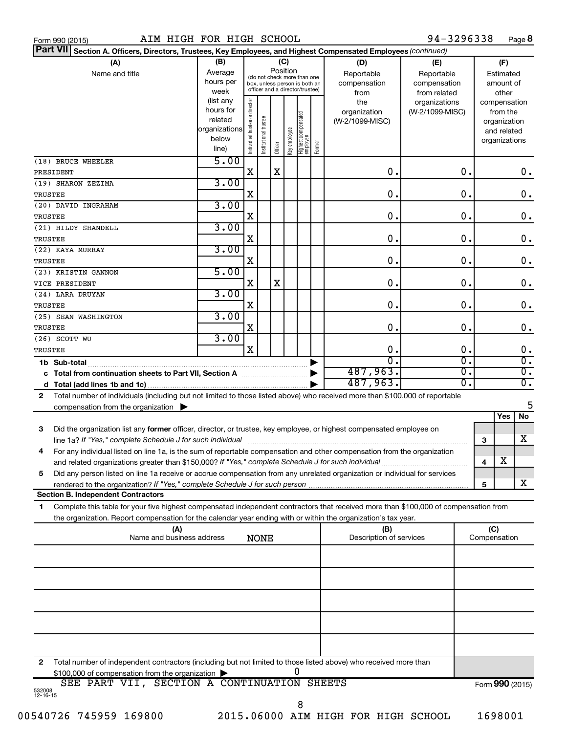| Form 990 (2015 |  |  |
|----------------|--|--|

94-3296338 Page 8

| Part VII Section A. Officers, Directors, Trustees, Key Employees, and Highest Compensated Employees (continued)                           |                        |                                         |                       |         |              |                                 |        |                         |                 |               |              |                       |                  |
|-------------------------------------------------------------------------------------------------------------------------------------------|------------------------|-----------------------------------------|-----------------------|---------|--------------|---------------------------------|--------|-------------------------|-----------------|---------------|--------------|-----------------------|------------------|
| (A)                                                                                                                                       | (B)                    |                                         |                       |         | (C)          |                                 |        | (D)                     | (E)             |               |              | (F)                   |                  |
| Name and title                                                                                                                            | Average                | Position<br>(do not check more than one |                       |         |              |                                 |        | Reportable              | Reportable      |               |              | Estimated             |                  |
|                                                                                                                                           | hours per              |                                         |                       |         |              | box, unless person is both an   |        | compensation            | compensation    |               |              | amount of             |                  |
|                                                                                                                                           | week                   |                                         |                       |         |              | officer and a director/trustee) |        | from                    | from related    |               |              | other                 |                  |
|                                                                                                                                           | (list any              |                                         |                       |         |              |                                 |        | the                     | organizations   |               |              | compensation          |                  |
|                                                                                                                                           | hours for              |                                         |                       |         |              |                                 |        | organization            | (W-2/1099-MISC) |               |              | from the              |                  |
|                                                                                                                                           | related                |                                         |                       |         |              |                                 |        | (W-2/1099-MISC)         |                 |               |              | organization          |                  |
|                                                                                                                                           | organizations<br>below |                                         |                       |         |              |                                 |        |                         |                 |               |              | and related           |                  |
|                                                                                                                                           | line)                  | Individual trustee or director          | Institutional trustee | Officer | Key employee | Highest compensated<br>employee | Former |                         |                 |               |              | organizations         |                  |
|                                                                                                                                           | 5.00                   |                                         |                       |         |              |                                 |        |                         |                 |               |              |                       |                  |
| (18) BRUCE WHEELER                                                                                                                        |                        |                                         |                       |         |              |                                 |        |                         |                 |               |              |                       |                  |
| PRESIDENT                                                                                                                                 |                        | X                                       |                       | X       |              |                                 |        | $\mathbf 0$ .           |                 | 0.            |              |                       | 0.               |
| (19) SHARON ZEZIMA                                                                                                                        | 3.00                   |                                         |                       |         |              |                                 |        |                         |                 |               |              |                       |                  |
| <b>TRUSTEE</b>                                                                                                                            |                        | X                                       |                       |         |              |                                 |        | $\mathbf 0$ .           |                 | $\mathbf 0$ . |              |                       | $\mathbf 0$ .    |
| (20) DAVID INGRAHAM                                                                                                                       | 3.00                   |                                         |                       |         |              |                                 |        |                         |                 |               |              |                       |                  |
| <b>TRUSTEE</b>                                                                                                                            |                        | X                                       |                       |         |              |                                 |        | $\mathbf 0$ .           |                 | $\mathbf 0$ . |              |                       | $\mathbf 0$ .    |
| (21) HILDY SHANDELL                                                                                                                       | 3.00                   |                                         |                       |         |              |                                 |        |                         |                 |               |              |                       |                  |
| <b>TRUSTEE</b>                                                                                                                            |                        | X                                       |                       |         |              |                                 |        | $\mathbf 0$ .           |                 | $\mathbf 0$ . |              |                       | $\mathbf 0$ .    |
| (22) KAYA MURRAY                                                                                                                          | 3.00                   |                                         |                       |         |              |                                 |        |                         |                 |               |              |                       |                  |
| <b>TRUSTEE</b>                                                                                                                            |                        | X                                       |                       |         |              |                                 |        | $\mathbf 0$ .           |                 | О.            |              |                       | $\mathbf 0$ .    |
| (23) KRISTIN GANNON                                                                                                                       | 5.00                   |                                         |                       |         |              |                                 |        |                         |                 |               |              |                       |                  |
| VICE PRESIDENT                                                                                                                            |                        | X                                       |                       | X       |              |                                 |        | $\mathbf 0$ .           |                 | О.            |              |                       | $\mathbf 0$ .    |
| (24) LARA DRUYAN                                                                                                                          | 3.00                   |                                         |                       |         |              |                                 |        |                         |                 |               |              |                       |                  |
| <b>TRUSTEE</b>                                                                                                                            |                        | X                                       |                       |         |              |                                 |        | $\mathbf 0$ .           |                 | О.            |              |                       | $\mathbf 0$ .    |
| (25) SEAN WASHINGTON                                                                                                                      | 3.00                   |                                         |                       |         |              |                                 |        |                         |                 |               |              |                       |                  |
| <b>TRUSTEE</b>                                                                                                                            |                        | X                                       |                       |         |              |                                 |        | $\mathbf 0$ .           |                 | О.            |              |                       | $\mathbf 0$ .    |
| (26) SCOTT WU                                                                                                                             | 3.00                   |                                         |                       |         |              |                                 |        |                         |                 |               |              |                       |                  |
| <b>TRUSTEE</b>                                                                                                                            |                        | X                                       |                       |         |              |                                 |        | О.                      |                 | 0.            |              |                       | 0.               |
|                                                                                                                                           |                        |                                         |                       |         |              |                                 |        | $\overline{0}$ .        |                 | σ.            |              |                       | $\overline{0}$ . |
|                                                                                                                                           |                        |                                         |                       |         |              |                                 |        | 487,963.                |                 | σ.            |              |                       | $\overline{0}$ . |
|                                                                                                                                           |                        |                                         |                       |         |              |                                 |        | 487,963.                |                 | О.            |              |                       | σ.               |
| d                                                                                                                                         |                        |                                         |                       |         |              |                                 |        |                         |                 |               |              |                       |                  |
| Total number of individuals (including but not limited to those listed above) who received more than \$100,000 of reportable<br>2         |                        |                                         |                       |         |              |                                 |        |                         |                 |               |              |                       |                  |
| compensation from the organization                                                                                                        |                        |                                         |                       |         |              |                                 |        |                         |                 |               |              |                       | 5                |
|                                                                                                                                           |                        |                                         |                       |         |              |                                 |        |                         |                 |               |              | Yes                   | No               |
| Did the organization list any former officer, director, or trustee, key employee, or highest compensated employee on<br>3                 |                        |                                         |                       |         |              |                                 |        |                         |                 |               |              |                       |                  |
| line 1a? If "Yes," complete Schedule J for such individual                                                                                |                        |                                         |                       |         |              |                                 |        |                         |                 |               | 3            |                       | x                |
| For any individual listed on line 1a, is the sum of reportable compensation and other compensation from the organization<br>4             |                        |                                         |                       |         |              |                                 |        |                         |                 |               |              |                       |                  |
| and related organizations greater than \$150,000? If "Yes," complete Schedule J for such individual                                       |                        |                                         |                       |         |              |                                 |        |                         |                 |               | 4            | $\overline{\text{X}}$ |                  |
| Did any person listed on line 1a receive or accrue compensation from any unrelated organization or individual for services<br>5           |                        |                                         |                       |         |              |                                 |        |                         |                 |               |              |                       |                  |
| rendered to the organization? If "Yes," complete Schedule J for such person.                                                              |                        |                                         |                       |         |              |                                 |        |                         |                 |               | 5            |                       | X.               |
| <b>Section B. Independent Contractors</b>                                                                                                 |                        |                                         |                       |         |              |                                 |        |                         |                 |               |              |                       |                  |
| Complete this table for your five highest compensated independent contractors that received more than \$100,000 of compensation from<br>1 |                        |                                         |                       |         |              |                                 |        |                         |                 |               |              |                       |                  |
| the organization. Report compensation for the calendar year ending with or within the organization's tax year.                            |                        |                                         |                       |         |              |                                 |        |                         |                 |               |              |                       |                  |
| (A)                                                                                                                                       |                        |                                         |                       |         |              |                                 |        | (B)                     |                 |               | (C)          |                       |                  |
| Name and business address                                                                                                                 |                        |                                         | <b>NONE</b>           |         |              |                                 |        | Description of services |                 |               | Compensation |                       |                  |
|                                                                                                                                           |                        |                                         |                       |         |              |                                 |        |                         |                 |               |              |                       |                  |
|                                                                                                                                           |                        |                                         |                       |         |              |                                 |        |                         |                 |               |              |                       |                  |
|                                                                                                                                           |                        |                                         |                       |         |              |                                 |        |                         |                 |               |              |                       |                  |
|                                                                                                                                           |                        |                                         |                       |         |              |                                 |        |                         |                 |               |              |                       |                  |
|                                                                                                                                           |                        |                                         |                       |         |              |                                 |        |                         |                 |               |              |                       |                  |
|                                                                                                                                           |                        |                                         |                       |         |              |                                 |        |                         |                 |               |              |                       |                  |
|                                                                                                                                           |                        |                                         |                       |         |              |                                 |        |                         |                 |               |              |                       |                  |
|                                                                                                                                           |                        |                                         |                       |         |              |                                 |        |                         |                 |               |              |                       |                  |
|                                                                                                                                           |                        |                                         |                       |         |              |                                 |        |                         |                 |               |              |                       |                  |
| Total number of independent contractors (including but not limited to those listed above) who received more than<br>2                     |                        |                                         |                       |         |              |                                 |        |                         |                 |               |              |                       |                  |
| \$100,000 of compensation from the organization                                                                                           |                        |                                         |                       |         |              | U                               |        |                         |                 |               |              |                       |                  |
| SEE PART VII, SECTION A CONTINUATION SHEETS<br>532008                                                                                     |                        |                                         |                       |         |              |                                 |        |                         |                 |               |              |                       | Form 990 (2015)  |
| $12 - 16 - 15$                                                                                                                            |                        |                                         |                       |         |              |                                 |        |                         |                 |               |              |                       |                  |
|                                                                                                                                           |                        |                                         |                       |         |              | 8                               |        |                         |                 |               |              |                       |                  |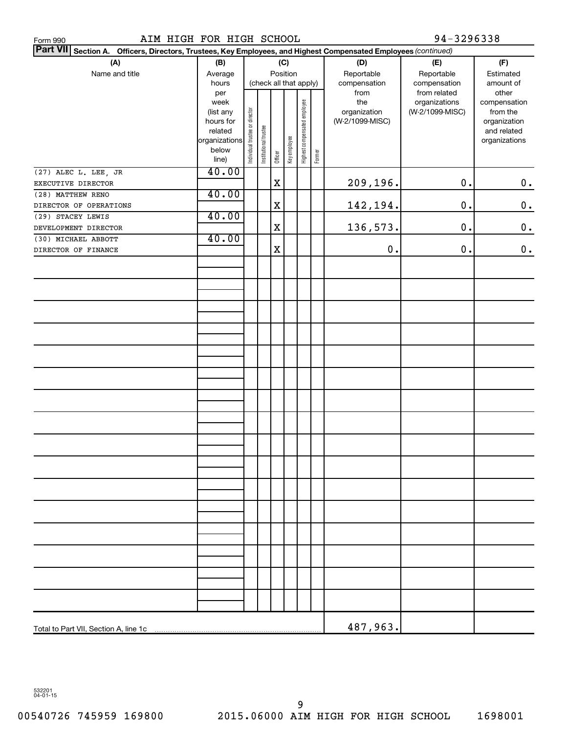| AIM HIGH FOR HIGH SCHOOL<br>94-3296338<br>Form 990                                                              |               |                                |                       |             |              |                              |        |                 |                 |                    |
|-----------------------------------------------------------------------------------------------------------------|---------------|--------------------------------|-----------------------|-------------|--------------|------------------------------|--------|-----------------|-----------------|--------------------|
| Part VII Section A. Officers, Directors, Trustees, Key Employees, and Highest Compensated Employees (continued) |               |                                |                       |             |              |                              |        |                 |                 |                    |
| (A)                                                                                                             | (B)           |                                |                       |             | (C)          |                              |        | (D)             | (E)             | (F)                |
| Name and title                                                                                                  | Average       |                                |                       | Position    |              |                              |        | Reportable      | Reportable      | Estimated          |
|                                                                                                                 | hours         |                                |                       |             |              | (check all that apply)       |        | compensation    | compensation    | amount of          |
|                                                                                                                 | per           |                                |                       |             |              |                              |        | from            | from related    | other              |
|                                                                                                                 | week          |                                |                       |             |              |                              |        | the             | organizations   | compensation       |
|                                                                                                                 | (list any     |                                |                       |             |              |                              |        | organization    | (W-2/1099-MISC) | from the           |
|                                                                                                                 | hours for     |                                |                       |             |              |                              |        | (W-2/1099-MISC) |                 | organization       |
|                                                                                                                 | related       |                                |                       |             |              |                              |        |                 |                 | and related        |
|                                                                                                                 | organizations | Individual trustee or director | Institutional trustee |             | Key employee | Highest compensated employee |        |                 |                 | organizations      |
|                                                                                                                 | below         |                                |                       | Officer     |              |                              | Former |                 |                 |                    |
|                                                                                                                 | line)         |                                |                       |             |              |                              |        |                 |                 |                    |
| (27) ALEC L. LEE, JR                                                                                            | 40.00         |                                |                       |             |              |                              |        |                 |                 |                    |
| EXECUTIVE DIRECTOR                                                                                              |               |                                |                       | X           |              |                              |        | 209,196.        | 0.              | $\mathbf 0$ .      |
| (28) MATTHEW RENO                                                                                               | 40.00         |                                |                       |             |              |                              |        |                 |                 |                    |
| DIRECTOR OF OPERATIONS                                                                                          |               |                                |                       | X           |              |                              |        | 142, 194.       | $0$ .           | $\boldsymbol{0}$ . |
| (29) STACEY LEWIS                                                                                               | 40.00         |                                |                       |             |              |                              |        |                 |                 |                    |
| DEVELOPMENT DIRECTOR                                                                                            |               |                                |                       | $\mathbf X$ |              |                              |        | 136,573.        | 0.              | $\boldsymbol{0}$ . |
| (30) MICHAEL ABBOTT                                                                                             | 40.00         |                                |                       |             |              |                              |        |                 |                 |                    |
| DIRECTOR OF FINANCE                                                                                             |               |                                |                       | X           |              |                              |        | $0$ .           | 0.              | $\mathbf 0$ .      |
|                                                                                                                 |               |                                |                       |             |              |                              |        |                 |                 |                    |
|                                                                                                                 |               |                                |                       |             |              |                              |        |                 |                 |                    |
|                                                                                                                 |               |                                |                       |             |              |                              |        |                 |                 |                    |
|                                                                                                                 |               |                                |                       |             |              |                              |        |                 |                 |                    |
|                                                                                                                 |               |                                |                       |             |              |                              |        |                 |                 |                    |
|                                                                                                                 |               |                                |                       |             |              |                              |        |                 |                 |                    |
|                                                                                                                 |               |                                |                       |             |              |                              |        |                 |                 |                    |
|                                                                                                                 |               |                                |                       |             |              |                              |        |                 |                 |                    |
|                                                                                                                 |               |                                |                       |             |              |                              |        |                 |                 |                    |
|                                                                                                                 |               |                                |                       |             |              |                              |        |                 |                 |                    |
|                                                                                                                 |               |                                |                       |             |              |                              |        |                 |                 |                    |
|                                                                                                                 |               |                                |                       |             |              |                              |        |                 |                 |                    |
|                                                                                                                 |               |                                |                       |             |              |                              |        |                 |                 |                    |
|                                                                                                                 |               |                                |                       |             |              |                              |        |                 |                 |                    |
|                                                                                                                 |               |                                |                       |             |              |                              |        |                 |                 |                    |
|                                                                                                                 |               |                                |                       |             |              |                              |        |                 |                 |                    |
|                                                                                                                 |               |                                |                       |             |              |                              |        |                 |                 |                    |
|                                                                                                                 |               |                                |                       |             |              |                              |        |                 |                 |                    |
|                                                                                                                 |               |                                |                       |             |              |                              |        |                 |                 |                    |
|                                                                                                                 |               |                                |                       |             |              |                              |        |                 |                 |                    |
|                                                                                                                 |               |                                |                       |             |              |                              |        |                 |                 |                    |
|                                                                                                                 |               |                                |                       |             |              |                              |        |                 |                 |                    |
|                                                                                                                 |               |                                |                       |             |              |                              |        |                 |                 |                    |
|                                                                                                                 |               |                                |                       |             |              |                              |        |                 |                 |                    |
|                                                                                                                 |               |                                |                       |             |              |                              |        |                 |                 |                    |
|                                                                                                                 |               |                                |                       |             |              |                              |        |                 |                 |                    |
|                                                                                                                 |               |                                |                       |             |              |                              |        |                 |                 |                    |
|                                                                                                                 |               |                                |                       |             |              |                              |        |                 |                 |                    |
|                                                                                                                 |               |                                |                       |             |              |                              |        |                 |                 |                    |
|                                                                                                                 |               |                                |                       |             |              |                              |        |                 |                 |                    |
|                                                                                                                 |               |                                |                       |             |              |                              |        |                 |                 |                    |
|                                                                                                                 |               |                                |                       |             |              |                              |        |                 |                 |                    |
|                                                                                                                 |               |                                |                       |             |              |                              |        |                 |                 |                    |
|                                                                                                                 |               |                                |                       |             |              |                              |        |                 |                 |                    |
|                                                                                                                 |               |                                |                       |             |              |                              |        | 487,963.        |                 |                    |

532201 04-01-15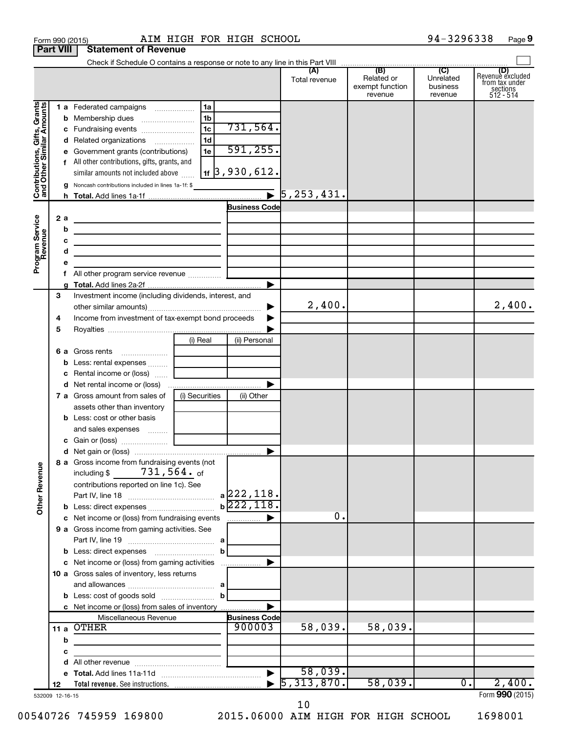|                                                           |                                               |   | Form 990 (2015)                                                                                                                 | AIM HIGH FOR HIGH SCHOOL |                                          |                                   |                                          | 94-3296338                       | Page 9                                                             |
|-----------------------------------------------------------|-----------------------------------------------|---|---------------------------------------------------------------------------------------------------------------------------------|--------------------------|------------------------------------------|-----------------------------------|------------------------------------------|----------------------------------|--------------------------------------------------------------------|
| <b>Part VIII</b>                                          |                                               |   | <b>Statement of Revenue</b>                                                                                                     |                          |                                          |                                   |                                          |                                  |                                                                    |
|                                                           |                                               |   | Check if Schedule O contains a response or note to any line in this Part VIII (B) (B) (C) $\begin{bmatrix} 1 & R \end{bmatrix}$ |                          |                                          |                                   |                                          |                                  |                                                                    |
|                                                           |                                               |   |                                                                                                                                 |                          |                                          | Total revenue                     | Related or<br>exempt function<br>revenue | Unrelated<br>business<br>revenue | (D)<br>Revenue excluded<br>from tax under<br>sections<br>512 - 514 |
|                                                           |                                               |   | 1 a Federated campaigns                                                                                                         | 1a                       |                                          |                                   |                                          |                                  |                                                                    |
| Contributions, Gifts, Grants<br>and Other Similar Amounts |                                               |   |                                                                                                                                 | 1 <sub>b</sub>           |                                          |                                   |                                          |                                  |                                                                    |
|                                                           |                                               |   | c Fundraising events                                                                                                            | 1c                       | 731,564.                                 |                                   |                                          |                                  |                                                                    |
|                                                           |                                               |   | d Related organizations                                                                                                         | 1 <sub>d</sub>           |                                          |                                   |                                          |                                  |                                                                    |
|                                                           |                                               |   | e Government grants (contributions)                                                                                             | 1e                       | 591, 255.                                |                                   |                                          |                                  |                                                                    |
|                                                           | f All other contributions, gifts, grants, and |   |                                                                                                                                 |                          |                                          |                                   |                                          |                                  |                                                                    |
|                                                           |                                               |   | similar amounts not included above                                                                                              |                          | $\vert$ <sub>1f</sub> $\vert$ 3,930,612. |                                   |                                          |                                  |                                                                    |
|                                                           |                                               |   | <b>g</b> Noncash contributions included in lines 1a-1f: \$                                                                      |                          |                                          |                                   |                                          |                                  |                                                                    |
|                                                           |                                               |   |                                                                                                                                 |                          |                                          | $\overline{\bullet}$ 5, 253, 431. |                                          |                                  |                                                                    |
|                                                           |                                               |   |                                                                                                                                 |                          | <b>Business Code</b>                     |                                   |                                          |                                  |                                                                    |
|                                                           | 2 a                                           |   | the control of the control of the control of the control of the control of                                                      |                          |                                          |                                   |                                          |                                  |                                                                    |
|                                                           |                                               | b | the control of the control of the control of the control of the control of the control of                                       |                          |                                          |                                   |                                          |                                  |                                                                    |
|                                                           |                                               | с | the control of the control of the control of the control of the control of                                                      |                          |                                          |                                   |                                          |                                  |                                                                    |
|                                                           |                                               |   | the control of the control of the control of the control of the control of the control of                                       |                          |                                          |                                   |                                          |                                  |                                                                    |
| Program Service<br>Revenue                                |                                               |   |                                                                                                                                 |                          |                                          |                                   |                                          |                                  |                                                                    |
|                                                           |                                               |   | f All other program service revenue  [                                                                                          |                          |                                          |                                   |                                          |                                  |                                                                    |
|                                                           |                                               |   |                                                                                                                                 |                          |                                          |                                   |                                          |                                  |                                                                    |
|                                                           | 3                                             |   | Investment income (including dividends, interest, and                                                                           |                          |                                          |                                   |                                          |                                  |                                                                    |
|                                                           |                                               |   |                                                                                                                                 |                          | ▶                                        | 2,400.                            |                                          |                                  | 2,400.                                                             |
|                                                           | 4                                             |   | Income from investment of tax-exempt bond proceeds                                                                              |                          |                                          |                                   |                                          |                                  |                                                                    |
|                                                           | 5                                             |   |                                                                                                                                 |                          |                                          |                                   |                                          |                                  |                                                                    |
|                                                           |                                               |   |                                                                                                                                 | (i) Real                 | (ii) Personal                            |                                   |                                          |                                  |                                                                    |
|                                                           |                                               |   | 6 a Gross rents                                                                                                                 |                          |                                          |                                   |                                          |                                  |                                                                    |
|                                                           |                                               |   | <b>b</b> Less: rental expenses                                                                                                  |                          |                                          |                                   |                                          |                                  |                                                                    |
|                                                           |                                               |   | <b>c</b> Rental income or (loss) $\ldots$                                                                                       |                          |                                          |                                   |                                          |                                  |                                                                    |
|                                                           |                                               |   |                                                                                                                                 |                          |                                          |                                   |                                          |                                  |                                                                    |
|                                                           |                                               |   | <b>7 a</b> Gross amount from sales of                                                                                           | (i) Securities           | (ii) Other                               |                                   |                                          |                                  |                                                                    |
|                                                           |                                               |   | assets other than inventory                                                                                                     |                          |                                          |                                   |                                          |                                  |                                                                    |
|                                                           |                                               |   | <b>b</b> Less: cost or other basis                                                                                              |                          |                                          |                                   |                                          |                                  |                                                                    |
|                                                           |                                               |   | and sales expenses                                                                                                              |                          |                                          |                                   |                                          |                                  |                                                                    |
|                                                           |                                               |   |                                                                                                                                 |                          |                                          |                                   |                                          |                                  |                                                                    |
|                                                           |                                               |   |                                                                                                                                 |                          |                                          |                                   |                                          |                                  |                                                                    |
| <b>Other Revenue</b>                                      |                                               |   | 8 a Gross income from fundraising events (not<br>731,564. <sub>of</sub><br>including \$                                         |                          |                                          |                                   |                                          |                                  |                                                                    |
|                                                           |                                               |   | contributions reported on line 1c). See                                                                                         |                          |                                          |                                   |                                          |                                  |                                                                    |
|                                                           |                                               |   |                                                                                                                                 |                          |                                          |                                   |                                          |                                  |                                                                    |
|                                                           |                                               |   |                                                                                                                                 |                          | $b\sqrt{222,118}$ .                      |                                   |                                          |                                  |                                                                    |
|                                                           |                                               |   | c Net income or (loss) from fundraising events                                                                                  |                          |                                          | 0.                                |                                          |                                  |                                                                    |
|                                                           |                                               |   | 9 a Gross income from gaming activities. See                                                                                    |                          |                                          |                                   |                                          |                                  |                                                                    |
|                                                           |                                               |   |                                                                                                                                 |                          |                                          |                                   |                                          |                                  |                                                                    |
|                                                           |                                               |   |                                                                                                                                 |                          |                                          |                                   |                                          |                                  |                                                                    |
|                                                           |                                               |   | c Net income or (loss) from gaming activities                                                                                   |                          |                                          |                                   |                                          |                                  |                                                                    |
|                                                           |                                               |   | 10 a Gross sales of inventory, less returns                                                                                     |                          |                                          |                                   |                                          |                                  |                                                                    |
|                                                           |                                               |   | <b>b</b> Less: cost of goods sold $\ldots$ <b>b</b>                                                                             |                          |                                          |                                   |                                          |                                  |                                                                    |
|                                                           |                                               |   | c Net income or (loss) from sales of inventory                                                                                  |                          |                                          |                                   |                                          |                                  |                                                                    |
|                                                           |                                               |   | Miscellaneous Revenue                                                                                                           |                          | <b>Business Code</b>                     |                                   |                                          |                                  |                                                                    |
|                                                           |                                               |   | 11 a $OTHER$                                                                                                                    |                          | 900003                                   | 58,039.                           | 58,039.                                  |                                  |                                                                    |
|                                                           |                                               | b |                                                                                                                                 |                          |                                          |                                   |                                          |                                  |                                                                    |
|                                                           |                                               | с |                                                                                                                                 |                          |                                          |                                   |                                          |                                  |                                                                    |
|                                                           |                                               |   |                                                                                                                                 |                          |                                          |                                   |                                          |                                  |                                                                    |
|                                                           |                                               |   |                                                                                                                                 |                          |                                          | 58,039.                           |                                          |                                  |                                                                    |
|                                                           | 12                                            |   |                                                                                                                                 |                          |                                          | $\blacktriangleright$ 5,313,870.  | 58,039.                                  | $\overline{0}$ .                 | 2,400.                                                             |
| 532009 12-16-15                                           |                                               |   |                                                                                                                                 |                          |                                          |                                   |                                          |                                  | Form 990 (2015)                                                    |

00540726 745959 169800 2015.06000 AIM HIGH FOR HIGH SCHOOL 1698001

 <sup>10</sup>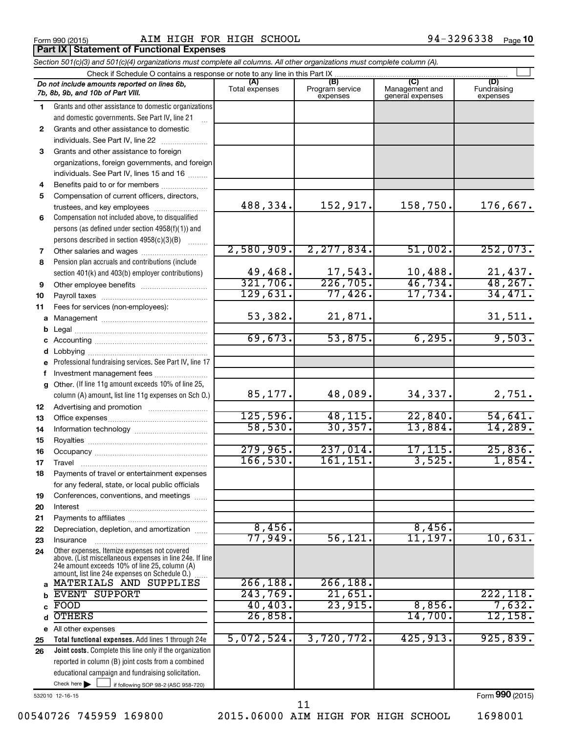Form 990 (2015) Page AIM HIGH FOR HIGH SCHOOL 94-3296338 **Part IX Statement of Functional Expenses**

|              | Section 501(c)(3) and 501(c)(4) organizations must complete all columns. All other organizations must complete column (A).                                                                                  |                          |                                    |                                           |                                |  |  |  |  |  |
|--------------|-------------------------------------------------------------------------------------------------------------------------------------------------------------------------------------------------------------|--------------------------|------------------------------------|-------------------------------------------|--------------------------------|--|--|--|--|--|
|              | Check if Schedule O contains a response or note to any line in this Part IX                                                                                                                                 |                          |                                    |                                           |                                |  |  |  |  |  |
|              | Do not include amounts reported on lines 6b,<br>7b, 8b, 9b, and 10b of Part VIII.                                                                                                                           | (A)<br>Total expenses    | (B)<br>Program service<br>expenses | (C)<br>Management and<br>general expenses | (D)<br>Fundraising<br>expenses |  |  |  |  |  |
| 1.           | Grants and other assistance to domestic organizations                                                                                                                                                       |                          |                                    |                                           |                                |  |  |  |  |  |
|              | and domestic governments. See Part IV, line 21                                                                                                                                                              |                          |                                    |                                           |                                |  |  |  |  |  |
| $\mathbf{2}$ | Grants and other assistance to domestic                                                                                                                                                                     |                          |                                    |                                           |                                |  |  |  |  |  |
|              | individuals. See Part IV, line 22                                                                                                                                                                           |                          |                                    |                                           |                                |  |  |  |  |  |
| 3            | Grants and other assistance to foreign                                                                                                                                                                      |                          |                                    |                                           |                                |  |  |  |  |  |
|              | organizations, foreign governments, and foreign                                                                                                                                                             |                          |                                    |                                           |                                |  |  |  |  |  |
|              | individuals. See Part IV, lines 15 and 16                                                                                                                                                                   |                          |                                    |                                           |                                |  |  |  |  |  |
| 4            | Benefits paid to or for members                                                                                                                                                                             |                          |                                    |                                           |                                |  |  |  |  |  |
| 5            | Compensation of current officers, directors,                                                                                                                                                                |                          |                                    |                                           |                                |  |  |  |  |  |
|              | trustees, and key employees                                                                                                                                                                                 | 488,334.                 | 152,917.                           | 158,750.                                  | 176,667.                       |  |  |  |  |  |
| 6            | Compensation not included above, to disqualified                                                                                                                                                            |                          |                                    |                                           |                                |  |  |  |  |  |
|              | persons (as defined under section 4958(f)(1)) and                                                                                                                                                           |                          |                                    |                                           |                                |  |  |  |  |  |
|              | persons described in section 4958(c)(3)(B)                                                                                                                                                                  |                          |                                    |                                           |                                |  |  |  |  |  |
| 7            |                                                                                                                                                                                                             | 2,580,909.               | 2, 277, 834.                       | 51,002.                                   | 252,073.                       |  |  |  |  |  |
| 8            | Pension plan accruals and contributions (include                                                                                                                                                            |                          |                                    |                                           |                                |  |  |  |  |  |
|              | section 401(k) and 403(b) employer contributions)                                                                                                                                                           | $\frac{49,468}{321,706}$ | $\frac{17,543}{226,705}$           | 10,488.<br>46,734.                        | $\frac{21,437}{48,267}$        |  |  |  |  |  |
| 9            |                                                                                                                                                                                                             | 129,631.                 |                                    | 17,734.                                   |                                |  |  |  |  |  |
| 10           |                                                                                                                                                                                                             |                          | 77,426.                            |                                           | 34,471.                        |  |  |  |  |  |
| 11           | Fees for services (non-employees):                                                                                                                                                                          |                          |                                    |                                           |                                |  |  |  |  |  |
| a            |                                                                                                                                                                                                             | 53,382.                  | 21,871.                            |                                           | 31,511.                        |  |  |  |  |  |
| b            |                                                                                                                                                                                                             | 69,673.                  | 53,875.                            | 6, 295.                                   | 9,503.                         |  |  |  |  |  |
|              |                                                                                                                                                                                                             |                          |                                    |                                           |                                |  |  |  |  |  |
| d            |                                                                                                                                                                                                             |                          |                                    |                                           |                                |  |  |  |  |  |
| е            | Professional fundraising services. See Part IV, line 17<br>Investment management fees                                                                                                                       |                          |                                    |                                           |                                |  |  |  |  |  |
| f<br>g       | Other. (If line 11g amount exceeds 10% of line 25,                                                                                                                                                          |                          |                                    |                                           |                                |  |  |  |  |  |
|              | column (A) amount, list line 11g expenses on Sch O.)                                                                                                                                                        | 85,177.                  | 48,089.                            | 34,337.                                   | 2,751.                         |  |  |  |  |  |
| 12           |                                                                                                                                                                                                             |                          |                                    |                                           |                                |  |  |  |  |  |
| 13           |                                                                                                                                                                                                             | 125,596.                 | 48, 115.                           | 22,840.                                   | 54,641.                        |  |  |  |  |  |
| 14           |                                                                                                                                                                                                             | 58,530.                  | 30, 357.                           | 13,884.                                   | 14,289.                        |  |  |  |  |  |
| 15           |                                                                                                                                                                                                             |                          |                                    |                                           |                                |  |  |  |  |  |
| 16           |                                                                                                                                                                                                             | 279,965.                 | 237,014.                           | 17, 115.                                  | 25,836.                        |  |  |  |  |  |
| 17           |                                                                                                                                                                                                             | 166,530.                 | 161, 151.                          | 3,525.                                    | 1,854.                         |  |  |  |  |  |
| 18           | Payments of travel or entertainment expenses                                                                                                                                                                |                          |                                    |                                           |                                |  |  |  |  |  |
|              | for any federal, state, or local public officials                                                                                                                                                           |                          |                                    |                                           |                                |  |  |  |  |  |
| 19           | Conferences, conventions, and meetings                                                                                                                                                                      |                          |                                    |                                           |                                |  |  |  |  |  |
| 20           | Interest                                                                                                                                                                                                    |                          |                                    |                                           |                                |  |  |  |  |  |
| 21           |                                                                                                                                                                                                             |                          |                                    |                                           |                                |  |  |  |  |  |
| 22           | Depreciation, depletion, and amortization                                                                                                                                                                   | 8,456.                   |                                    | 8,456.                                    |                                |  |  |  |  |  |
| 23           | Insurance                                                                                                                                                                                                   | 77,949.                  | 56, 121.                           | 11, 197.                                  | 10,631.                        |  |  |  |  |  |
| 24           | Other expenses. Itemize expenses not covered<br>above. (List miscellaneous expenses in line 24e. If line<br>24e amount exceeds 10% of line 25, column (A)<br>amount, list line 24e expenses on Schedule O.) |                          |                                    |                                           |                                |  |  |  |  |  |
| a            | MATERIALS AND SUPPLIES                                                                                                                                                                                      | 266, 188.                | 266, 188.                          |                                           |                                |  |  |  |  |  |
| b            | <b>EVENT SUPPORT</b>                                                                                                                                                                                        | 243,769.                 | 21,651.                            |                                           | 222,118.                       |  |  |  |  |  |
| C            | FOOD                                                                                                                                                                                                        | 40, 403.                 | 23,915.                            | 8,856.                                    | 7,632.                         |  |  |  |  |  |
| d            | <b>OTHERS</b>                                                                                                                                                                                               | 26,858.                  |                                    | 14,700.                                   | 12,158.                        |  |  |  |  |  |
|              | e All other expenses                                                                                                                                                                                        |                          |                                    |                                           |                                |  |  |  |  |  |
| 25           | Total functional expenses. Add lines 1 through 24e                                                                                                                                                          | 5,072,524.               | 3,720,772.                         | 425,913.                                  | 925,839.                       |  |  |  |  |  |
| 26           | Joint costs. Complete this line only if the organization                                                                                                                                                    |                          |                                    |                                           |                                |  |  |  |  |  |
|              | reported in column (B) joint costs from a combined                                                                                                                                                          |                          |                                    |                                           |                                |  |  |  |  |  |
|              | educational campaign and fundraising solicitation.                                                                                                                                                          |                          |                                    |                                           |                                |  |  |  |  |  |
|              | Check here $\blacktriangleright$<br>if following SOP 98-2 (ASC 958-720)                                                                                                                                     |                          |                                    |                                           |                                |  |  |  |  |  |

532010 12-16-15

00540726 745959 169800 2015.06000 AIM HIGH FOR HIGH SCHOOL 1698001

11

Form (2015) **990**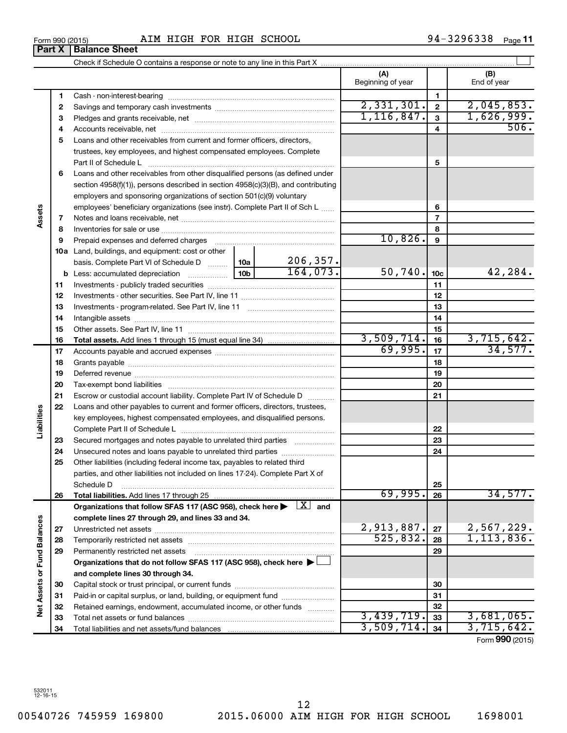|                                                                                 |                 |           |            | 8               |  |
|---------------------------------------------------------------------------------|-----------------|-----------|------------|-----------------|--|
| Prepaid expenses and deferred charges                                           |                 |           | 10,826.    | 9               |  |
| Land, buildings, and equipment: cost or other                                   |                 |           |            |                 |  |
| basis. Complete Part VI of Schedule D    10a                                    |                 | 206, 357. |            |                 |  |
|                                                                                 | 10 <sub>b</sub> | 164,073.  | 50, 740.   | 10 <sub>c</sub> |  |
|                                                                                 |                 |           |            | 11              |  |
|                                                                                 |                 |           |            | 12              |  |
|                                                                                 |                 |           |            | 13              |  |
|                                                                                 |                 |           |            | 14              |  |
|                                                                                 |                 |           |            | 15              |  |
|                                                                                 |                 |           | 3,509,714. | 16              |  |
|                                                                                 |                 |           | 69,995.    | 17              |  |
|                                                                                 |                 |           |            | 18              |  |
|                                                                                 |                 |           |            | 19              |  |
|                                                                                 |                 |           |            | 20              |  |
| Escrow or custodial account liability. Complete Part IV of Schedule D           |                 |           |            | 21              |  |
| Loans and other payables to current and former officers, directors, trustees,   |                 |           |            |                 |  |
| key employees, highest compensated employees, and disqualified persons.         |                 |           |            |                 |  |
| Complete Part II of Schedule L                                                  |                 |           |            | 22              |  |
| Secured mortgages and notes payable to unrelated third parties                  |                 |           |            | 23              |  |
| Unsecured notes and loans payable to unrelated third parties                    |                 |           |            | 24              |  |
| Other liabilities (including federal income tax, payables to related third      |                 |           |            |                 |  |
| parties, and other liabilities not included on lines 17-24). Complete Part X of |                 |           |            |                 |  |
| Schedule D                                                                      |                 |           |            | 25              |  |
|                                                                                 |                 |           | 69,995.    | 26              |  |
| Organizations that follow SFAS 117 (ASC 958), check here                        |                 | $ X $ and |            |                 |  |
| complete lines 27 through 29, and lines 33 and 34.                              |                 |           |            |                 |  |
|                                                                                 |                 |           | 2,913,887. | 27              |  |
|                                                                                 |                 |           | 525,832.   | 28              |  |
| Permanently restricted net assets                                               |                 |           |            | 29              |  |
| Organizations that do not follow SFAS 117 (ASC 958), check here ▶ L             |                 |           |            |                 |  |
| and complete lines 30 through 34.                                               |                 |           |            |                 |  |
| Capital stock or trust principal, or current funds                              |                 |           |            | 30              |  |

Form 990 (2015) Page AIM HIGH FOR HIGH SCHOOL 94-3296338

**4** Accounts receivable, net ~~~~~~~~~~~~~~~~~~~~~~~~~~ **5** Loans and other receivables from current and former officers, directors,

trustees, key employees, and highest compensated employees. Complete Part II of Schedule L ~~~~~~~~~~~~~~~~~~~~~~~~~~~~

Cash - non-interest-bearing ~~~~~~~~~~~~~~~~~~~~~~~~~ Savings and temporary cash investments ~~~~~~~~~~~~~~~~~~ Pledges and grants receivable, net ~~~~~~~~~~~~~~~~~~~~~

Check if Schedule O contains a response or note to any line in this Part X

**6** Loans and other receivables from other disqualified persons (as defined under

employers and sponsoring organizations of section 501(c)(9) voluntary employees' beneficiary organizations (see instr). Complete Part II of Sch L ...... Notes and loans receivable, net ~~~~~~~~~~~~~~~~~~~~~~~

section 4958(f)(1)), persons described in section 4958(c)(3)(B), and contributing

Capital stock or trust principal, or current funds ~~~~~~~~~~~~~~~ Paid-in or capital surplus, or land, building, or equipment fund ....................... Retained earnings, endowment, accumulated income, or other funds ............ Total net assets or fund balances ~~~~~~~~~~~~~~~~~~~~~~

Total liabilities and net assets/fund balances

**(A) (B)**

Beginning of year | | End of year

2,331,301. 2,045,853. 1,116,847. 1,626,999.

**5**

**6 7**

 $3,439,719.$   $3,681,065.$ 3,509,714. 3,715,642.

Form (2015) **990**

69,995. 34,577.

2,913,887. 2,567,229.  $\overline{1.113}$ ,836.

 $\perp$ 

506.

42,284.

3,509,714. 3,715,642. 69,995. 34,577.

**Part X** | **Balance Sheet** 

**1 2 3**

**Assets**

**b**

**23 24 25**

**Liabilities**

**26**

**27 28 29**

**Net Assets or Fund Balances**

Net Assets or Fund Balances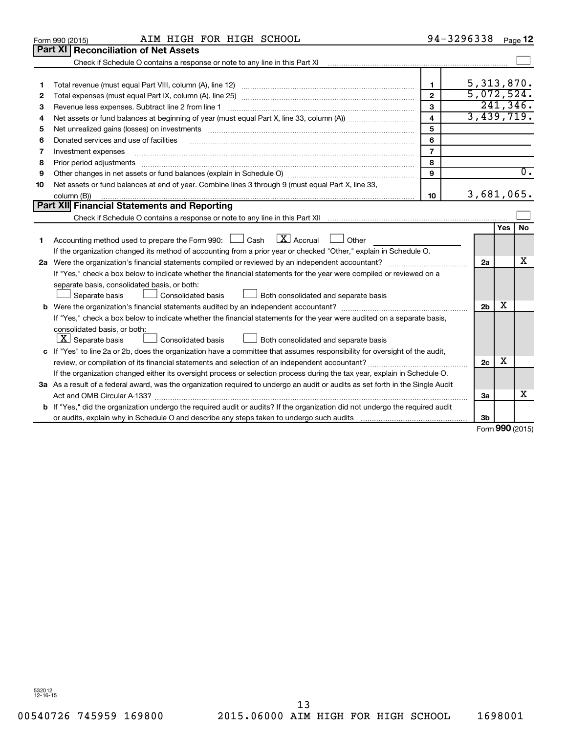|    | AIM HIGH FOR HIGH SCHOOL<br>Form 990 (2015)                                                                                                                                                                                    |                         | 94-3296338     |     | Page 12          |
|----|--------------------------------------------------------------------------------------------------------------------------------------------------------------------------------------------------------------------------------|-------------------------|----------------|-----|------------------|
|    | <b>Part XI   Reconciliation of Net Assets</b>                                                                                                                                                                                  |                         |                |     |                  |
|    |                                                                                                                                                                                                                                |                         |                |     |                  |
|    |                                                                                                                                                                                                                                |                         |                |     |                  |
| 1  |                                                                                                                                                                                                                                | 1                       | 5,313,870.     |     |                  |
| 2  |                                                                                                                                                                                                                                | $\mathbf{2}$            |                |     | 5,072,524.       |
| З  | Revenue less expenses. Subtract line 2 from line 1                                                                                                                                                                             | 3                       |                |     | 241, 346.        |
| 4  |                                                                                                                                                                                                                                | $\overline{\mathbf{4}}$ |                |     | 3,439,719.       |
| 5  | Net unrealized gains (losses) on investments [11] matter than the control of the state of the state of the state of the state of the state of the state of the state of the state of the state of the state of the state of th | 5                       |                |     |                  |
| 6  | Donated services and use of facilities                                                                                                                                                                                         | 6                       |                |     |                  |
| 7  | Investment expenses                                                                                                                                                                                                            | $\overline{7}$          |                |     |                  |
| 8  | Prior period adjustments                                                                                                                                                                                                       | 8                       |                |     |                  |
| 9  |                                                                                                                                                                                                                                | 9                       |                |     | $\overline{0}$ . |
| 10 | Net assets or fund balances at end of year. Combine lines 3 through 9 (must equal Part X, line 33,                                                                                                                             |                         |                |     |                  |
|    | column (B))                                                                                                                                                                                                                    | 10                      |                |     | 3,681,065.       |
|    | Part XII Financial Statements and Reporting                                                                                                                                                                                    |                         |                |     |                  |
|    |                                                                                                                                                                                                                                |                         |                |     |                  |
|    |                                                                                                                                                                                                                                |                         |                | Yes | No               |
| 1  | Accounting method used to prepare the Form 990: $\Box$ Cash $\Box X$ Accrual<br>$\Box$ Other                                                                                                                                   |                         |                |     |                  |
|    | If the organization changed its method of accounting from a prior year or checked "Other," explain in Schedule O.                                                                                                              |                         |                |     |                  |
|    |                                                                                                                                                                                                                                |                         | 2a             |     | x                |
|    | If "Yes," check a box below to indicate whether the financial statements for the year were compiled or reviewed on a                                                                                                           |                         |                |     |                  |
|    | separate basis, consolidated basis, or both:                                                                                                                                                                                   |                         |                |     |                  |
|    | Both consolidated and separate basis<br>Separate basis<br>Consolidated basis                                                                                                                                                   |                         |                |     |                  |
|    |                                                                                                                                                                                                                                |                         | 2 <sub>b</sub> | х   |                  |
|    | If "Yes," check a box below to indicate whether the financial statements for the year were audited on a separate basis,                                                                                                        |                         |                |     |                  |
|    | consolidated basis, or both:                                                                                                                                                                                                   |                         |                |     |                  |
|    | $\lfloor x \rfloor$ Separate basis<br>Consolidated basis<br>Both consolidated and separate basis                                                                                                                               |                         |                |     |                  |
|    | c If "Yes" to line 2a or 2b, does the organization have a committee that assumes responsibility for oversight of the audit,                                                                                                    |                         |                |     |                  |
|    | review, or compilation of its financial statements and selection of an independent accountant?                                                                                                                                 |                         | 2c             | х   |                  |
|    | If the organization changed either its oversight process or selection process during the tax year, explain in Schedule O.                                                                                                      |                         |                |     |                  |
|    | 3a As a result of a federal award, was the organization required to undergo an audit or audits as set forth in the Single Audit                                                                                                |                         |                |     |                  |
|    |                                                                                                                                                                                                                                |                         | За             |     | x                |
|    | b If "Yes," did the organization undergo the required audit or audits? If the organization did not undergo the required audit                                                                                                  |                         |                |     |                  |
|    |                                                                                                                                                                                                                                |                         | 3b             |     |                  |

Form (2015) **990**

532012 12-16-15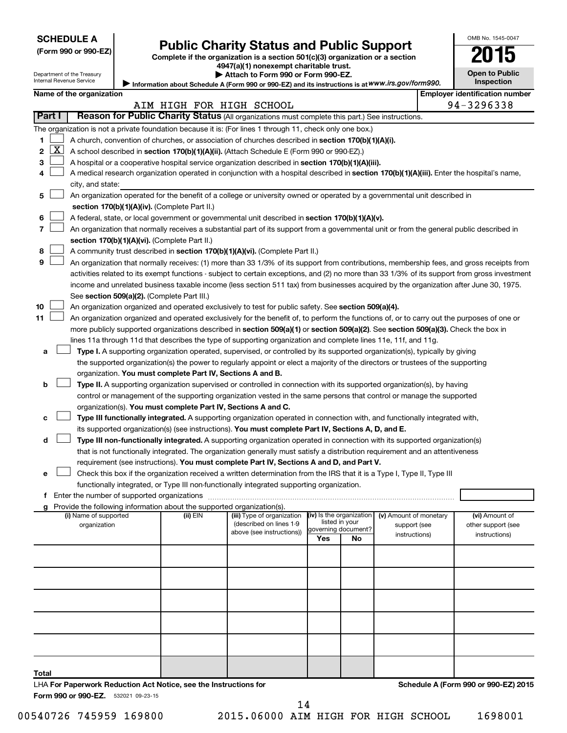| <b>SCHEDULE A</b> |  |
|-------------------|--|
|-------------------|--|

Department of the Treasury Internal Revenue Service

| (Form 990 or 990-EZ) |  |  |  |  |
|----------------------|--|--|--|--|
|----------------------|--|--|--|--|

# Form 990 or 990-EZ) **Public Charity Status and Public Support**<br>
Complete if the organization is a section 501(c)(3) organization or a section<br> **2015**

**4947(a)(1) nonexempt charitable trust. | Attach to Form 990 or Form 990-EZ.** 

| ach to Form 990 or Form 990-EZ. |  |
|---------------------------------|--|
|---------------------------------|--|

Information about Schedule A (Form 990 or 990-EZ) and its instructions is at WWW.irs.gov/form990.

| <b>Open to Public</b><br>Inspection |
|-------------------------------------|
| Ö.                                  |

OMB No. 1545-0047

|  | Name of the organization |  |
|--|--------------------------|--|

|              |                     |                                                                                                                           | Name of the organization                                                                                                                                                                                                                                                               |          |                                                       |                                            |    |                                        |  | <b>Employer identification number</b> |
|--------------|---------------------|---------------------------------------------------------------------------------------------------------------------------|----------------------------------------------------------------------------------------------------------------------------------------------------------------------------------------------------------------------------------------------------------------------------------------|----------|-------------------------------------------------------|--------------------------------------------|----|----------------------------------------|--|---------------------------------------|
|              |                     |                                                                                                                           |                                                                                                                                                                                                                                                                                        |          | AIM HIGH FOR HIGH SCHOOL                              |                                            |    |                                        |  | 94-3296338                            |
|              | Part I              |                                                                                                                           | Reason for Public Charity Status (All organizations must complete this part.) See instructions.                                                                                                                                                                                        |          |                                                       |                                            |    |                                        |  |                                       |
|              |                     |                                                                                                                           | The organization is not a private foundation because it is: (For lines 1 through 11, check only one box.)                                                                                                                                                                              |          |                                                       |                                            |    |                                        |  |                                       |
| 1.           |                     |                                                                                                                           | A church, convention of churches, or association of churches described in section 170(b)(1)(A)(i).                                                                                                                                                                                     |          |                                                       |                                            |    |                                        |  |                                       |
| $\mathbf{2}$ | $\lfloor x \rfloor$ |                                                                                                                           | A school described in section 170(b)(1)(A)(ii). (Attach Schedule E (Form 990 or 990-EZ).)                                                                                                                                                                                              |          |                                                       |                                            |    |                                        |  |                                       |
| 3            |                     |                                                                                                                           | A hospital or a cooperative hospital service organization described in section 170(b)(1)(A)(iii).                                                                                                                                                                                      |          |                                                       |                                            |    |                                        |  |                                       |
| 4            |                     |                                                                                                                           | A medical research organization operated in conjunction with a hospital described in section 170(b)(1)(A)(iii). Enter the hospital's name,                                                                                                                                             |          |                                                       |                                            |    |                                        |  |                                       |
|              |                     | city, and state:                                                                                                          |                                                                                                                                                                                                                                                                                        |          |                                                       |                                            |    |                                        |  |                                       |
| 5.           |                     | An organization operated for the benefit of a college or university owned or operated by a governmental unit described in |                                                                                                                                                                                                                                                                                        |          |                                                       |                                            |    |                                        |  |                                       |
|              |                     |                                                                                                                           | section 170(b)(1)(A)(iv). (Complete Part II.)                                                                                                                                                                                                                                          |          |                                                       |                                            |    |                                        |  |                                       |
| 6            |                     |                                                                                                                           | A federal, state, or local government or governmental unit described in section 170(b)(1)(A)(v).                                                                                                                                                                                       |          |                                                       |                                            |    |                                        |  |                                       |
| 7            |                     |                                                                                                                           | An organization that normally receives a substantial part of its support from a governmental unit or from the general public described in                                                                                                                                              |          |                                                       |                                            |    |                                        |  |                                       |
|              |                     |                                                                                                                           | section 170(b)(1)(A)(vi). (Complete Part II.)                                                                                                                                                                                                                                          |          |                                                       |                                            |    |                                        |  |                                       |
| 8<br>9       |                     |                                                                                                                           | A community trust described in section 170(b)(1)(A)(vi). (Complete Part II.)                                                                                                                                                                                                           |          |                                                       |                                            |    |                                        |  |                                       |
|              |                     |                                                                                                                           | An organization that normally receives: (1) more than 33 1/3% of its support from contributions, membership fees, and gross receipts from                                                                                                                                              |          |                                                       |                                            |    |                                        |  |                                       |
|              |                     |                                                                                                                           | activities related to its exempt functions - subject to certain exceptions, and (2) no more than 33 1/3% of its support from gross investment<br>income and unrelated business taxable income (less section 511 tax) from businesses acquired by the organization after June 30, 1975. |          |                                                       |                                            |    |                                        |  |                                       |
|              |                     |                                                                                                                           | See section 509(a)(2). (Complete Part III.)                                                                                                                                                                                                                                            |          |                                                       |                                            |    |                                        |  |                                       |
| 10           |                     |                                                                                                                           | An organization organized and operated exclusively to test for public safety. See section 509(a)(4).                                                                                                                                                                                   |          |                                                       |                                            |    |                                        |  |                                       |
| 11           |                     |                                                                                                                           | An organization organized and operated exclusively for the benefit of, to perform the functions of, or to carry out the purposes of one or                                                                                                                                             |          |                                                       |                                            |    |                                        |  |                                       |
|              |                     |                                                                                                                           | more publicly supported organizations described in section 509(a)(1) or section 509(a)(2). See section 509(a)(3). Check the box in                                                                                                                                                     |          |                                                       |                                            |    |                                        |  |                                       |
|              |                     |                                                                                                                           | lines 11a through 11d that describes the type of supporting organization and complete lines 11e, 11f, and 11g.                                                                                                                                                                         |          |                                                       |                                            |    |                                        |  |                                       |
| а            |                     |                                                                                                                           | Type I. A supporting organization operated, supervised, or controlled by its supported organization(s), typically by giving                                                                                                                                                            |          |                                                       |                                            |    |                                        |  |                                       |
|              |                     |                                                                                                                           | the supported organization(s) the power to regularly appoint or elect a majority of the directors or trustees of the supporting                                                                                                                                                        |          |                                                       |                                            |    |                                        |  |                                       |
|              |                     |                                                                                                                           | organization. You must complete Part IV, Sections A and B.                                                                                                                                                                                                                             |          |                                                       |                                            |    |                                        |  |                                       |
| b            |                     |                                                                                                                           | Type II. A supporting organization supervised or controlled in connection with its supported organization(s), by having                                                                                                                                                                |          |                                                       |                                            |    |                                        |  |                                       |
|              |                     |                                                                                                                           | control or management of the supporting organization vested in the same persons that control or manage the supported                                                                                                                                                                   |          |                                                       |                                            |    |                                        |  |                                       |
|              |                     |                                                                                                                           | organization(s). You must complete Part IV, Sections A and C.                                                                                                                                                                                                                          |          |                                                       |                                            |    |                                        |  |                                       |
| с            |                     |                                                                                                                           | Type III functionally integrated. A supporting organization operated in connection with, and functionally integrated with,                                                                                                                                                             |          |                                                       |                                            |    |                                        |  |                                       |
|              |                     |                                                                                                                           | its supported organization(s) (see instructions). You must complete Part IV, Sections A, D, and E.                                                                                                                                                                                     |          |                                                       |                                            |    |                                        |  |                                       |
| d            |                     |                                                                                                                           | Type III non-functionally integrated. A supporting organization operated in connection with its supported organization(s)                                                                                                                                                              |          |                                                       |                                            |    |                                        |  |                                       |
|              |                     |                                                                                                                           | that is not functionally integrated. The organization generally must satisfy a distribution requirement and an attentiveness                                                                                                                                                           |          |                                                       |                                            |    |                                        |  |                                       |
|              |                     |                                                                                                                           | requirement (see instructions). You must complete Part IV, Sections A and D, and Part V.                                                                                                                                                                                               |          |                                                       |                                            |    |                                        |  |                                       |
| е            |                     |                                                                                                                           | Check this box if the organization received a written determination from the IRS that it is a Type I, Type II, Type III                                                                                                                                                                |          |                                                       |                                            |    |                                        |  |                                       |
|              |                     |                                                                                                                           | functionally integrated, or Type III non-functionally integrated supporting organization.                                                                                                                                                                                              |          |                                                       |                                            |    |                                        |  |                                       |
|              |                     |                                                                                                                           |                                                                                                                                                                                                                                                                                        |          |                                                       |                                            |    |                                        |  |                                       |
|              |                     |                                                                                                                           | g Provide the following information about the supported organization(s).                                                                                                                                                                                                               |          |                                                       |                                            |    |                                        |  |                                       |
|              |                     |                                                                                                                           | (i) Name of supported<br>organization                                                                                                                                                                                                                                                  | (ii) EIN | (iii) Type of organization<br>(described on lines 1-9 | (iv) Is the organization<br>listed in your |    | (v) Amount of monetary<br>support (see |  | (vi) Amount of<br>other support (see  |
|              |                     |                                                                                                                           |                                                                                                                                                                                                                                                                                        |          | above (see instructions))                             | governing document?                        |    | instructions)                          |  | instructions)                         |
|              |                     |                                                                                                                           |                                                                                                                                                                                                                                                                                        |          |                                                       | Yes                                        | No |                                        |  |                                       |
|              |                     |                                                                                                                           |                                                                                                                                                                                                                                                                                        |          |                                                       |                                            |    |                                        |  |                                       |
|              |                     |                                                                                                                           |                                                                                                                                                                                                                                                                                        |          |                                                       |                                            |    |                                        |  |                                       |
|              |                     |                                                                                                                           |                                                                                                                                                                                                                                                                                        |          |                                                       |                                            |    |                                        |  |                                       |
|              |                     |                                                                                                                           |                                                                                                                                                                                                                                                                                        |          |                                                       |                                            |    |                                        |  |                                       |
|              |                     |                                                                                                                           |                                                                                                                                                                                                                                                                                        |          |                                                       |                                            |    |                                        |  |                                       |
|              |                     |                                                                                                                           |                                                                                                                                                                                                                                                                                        |          |                                                       |                                            |    |                                        |  |                                       |
|              |                     |                                                                                                                           |                                                                                                                                                                                                                                                                                        |          |                                                       |                                            |    |                                        |  |                                       |
|              |                     |                                                                                                                           |                                                                                                                                                                                                                                                                                        |          |                                                       |                                            |    |                                        |  |                                       |
|              |                     |                                                                                                                           |                                                                                                                                                                                                                                                                                        |          |                                                       |                                            |    |                                        |  |                                       |
|              |                     |                                                                                                                           |                                                                                                                                                                                                                                                                                        |          |                                                       |                                            |    |                                        |  |                                       |
| Total        |                     |                                                                                                                           |                                                                                                                                                                                                                                                                                        |          |                                                       |                                            |    |                                        |  |                                       |
|              |                     |                                                                                                                           |                                                                                                                                                                                                                                                                                        |          |                                                       |                                            |    |                                        |  |                                       |

Form 990 or 990-EZ. 532021 09-23-15 LHA **For Paperwork Reduction Act Notice, see the Instructions for** 

00540726 745959 169800 2015.06000 AIM HIGH FOR HIGH SCHOOL 1698001

14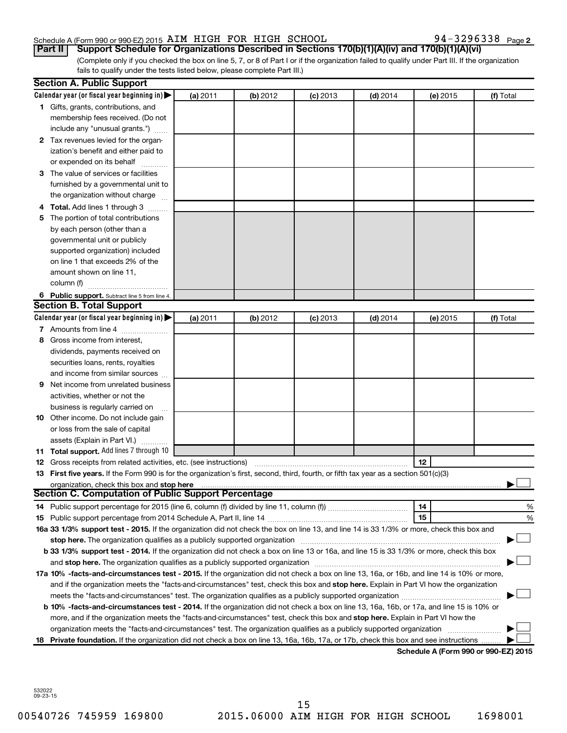#### Schedule A (Form 990 or 990-EZ) 2015  $\,$  AIM HIGH FOR HIGH SCHOOL  $\,$  94 - 3296338  $\,$  Page

94-3296338 Page 2

(Complete only if you checked the box on line 5, 7, or 8 of Part I or if the organization failed to qualify under Part III. If the organization fails to qualify under the tests listed below, please complete Part III.) **Part II Support Schedule for Organizations Described in Sections 170(b)(1)(A)(iv) and 170(b)(1)(A)(vi)**

|   | <b>Section A. Public Support</b>                                                                                                           |          |          |            |            |          |                                      |
|---|--------------------------------------------------------------------------------------------------------------------------------------------|----------|----------|------------|------------|----------|--------------------------------------|
|   | Calendar year (or fiscal year beginning in)                                                                                                | (a) 2011 | (b) 2012 | $(c)$ 2013 | $(d)$ 2014 | (e) 2015 | (f) Total                            |
|   | 1 Gifts, grants, contributions, and                                                                                                        |          |          |            |            |          |                                      |
|   | membership fees received. (Do not                                                                                                          |          |          |            |            |          |                                      |
|   | include any "unusual grants.")                                                                                                             |          |          |            |            |          |                                      |
|   | 2 Tax revenues levied for the organ-                                                                                                       |          |          |            |            |          |                                      |
|   | ization's benefit and either paid to                                                                                                       |          |          |            |            |          |                                      |
|   | or expended on its behalf                                                                                                                  |          |          |            |            |          |                                      |
|   | 3 The value of services or facilities                                                                                                      |          |          |            |            |          |                                      |
|   | furnished by a governmental unit to                                                                                                        |          |          |            |            |          |                                      |
|   | the organization without charge                                                                                                            |          |          |            |            |          |                                      |
|   | 4 Total. Add lines 1 through 3                                                                                                             |          |          |            |            |          |                                      |
|   | 5 The portion of total contributions                                                                                                       |          |          |            |            |          |                                      |
|   | by each person (other than a                                                                                                               |          |          |            |            |          |                                      |
|   | governmental unit or publicly                                                                                                              |          |          |            |            |          |                                      |
|   | supported organization) included                                                                                                           |          |          |            |            |          |                                      |
|   | on line 1 that exceeds 2% of the                                                                                                           |          |          |            |            |          |                                      |
|   | amount shown on line 11,                                                                                                                   |          |          |            |            |          |                                      |
|   | column (f)                                                                                                                                 |          |          |            |            |          |                                      |
|   | 6 Public support. Subtract line 5 from line 4.                                                                                             |          |          |            |            |          |                                      |
|   | <b>Section B. Total Support</b>                                                                                                            |          |          |            |            |          |                                      |
|   | Calendar year (or fiscal year beginning in)                                                                                                | (a) 2011 | (b) 2012 | $(c)$ 2013 | $(d)$ 2014 | (e) 2015 | (f) Total                            |
|   | 7 Amounts from line 4                                                                                                                      |          |          |            |            |          |                                      |
|   | 8 Gross income from interest.                                                                                                              |          |          |            |            |          |                                      |
|   | dividends, payments received on                                                                                                            |          |          |            |            |          |                                      |
|   | securities loans, rents, royalties                                                                                                         |          |          |            |            |          |                                      |
|   | and income from similar sources                                                                                                            |          |          |            |            |          |                                      |
| 9 | Net income from unrelated business                                                                                                         |          |          |            |            |          |                                      |
|   | activities, whether or not the                                                                                                             |          |          |            |            |          |                                      |
|   | business is regularly carried on                                                                                                           |          |          |            |            |          |                                      |
|   | 10 Other income. Do not include gain                                                                                                       |          |          |            |            |          |                                      |
|   | or loss from the sale of capital                                                                                                           |          |          |            |            |          |                                      |
|   | assets (Explain in Part VI.)                                                                                                               |          |          |            |            |          |                                      |
|   | 11 Total support. Add lines 7 through 10                                                                                                   |          |          |            |            |          |                                      |
|   | <b>12</b> Gross receipts from related activities, etc. (see instructions)                                                                  |          |          |            |            | 12       |                                      |
|   | 13 First five years. If the Form 990 is for the organization's first, second, third, fourth, or fifth tax year as a section 501(c)(3)      |          |          |            |            |          |                                      |
|   | organization, check this box and stop here                                                                                                 |          |          |            |            |          |                                      |
|   | Section C. Computation of Public Support Percentage                                                                                        |          |          |            |            |          |                                      |
|   |                                                                                                                                            |          |          |            |            | 14       | %                                    |
|   |                                                                                                                                            |          |          |            |            | 15       | %                                    |
|   | 16a 33 1/3% support test - 2015. If the organization did not check the box on line 13, and line 14 is 33 1/3% or more, check this box and  |          |          |            |            |          |                                      |
|   | stop here. The organization qualifies as a publicly supported organization matchinary material content and the                             |          |          |            |            |          |                                      |
|   | b 33 1/3% support test - 2014. If the organization did not check a box on line 13 or 16a, and line 15 is 33 1/3% or more, check this box   |          |          |            |            |          |                                      |
|   | and stop here. The organization qualifies as a publicly supported organization manufaction and stop here. The organization                 |          |          |            |            |          |                                      |
|   | 17a 10% -facts-and-circumstances test - 2015. If the organization did not check a box on line 13, 16a, or 16b, and line 14 is 10% or more, |          |          |            |            |          |                                      |
|   | and if the organization meets the "facts-and-circumstances" test, check this box and stop here. Explain in Part VI how the organization    |          |          |            |            |          |                                      |
|   |                                                                                                                                            |          |          |            |            |          |                                      |
|   | b 10% -facts-and-circumstances test - 2014. If the organization did not check a box on line 13, 16a, 16b, or 17a, and line 15 is 10% or    |          |          |            |            |          |                                      |
|   | more, and if the organization meets the "facts-and-circumstances" test, check this box and stop here. Explain in Part VI how the           |          |          |            |            |          |                                      |
|   | organization meets the "facts-and-circumstances" test. The organization qualifies as a publicly supported organization                     |          |          |            |            |          |                                      |
|   | 18 Private foundation. If the organization did not check a box on line 13, 16a, 16b, 17a, or 17b, check this box and see instructions.     |          |          |            |            |          |                                      |
|   |                                                                                                                                            |          |          |            |            |          | Schedule A (Form 990 or 990-EZ) 2015 |

532022 09-23-15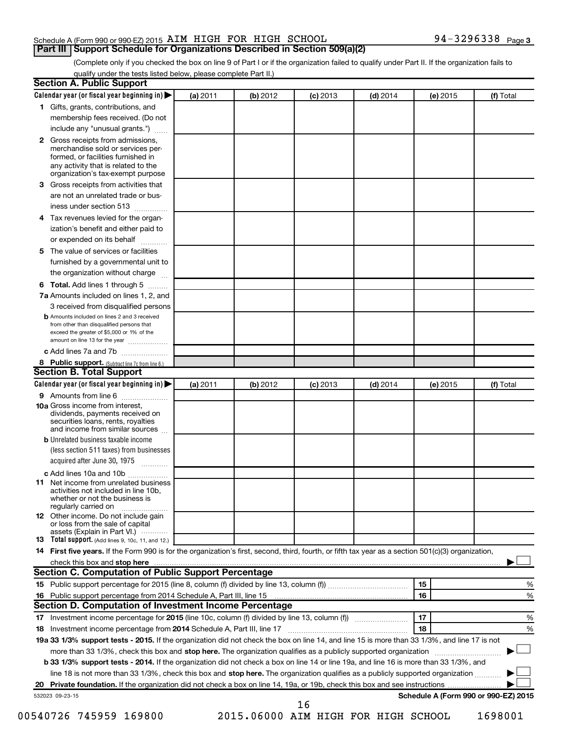#### Schedule A (Form 990 or 990-EZ) 2015  $\,$  AIM HIGH FOR HIGH SCHOOL  $\,$  94 - 3296338  $\,$  Page **Part III Support Schedule for Organizations Described in Section 509(a)(2)**

(Complete only if you checked the box on line 9 of Part I or if the organization failed to qualify under Part II. If the organization fails to qualify under the tests listed below, please complete Part II.)

|    | Calendar year (or fiscal year beginning in)                                                                                                                                                                                   | (a) 2011 | (b) 2012 | $(c)$ 2013 | $(d)$ 2014 |    | (e) 2015 | (f) Total                            |
|----|-------------------------------------------------------------------------------------------------------------------------------------------------------------------------------------------------------------------------------|----------|----------|------------|------------|----|----------|--------------------------------------|
|    | 1 Gifts, grants, contributions, and                                                                                                                                                                                           |          |          |            |            |    |          |                                      |
|    | membership fees received. (Do not                                                                                                                                                                                             |          |          |            |            |    |          |                                      |
|    | include any "unusual grants.")                                                                                                                                                                                                |          |          |            |            |    |          |                                      |
|    | 2 Gross receipts from admissions,<br>merchandise sold or services per-<br>formed, or facilities furnished in                                                                                                                  |          |          |            |            |    |          |                                      |
|    | any activity that is related to the<br>organization's tax-exempt purpose                                                                                                                                                      |          |          |            |            |    |          |                                      |
| з  | Gross receipts from activities that                                                                                                                                                                                           |          |          |            |            |    |          |                                      |
|    | are not an unrelated trade or bus-                                                                                                                                                                                            |          |          |            |            |    |          |                                      |
|    | iness under section 513                                                                                                                                                                                                       |          |          |            |            |    |          |                                      |
| 4  | Tax revenues levied for the organ-                                                                                                                                                                                            |          |          |            |            |    |          |                                      |
|    | ization's benefit and either paid to<br>or expended on its behalf<br>.                                                                                                                                                        |          |          |            |            |    |          |                                      |
| 5  | The value of services or facilities                                                                                                                                                                                           |          |          |            |            |    |          |                                      |
|    | furnished by a governmental unit to<br>the organization without charge                                                                                                                                                        |          |          |            |            |    |          |                                      |
|    |                                                                                                                                                                                                                               |          |          |            |            |    |          |                                      |
| 6  | Total. Add lines 1 through 5                                                                                                                                                                                                  |          |          |            |            |    |          |                                      |
|    | 7a Amounts included on lines 1, 2, and                                                                                                                                                                                        |          |          |            |            |    |          |                                      |
|    | 3 received from disqualified persons                                                                                                                                                                                          |          |          |            |            |    |          |                                      |
|    | <b>b</b> Amounts included on lines 2 and 3 received<br>from other than disqualified persons that<br>exceed the greater of \$5,000 or 1% of the                                                                                |          |          |            |            |    |          |                                      |
|    | amount on line 13 for the year                                                                                                                                                                                                |          |          |            |            |    |          |                                      |
|    | c Add lines 7a and 7b                                                                                                                                                                                                         |          |          |            |            |    |          |                                      |
|    | 8 Public support. (Subtract line 7c from line 6.)<br><b>Section B. Total Support</b>                                                                                                                                          |          |          |            |            |    |          |                                      |
|    | Calendar year (or fiscal year beginning in)                                                                                                                                                                                   | (a) 2011 | (b) 2012 | $(c)$ 2013 | $(d)$ 2014 |    | (e) 2015 | (f) Total                            |
|    | 9 Amounts from line 6                                                                                                                                                                                                         |          |          |            |            |    |          |                                      |
|    | <b>10a</b> Gross income from interest,<br>dividends, payments received on<br>securities loans, rents, royalties<br>and income from similar sources                                                                            |          |          |            |            |    |          |                                      |
|    | <b>b</b> Unrelated business taxable income                                                                                                                                                                                    |          |          |            |            |    |          |                                      |
|    | (less section 511 taxes) from businesses<br>acquired after June 30, 1975                                                                                                                                                      |          |          |            |            |    |          |                                      |
|    | c Add lines 10a and 10b                                                                                                                                                                                                       |          |          |            |            |    |          |                                      |
|    | <b>11</b> Net income from unrelated business<br>activities not included in line 10b.<br>whether or not the business is<br>regularly carried on                                                                                |          |          |            |            |    |          |                                      |
|    | 12 Other income. Do not include gain<br>or loss from the sale of capital<br>assets (Explain in Part VI.)                                                                                                                      |          |          |            |            |    |          |                                      |
|    | 13 Total support. (Add lines 9, 10c, 11, and 12.)                                                                                                                                                                             |          |          |            |            |    |          |                                      |
|    | 14 First five years. If the Form 990 is for the organization's first, second, third, fourth, or fifth tax year as a section 501(c)(3) organization,                                                                           |          |          |            |            |    |          |                                      |
|    | check this box and stop here measurements and the contract of the state of the state of the state of the state of the state of the state of the state of the state of the state of the state of the state of the state of the |          |          |            |            |    |          |                                      |
|    | Section C. Computation of Public Support Percentage                                                                                                                                                                           |          |          |            |            |    |          |                                      |
|    |                                                                                                                                                                                                                               |          |          |            |            | 15 |          | %                                    |
| 16 |                                                                                                                                                                                                                               |          |          |            |            | 16 |          | %                                    |
|    | Section D. Computation of Investment Income Percentage                                                                                                                                                                        |          |          |            |            |    |          |                                      |
|    |                                                                                                                                                                                                                               |          |          |            |            | 17 |          | %                                    |
| 18 |                                                                                                                                                                                                                               |          |          |            |            | 18 |          | %                                    |
|    | 19a 33 1/3% support tests - 2015. If the organization did not check the box on line 14, and line 15 is more than 33 1/3%, and line 17 is not                                                                                  |          |          |            |            |    |          |                                      |
|    | more than 33 1/3%, check this box and stop here. The organization qualifies as a publicly supported organization <i>marroummanness</i>                                                                                        |          |          |            |            |    |          |                                      |
|    |                                                                                                                                                                                                                               |          |          |            |            |    |          |                                      |
|    |                                                                                                                                                                                                                               |          |          |            |            |    |          |                                      |
|    | b 33 1/3% support tests - 2014. If the organization did not check a box on line 14 or line 19a, and line 16 is more than 33 1/3%, and                                                                                         |          |          |            |            |    |          |                                      |
|    | line 18 is not more than 33 1/3%, check this box and stop here. The organization qualifies as a publicly supported organization                                                                                               |          |          |            |            |    |          |                                      |
|    | 532023 09-23-15                                                                                                                                                                                                               |          |          |            |            |    |          | Schedule A (Form 990 or 990-EZ) 2015 |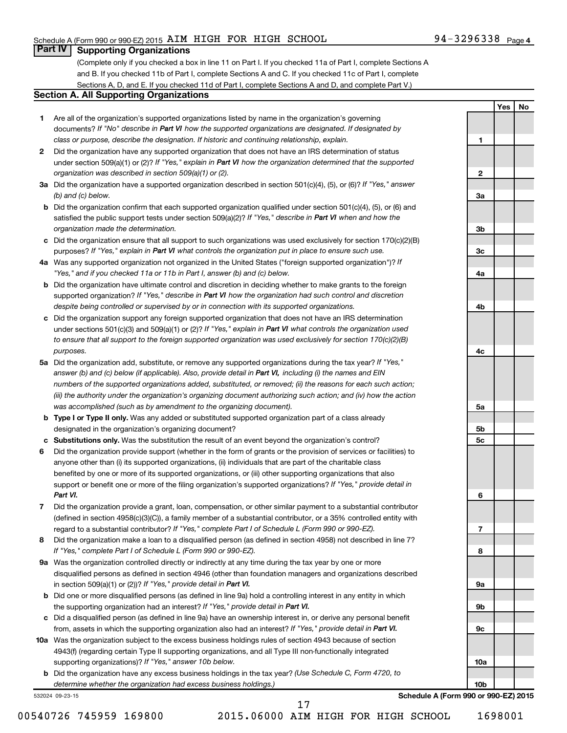**1**

**2**

**3a**

**3b**

**3c**

**4a**

**4b**

**4c**

**5a**

**5b 5c**

**6**

**7**

**8**

**9a**

**9b**

**9c**

**10a**

**10b**

**Schedule A (Form 990 or 990-EZ) 2015**

**Yes No**

### **Part IV Supporting Organizations**

(Complete only if you checked a box in line 11 on Part I. If you checked 11a of Part I, complete Sections A and B. If you checked 11b of Part I, complete Sections A and C. If you checked 11c of Part I, complete Sections A, D, and E. If you checked 11d of Part I, complete Sections A and D, and complete Part V.)

#### **Section A. All Supporting Organizations**

- **1** Are all of the organization's supported organizations listed by name in the organization's governing documents? If "No" describe in Part VI how the supported organizations are designated. If designated by *class or purpose, describe the designation. If historic and continuing relationship, explain.*
- **2** Did the organization have any supported organization that does not have an IRS determination of status under section 509(a)(1) or (2)? If "Yes," explain in Part VI how the organization determined that the supported *organization was described in section 509(a)(1) or (2).*
- **3a** Did the organization have a supported organization described in section 501(c)(4), (5), or (6)? If "Yes," answer *(b) and (c) below.*
- **b** Did the organization confirm that each supported organization qualified under section 501(c)(4), (5), or (6) and satisfied the public support tests under section 509(a)(2)? If "Yes," describe in Part VI when and how the *organization made the determination.*
- **c** Did the organization ensure that all support to such organizations was used exclusively for section 170(c)(2)(B) purposes? If "Yes," explain in Part VI what controls the organization put in place to ensure such use.
- **4 a** *If* Was any supported organization not organized in the United States ("foreign supported organization")? *"Yes," and if you checked 11a or 11b in Part I, answer (b) and (c) below.*
- **b** Did the organization have ultimate control and discretion in deciding whether to make grants to the foreign supported organization? If "Yes," describe in Part VI how the organization had such control and discretion *despite being controlled or supervised by or in connection with its supported organizations.*
- **c** Did the organization support any foreign supported organization that does not have an IRS determination under sections 501(c)(3) and 509(a)(1) or (2)? If "Yes," explain in Part VI what controls the organization used *to ensure that all support to the foreign supported organization was used exclusively for section 170(c)(2)(B) purposes.*
- **5a** Did the organization add, substitute, or remove any supported organizations during the tax year? If "Yes," answer (b) and (c) below (if applicable). Also, provide detail in Part VI, including (i) the names and EIN *numbers of the supported organizations added, substituted, or removed; (ii) the reasons for each such action; (iii) the authority under the organization's organizing document authorizing such action; and (iv) how the action was accomplished (such as by amendment to the organizing document).*
- **b Type I or Type II only.** Was any added or substituted supported organization part of a class already designated in the organization's organizing document?
- **c Substitutions only.**  Was the substitution the result of an event beyond the organization's control?
- **6** Did the organization provide support (whether in the form of grants or the provision of services or facilities) to support or benefit one or more of the filing organization's supported organizations? If "Yes," provide detail in anyone other than (i) its supported organizations, (ii) individuals that are part of the charitable class benefited by one or more of its supported organizations, or (iii) other supporting organizations that also *Part VI.*
- **7** Did the organization provide a grant, loan, compensation, or other similar payment to a substantial contributor regard to a substantial contributor? If "Yes," complete Part I of Schedule L (Form 990 or 990-EZ). (defined in section 4958(c)(3)(C)), a family member of a substantial contributor, or a 35% controlled entity with
- **8** Did the organization make a loan to a disqualified person (as defined in section 4958) not described in line 7? *If "Yes," complete Part I of Schedule L (Form 990 or 990-EZ).*
- **9 a** Was the organization controlled directly or indirectly at any time during the tax year by one or more in section 509(a)(1) or (2))? If "Yes," provide detail in Part VI. disqualified persons as defined in section 4946 (other than foundation managers and organizations described
- **b** Did one or more disqualified persons (as defined in line 9a) hold a controlling interest in any entity in which the supporting organization had an interest? If "Yes," provide detail in Part VI.
- **c** Did a disqualified person (as defined in line 9a) have an ownership interest in, or derive any personal benefit from, assets in which the supporting organization also had an interest? If "Yes," provide detail in Part VI.
- **10 a** Was the organization subject to the excess business holdings rules of section 4943 because of section supporting organizations)? If "Yes," answer 10b below. 4943(f) (regarding certain Type II supporting organizations, and all Type III non-functionally integrated
	- **b** Did the organization have any excess business holdings in the tax year? (Use Schedule C, Form 4720, to *determine whether the organization had excess business holdings.)*

532024 09-23-15

00540726 745959 169800 2015.06000 AIM HIGH FOR HIGH SCHOOL 1698001

17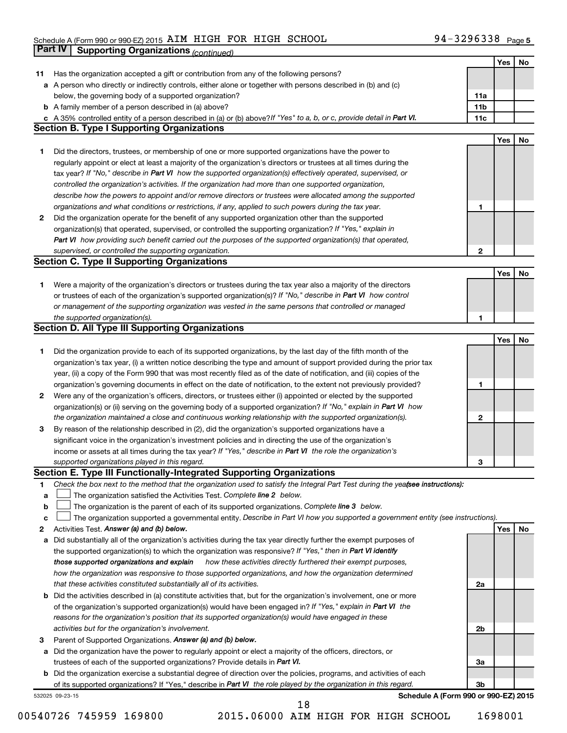#### Schedule A (Form 990 or 990-EZ) 2015 AIM HIGH FOR HIGH SCHOOL 94--3296338 Page AIM HIGH FOR HIGH SCHOOL 94-3296338

|    | <b>Part IV</b>  | <b>Supporting Organizations (continued)</b>                                                                                     |                 |     |    |
|----|-----------------|---------------------------------------------------------------------------------------------------------------------------------|-----------------|-----|----|
|    |                 |                                                                                                                                 |                 | Yes | No |
| 11 |                 | Has the organization accepted a gift or contribution from any of the following persons?                                         |                 |     |    |
| а  |                 | A person who directly or indirectly controls, either alone or together with persons described in (b) and (c)                    |                 |     |    |
|    |                 | below, the governing body of a supported organization?                                                                          | 11a             |     |    |
|    |                 | <b>b</b> A family member of a person described in (a) above?                                                                    | 11 <sub>b</sub> |     |    |
|    |                 | c A 35% controlled entity of a person described in (a) or (b) above? If "Yes" to a, b, or c, provide detail in Part VI.         | 11c             |     |    |
|    |                 | <b>Section B. Type I Supporting Organizations</b>                                                                               |                 |     |    |
|    |                 |                                                                                                                                 |                 | Yes | No |
| 1. |                 | Did the directors, trustees, or membership of one or more supported organizations have the power to                             |                 |     |    |
|    |                 | regularly appoint or elect at least a majority of the organization's directors or trustees at all times during the              |                 |     |    |
|    |                 |                                                                                                                                 |                 |     |    |
|    |                 | tax year? If "No," describe in Part VI how the supported organization(s) effectively operated, supervised, or                   |                 |     |    |
|    |                 | controlled the organization's activities. If the organization had more than one supported organization,                         |                 |     |    |
|    |                 | describe how the powers to appoint and/or remove directors or trustees were allocated among the supported                       |                 |     |    |
|    |                 | organizations and what conditions or restrictions, if any, applied to such powers during the tax year.                          | 1               |     |    |
| 2  |                 | Did the organization operate for the benefit of any supported organization other than the supported                             |                 |     |    |
|    |                 | organization(s) that operated, supervised, or controlled the supporting organization? If "Yes," explain in                      |                 |     |    |
|    |                 | Part VI how providing such benefit carried out the purposes of the supported organization(s) that operated,                     |                 |     |    |
|    |                 | supervised, or controlled the supporting organization.                                                                          | 2               |     |    |
|    |                 | <b>Section C. Type II Supporting Organizations</b>                                                                              |                 |     |    |
|    |                 |                                                                                                                                 |                 | Yes | No |
| 1. |                 | Were a majority of the organization's directors or trustees during the tax year also a majority of the directors                |                 |     |    |
|    |                 | or trustees of each of the organization's supported organization(s)? If "No," describe in Part VI how control                   |                 |     |    |
|    |                 | or management of the supporting organization was vested in the same persons that controlled or managed                          |                 |     |    |
|    |                 | the supported organization(s).                                                                                                  | 1               |     |    |
|    |                 | <b>Section D. All Type III Supporting Organizations</b>                                                                         |                 |     |    |
|    |                 |                                                                                                                                 |                 | Yes | No |
| 1  |                 | Did the organization provide to each of its supported organizations, by the last day of the fifth month of the                  |                 |     |    |
|    |                 | organization's tax year, (i) a written notice describing the type and amount of support provided during the prior tax           |                 |     |    |
|    |                 | year, (ii) a copy of the Form 990 that was most recently filed as of the date of notification, and (iii) copies of the          |                 |     |    |
|    |                 | organization's governing documents in effect on the date of notification, to the extent not previously provided?                | 1               |     |    |
| 2  |                 | Were any of the organization's officers, directors, or trustees either (i) appointed or elected by the supported                |                 |     |    |
|    |                 | organization(s) or (ii) serving on the governing body of a supported organization? If "No," explain in Part VI how              |                 |     |    |
|    |                 | the organization maintained a close and continuous working relationship with the supported organization(s).                     | 2               |     |    |
| 3  |                 | By reason of the relationship described in (2), did the organization's supported organizations have a                           |                 |     |    |
|    |                 | significant voice in the organization's investment policies and in directing the use of the organization's                      |                 |     |    |
|    |                 | income or assets at all times during the tax year? If "Yes," describe in Part VI the role the organization's                    |                 |     |    |
|    |                 | supported organizations played in this regard.                                                                                  |                 |     |    |
|    |                 | Section E. Type III Functionally-Integrated Supporting Organizations                                                            | з               |     |    |
|    |                 |                                                                                                                                 |                 |     |    |
| 1  |                 | Check the box next to the method that the organization used to satisfy the Integral Part Test during the yealsee instructions): |                 |     |    |
| a  |                 | The organization satisfied the Activities Test. Complete line 2 below.                                                          |                 |     |    |
| b  |                 | The organization is the parent of each of its supported organizations. Complete line 3 below.                                   |                 |     |    |
| c  |                 | The organization supported a governmental entity. Describe in Part VI how you supported a government entity (see instructions). |                 |     |    |
| 2  |                 | Activities Test. Answer (a) and (b) below.                                                                                      |                 | Yes | No |
| а  |                 | Did substantially all of the organization's activities during the tax year directly further the exempt purposes of              |                 |     |    |
|    |                 | the supported organization(s) to which the organization was responsive? If "Yes," then in Part VI identify                      |                 |     |    |
|    |                 | those supported organizations and explain<br>how these activities directly furthered their exempt purposes,                     |                 |     |    |
|    |                 | how the organization was responsive to those supported organizations, and how the organization determined                       |                 |     |    |
|    |                 | that these activities constituted substantially all of its activities.                                                          | 2a              |     |    |
| b  |                 | Did the activities described in (a) constitute activities that, but for the organization's involvement, one or more             |                 |     |    |
|    |                 | of the organization's supported organization(s) would have been engaged in? If "Yes," explain in Part VI the                    |                 |     |    |
|    |                 | reasons for the organization's position that its supported organization(s) would have engaged in these                          |                 |     |    |
|    |                 | activities but for the organization's involvement.                                                                              | 2b              |     |    |
| З  |                 | Parent of Supported Organizations. Answer (a) and (b) below.                                                                    |                 |     |    |
| а  |                 | Did the organization have the power to regularly appoint or elect a majority of the officers, directors, or                     |                 |     |    |
|    |                 | trustees of each of the supported organizations? Provide details in Part VI.                                                    | За              |     |    |
|    |                 | <b>b</b> Did the organization exercise a substantial degree of direction over the policies, programs, and activities of each    |                 |     |    |
|    |                 | of its supported organizations? If "Yes," describe in Part VI the role played by the organization in this regard.               | 3b              |     |    |
|    | 532025 09-23-15 | Schedule A (Form 990 or 990-EZ) 2015                                                                                            |                 |     |    |
|    |                 | 18                                                                                                                              |                 |     |    |

00540726 745959 169800 2015.06000 AIM HIGH FOR HIGH SCHOOL 1698001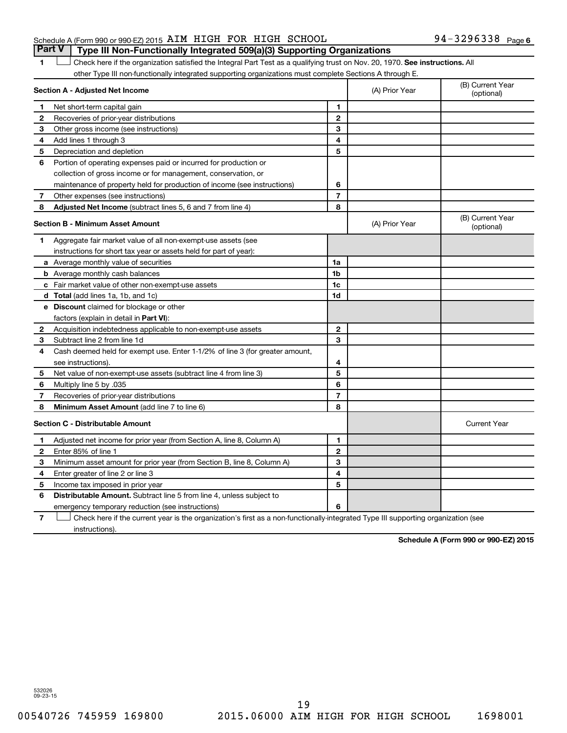#### Schedule A (Form 990 or 990-EZ) 2015  $\,$  AIM HIGH FOR HIGH SCHOOL  $\,$  94 - 3296338  $\,$  Page **Part V Type III Non-Functionally Integrated 509(a)(3) Supporting Organizations**

1 **Letter on Reck here if the organization satisfied the Integral Part Test as a qualifying trust on Nov. 20, 1970. See instructions. All** other Type III non-functionally integrated supporting organizations must complete Sections A through E.

|                | Section A - Adjusted Net Income                                                                                                   | (A) Prior Year | (B) Current Year<br>(optional) |                                |
|----------------|-----------------------------------------------------------------------------------------------------------------------------------|----------------|--------------------------------|--------------------------------|
| 1.             | Net short-term capital gain                                                                                                       | 1              |                                |                                |
| $\mathbf{2}$   | Recoveries of prior-year distributions                                                                                            | $\mathbf{2}$   |                                |                                |
| 3              | Other gross income (see instructions)                                                                                             | 3              |                                |                                |
| 4              | Add lines 1 through 3                                                                                                             | 4              |                                |                                |
| 5              | Depreciation and depletion                                                                                                        | 5              |                                |                                |
| 6              | Portion of operating expenses paid or incurred for production or                                                                  |                |                                |                                |
|                | collection of gross income or for management, conservation, or                                                                    |                |                                |                                |
|                | maintenance of property held for production of income (see instructions)                                                          | 6              |                                |                                |
| $\overline{7}$ | Other expenses (see instructions)                                                                                                 | $\overline{7}$ |                                |                                |
| 8              | Adjusted Net Income (subtract lines 5, 6 and 7 from line 4)                                                                       | 8              |                                |                                |
|                | <b>Section B - Minimum Asset Amount</b>                                                                                           |                | (A) Prior Year                 | (B) Current Year<br>(optional) |
| 1              | Aggregate fair market value of all non-exempt-use assets (see                                                                     |                |                                |                                |
|                | instructions for short tax year or assets held for part of year):                                                                 |                |                                |                                |
|                | <b>a</b> Average monthly value of securities                                                                                      | 1a             |                                |                                |
|                | <b>b</b> Average monthly cash balances                                                                                            | 1 <sub>b</sub> |                                |                                |
|                | c Fair market value of other non-exempt-use assets                                                                                | 1c             |                                |                                |
|                | d Total (add lines 1a, 1b, and 1c)                                                                                                | 1 <sub>d</sub> |                                |                                |
|                | e Discount claimed for blockage or other                                                                                          |                |                                |                                |
|                | factors (explain in detail in Part VI):                                                                                           |                |                                |                                |
| 2              | Acquisition indebtedness applicable to non-exempt-use assets                                                                      | $\mathbf{2}$   |                                |                                |
| З              | Subtract line 2 from line 1d                                                                                                      | 3              |                                |                                |
| 4              | Cash deemed held for exempt use. Enter 1-1/2% of line 3 (for greater amount,                                                      |                |                                |                                |
|                | see instructions).                                                                                                                | 4              |                                |                                |
| 5              | Net value of non-exempt-use assets (subtract line 4 from line 3)                                                                  | 5              |                                |                                |
| 6              | Multiply line 5 by .035                                                                                                           | 6              |                                |                                |
| 7              | Recoveries of prior-year distributions                                                                                            | 7              |                                |                                |
| 8              | <b>Minimum Asset Amount (add line 7 to line 6)</b>                                                                                | 8              |                                |                                |
|                | <b>Section C - Distributable Amount</b>                                                                                           |                |                                | <b>Current Year</b>            |
| 1              | Adjusted net income for prior year (from Section A, line 8, Column A)                                                             | 1              |                                |                                |
| $\mathbf{2}$   | Enter 85% of line 1                                                                                                               | $\overline{2}$ |                                |                                |
| З              | Minimum asset amount for prior year (from Section B, line 8, Column A)                                                            | 3              |                                |                                |
| 4              | Enter greater of line 2 or line 3                                                                                                 | 4              |                                |                                |
| 5              | Income tax imposed in prior year                                                                                                  | 5              |                                |                                |
| 6              | <b>Distributable Amount.</b> Subtract line 5 from line 4, unless subject to                                                       |                |                                |                                |
|                | emergency temporary reduction (see instructions)                                                                                  | 6              |                                |                                |
| 7              | Check here if the current year is the organization's first as a non-functionally-integrated Type III supporting organization (see |                |                                |                                |

instructions).

**Schedule A (Form 990 or 990-EZ) 2015**

532026 09-23-15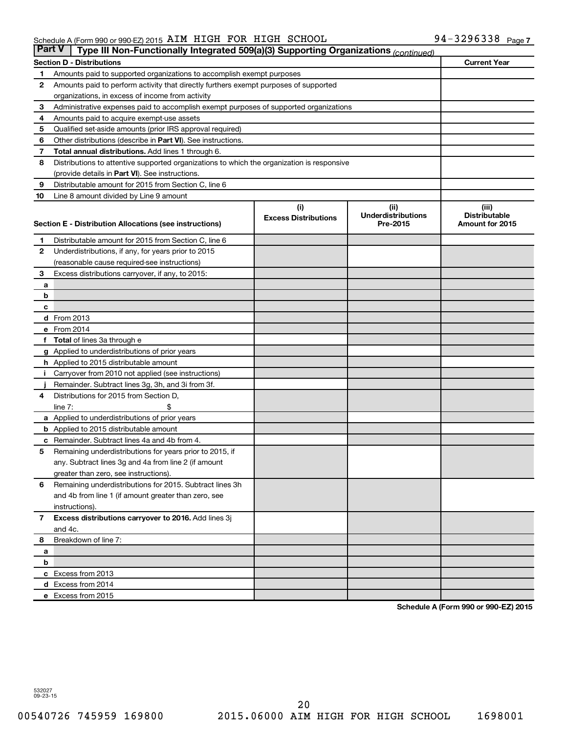#### Schedule A (Form 990 or 990-EZ) 2015 AIM HIGH FOR HIGH SCHOOL 94--3296338 Page AIM HIGH FOR HIGH SCHOOL 94-3296338

| <b>Part V</b> | Type III Non-Functionally Integrated 509(a)(3) Supporting Organizations (continued)                    |                             |                                       |                                         |
|---------------|--------------------------------------------------------------------------------------------------------|-----------------------------|---------------------------------------|-----------------------------------------|
|               | <b>Section D - Distributions</b>                                                                       |                             |                                       | <b>Current Year</b>                     |
| 1             | Amounts paid to supported organizations to accomplish exempt purposes                                  |                             |                                       |                                         |
| 2             | Amounts paid to perform activity that directly furthers exempt purposes of supported                   |                             |                                       |                                         |
|               | organizations, in excess of income from activity                                                       |                             |                                       |                                         |
| 3             | Administrative expenses paid to accomplish exempt purposes of supported organizations                  |                             |                                       |                                         |
| 4             | Amounts paid to acquire exempt-use assets                                                              |                             |                                       |                                         |
| 5             | Qualified set-aside amounts (prior IRS approval required)                                              |                             |                                       |                                         |
| 6             | Other distributions (describe in Part VI). See instructions.                                           |                             |                                       |                                         |
| 7             | <b>Total annual distributions.</b> Add lines 1 through 6.                                              |                             |                                       |                                         |
| 8             | Distributions to attentive supported organizations to which the organization is responsive             |                             |                                       |                                         |
|               | (provide details in Part VI). See instructions.                                                        |                             |                                       |                                         |
| 9             | Distributable amount for 2015 from Section C, line 6                                                   |                             |                                       |                                         |
| 10            | Line 8 amount divided by Line 9 amount                                                                 |                             |                                       |                                         |
|               |                                                                                                        | (i)                         | (ii)                                  | (iii)                                   |
|               | Section E - Distribution Allocations (see instructions)                                                | <b>Excess Distributions</b> | <b>Underdistributions</b><br>Pre-2015 | <b>Distributable</b><br>Amount for 2015 |
|               |                                                                                                        |                             |                                       |                                         |
| 1             | Distributable amount for 2015 from Section C, line 6                                                   |                             |                                       |                                         |
| $\mathbf{2}$  | Underdistributions, if any, for years prior to 2015                                                    |                             |                                       |                                         |
|               | (reasonable cause required-see instructions)                                                           |                             |                                       |                                         |
| 3             | Excess distributions carryover, if any, to 2015:                                                       |                             |                                       |                                         |
| a             |                                                                                                        |                             |                                       |                                         |
| b             |                                                                                                        |                             |                                       |                                         |
| с             |                                                                                                        |                             |                                       |                                         |
|               | d From 2013<br>e From 2014                                                                             |                             |                                       |                                         |
|               |                                                                                                        |                             |                                       |                                         |
|               | <b>Total</b> of lines 3a through e                                                                     |                             |                                       |                                         |
|               | <b>g</b> Applied to underdistributions of prior years<br><b>h</b> Applied to 2015 distributable amount |                             |                                       |                                         |
|               | Carryover from 2010 not applied (see instructions)                                                     |                             |                                       |                                         |
|               | Remainder. Subtract lines 3g, 3h, and 3i from 3f.                                                      |                             |                                       |                                         |
| 4             | Distributions for 2015 from Section D,                                                                 |                             |                                       |                                         |
|               | $line 7$ :                                                                                             |                             |                                       |                                         |
|               | a Applied to underdistributions of prior years                                                         |                             |                                       |                                         |
|               | <b>b</b> Applied to 2015 distributable amount                                                          |                             |                                       |                                         |
| с             | Remainder. Subtract lines 4a and 4b from 4.                                                            |                             |                                       |                                         |
| 5             | Remaining underdistributions for years prior to 2015, if                                               |                             |                                       |                                         |
|               | any. Subtract lines 3g and 4a from line 2 (if amount                                                   |                             |                                       |                                         |
|               | greater than zero, see instructions).                                                                  |                             |                                       |                                         |
| 6             | Remaining underdistributions for 2015. Subtract lines 3h                                               |                             |                                       |                                         |
|               | and 4b from line 1 (if amount greater than zero, see                                                   |                             |                                       |                                         |
|               | instructions).                                                                                         |                             |                                       |                                         |
| $\mathbf{7}$  | Excess distributions carryover to 2016. Add lines 3j                                                   |                             |                                       |                                         |
|               | and 4c.                                                                                                |                             |                                       |                                         |
| 8             | Breakdown of line 7:                                                                                   |                             |                                       |                                         |
| a             |                                                                                                        |                             |                                       |                                         |
| b             |                                                                                                        |                             |                                       |                                         |
|               | c Excess from 2013                                                                                     |                             |                                       |                                         |
|               | d Excess from 2014                                                                                     |                             |                                       |                                         |
|               | e Excess from 2015                                                                                     |                             |                                       |                                         |

**Schedule A (Form 990 or 990-EZ) 2015**

532027 09-23-15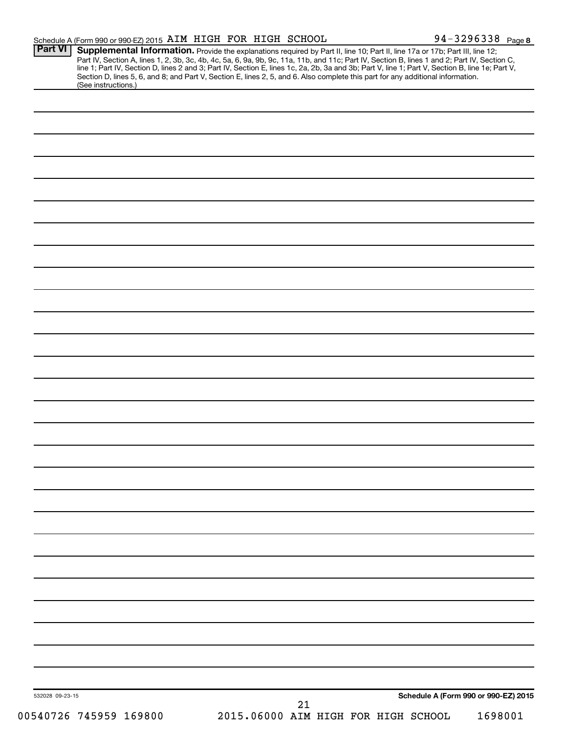|                 |                        | Schedule A (Form 990 or 990-EZ) 2015 AIM HIGH FOR HIGH SCHOOL                                                                                                                                                                                                                                                                                                                                                                                                                                                                                                       |  |    |  |                                      | 94-3296338 Page 8 |
|-----------------|------------------------|---------------------------------------------------------------------------------------------------------------------------------------------------------------------------------------------------------------------------------------------------------------------------------------------------------------------------------------------------------------------------------------------------------------------------------------------------------------------------------------------------------------------------------------------------------------------|--|----|--|--------------------------------------|-------------------|
| Part VI         | (See instructions.)    | Supplemental Information. Provide the explanations required by Part II, line 10; Part II, line 17a or 17b; Part III, line 12;<br>Part IV, Section A, lines 1, 2, 3b, 3c, 4b, 4c, 5a, 6, 9a, 9b, 9c, 11a, 11b, and 11c; Part IV, Section B, lines 1 and 2; Part IV, Section C,<br>line 1; Part IV, Section D, lines 2 and 3; Part IV, Section E, lines 1c, 2a, 2b, 3a and 3b; Part V, line 1; Part V, Section B, line 1e; Part V,<br>Section D, lines 5, 6, and 8; and Part V, Section E, lines 2, 5, and 6. Also complete this part for any additional information. |  |    |  |                                      |                   |
|                 |                        |                                                                                                                                                                                                                                                                                                                                                                                                                                                                                                                                                                     |  |    |  |                                      |                   |
|                 |                        |                                                                                                                                                                                                                                                                                                                                                                                                                                                                                                                                                                     |  |    |  |                                      |                   |
|                 |                        |                                                                                                                                                                                                                                                                                                                                                                                                                                                                                                                                                                     |  |    |  |                                      |                   |
|                 |                        |                                                                                                                                                                                                                                                                                                                                                                                                                                                                                                                                                                     |  |    |  |                                      |                   |
|                 |                        |                                                                                                                                                                                                                                                                                                                                                                                                                                                                                                                                                                     |  |    |  |                                      |                   |
|                 |                        |                                                                                                                                                                                                                                                                                                                                                                                                                                                                                                                                                                     |  |    |  |                                      |                   |
|                 |                        |                                                                                                                                                                                                                                                                                                                                                                                                                                                                                                                                                                     |  |    |  |                                      |                   |
|                 |                        |                                                                                                                                                                                                                                                                                                                                                                                                                                                                                                                                                                     |  |    |  |                                      |                   |
|                 |                        |                                                                                                                                                                                                                                                                                                                                                                                                                                                                                                                                                                     |  |    |  |                                      |                   |
|                 |                        |                                                                                                                                                                                                                                                                                                                                                                                                                                                                                                                                                                     |  |    |  |                                      |                   |
|                 |                        |                                                                                                                                                                                                                                                                                                                                                                                                                                                                                                                                                                     |  |    |  |                                      |                   |
|                 |                        |                                                                                                                                                                                                                                                                                                                                                                                                                                                                                                                                                                     |  |    |  |                                      |                   |
|                 |                        |                                                                                                                                                                                                                                                                                                                                                                                                                                                                                                                                                                     |  |    |  |                                      |                   |
|                 |                        |                                                                                                                                                                                                                                                                                                                                                                                                                                                                                                                                                                     |  |    |  |                                      |                   |
|                 |                        |                                                                                                                                                                                                                                                                                                                                                                                                                                                                                                                                                                     |  |    |  |                                      |                   |
|                 |                        |                                                                                                                                                                                                                                                                                                                                                                                                                                                                                                                                                                     |  |    |  |                                      |                   |
|                 |                        |                                                                                                                                                                                                                                                                                                                                                                                                                                                                                                                                                                     |  |    |  |                                      |                   |
|                 |                        |                                                                                                                                                                                                                                                                                                                                                                                                                                                                                                                                                                     |  |    |  |                                      |                   |
|                 |                        |                                                                                                                                                                                                                                                                                                                                                                                                                                                                                                                                                                     |  |    |  |                                      |                   |
|                 |                        |                                                                                                                                                                                                                                                                                                                                                                                                                                                                                                                                                                     |  |    |  |                                      |                   |
|                 |                        |                                                                                                                                                                                                                                                                                                                                                                                                                                                                                                                                                                     |  |    |  |                                      |                   |
|                 |                        |                                                                                                                                                                                                                                                                                                                                                                                                                                                                                                                                                                     |  |    |  |                                      |                   |
|                 |                        |                                                                                                                                                                                                                                                                                                                                                                                                                                                                                                                                                                     |  |    |  |                                      |                   |
|                 |                        |                                                                                                                                                                                                                                                                                                                                                                                                                                                                                                                                                                     |  |    |  |                                      |                   |
|                 |                        |                                                                                                                                                                                                                                                                                                                                                                                                                                                                                                                                                                     |  |    |  |                                      |                   |
|                 |                        |                                                                                                                                                                                                                                                                                                                                                                                                                                                                                                                                                                     |  |    |  |                                      |                   |
|                 |                        |                                                                                                                                                                                                                                                                                                                                                                                                                                                                                                                                                                     |  |    |  |                                      |                   |
|                 |                        |                                                                                                                                                                                                                                                                                                                                                                                                                                                                                                                                                                     |  |    |  |                                      |                   |
|                 |                        |                                                                                                                                                                                                                                                                                                                                                                                                                                                                                                                                                                     |  |    |  |                                      |                   |
|                 |                        |                                                                                                                                                                                                                                                                                                                                                                                                                                                                                                                                                                     |  |    |  |                                      |                   |
|                 |                        |                                                                                                                                                                                                                                                                                                                                                                                                                                                                                                                                                                     |  |    |  |                                      |                   |
| 532028 09-23-15 |                        |                                                                                                                                                                                                                                                                                                                                                                                                                                                                                                                                                                     |  | 21 |  | Schedule A (Form 990 or 990-EZ) 2015 |                   |
|                 | 00540726 745959 169800 |                                                                                                                                                                                                                                                                                                                                                                                                                                                                                                                                                                     |  |    |  | 2015.06000 AIM HIGH FOR HIGH SCHOOL  | 1698001           |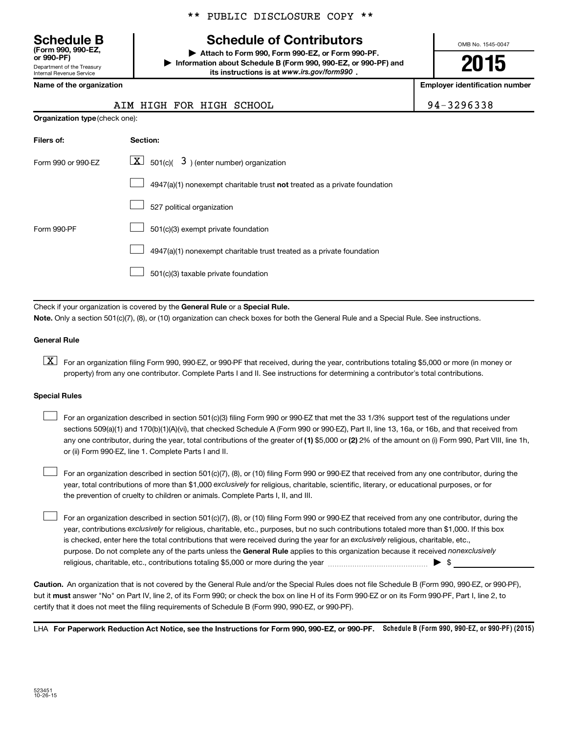Department of the Treasury **(Form 990, 990-EZ,**

Internal Revenue Service

**Organization type** (check one):

\*\* PUBLIC DISCLOSURE COPY \*\*

## **Schedule B Schedule of Contributors**

**or 990-PF) | Attach to Form 990, Form 990-EZ, or Form 990-PF. | Information about Schedule B (Form 990, 990-EZ, or 990-PF) and** its instructions is at www.irs.gov/form990.

OMB No. 1545-0047

**2015**

**Name of the organization Employer identification number**

94-3296338

| Filers of:         | <b>Section:</b>                                                           |
|--------------------|---------------------------------------------------------------------------|
| Form 990 or 990-EZ | $\lfloor x \rfloor$ 501(c)( 3) (enter number) organization                |
|                    | 4947(a)(1) nonexempt charitable trust not treated as a private foundation |
|                    | 527 political organization                                                |
| Form 990-PF        | 501(c)(3) exempt private foundation                                       |
|                    | 4947(a)(1) nonexempt charitable trust treated as a private foundation     |
|                    | 501(c)(3) taxable private foundation                                      |

Check if your organization is covered by the General Rule or a Special Rule.

**Note.**  Only a section 501(c)(7), (8), or (10) organization can check boxes for both the General Rule and a Special Rule. See instructions.

#### **General Rule**

**K** For an organization filing Form 990, 990-EZ, or 990-PF that received, during the year, contributions totaling \$5,000 or more (in money or property) from any one contributor. Complete Parts I and II. See instructions for determining a contributor's total contributions.

#### **Special Rules**

 $\Box$ 

any one contributor, during the year, total contributions of the greater of **(1)** \$5,000 or **(2)** 2% of the amount on (i) Form 990, Part VIII, line 1h, For an organization described in section 501(c)(3) filing Form 990 or 990-EZ that met the 33 1/3% support test of the regulations under sections 509(a)(1) and 170(b)(1)(A)(vi), that checked Schedule A (Form 990 or 990-EZ), Part II, line 13, 16a, or 16b, and that received from or (ii) Form 990-EZ, line 1. Complete Parts I and II.  $\Box$ 

year, total contributions of more than \$1,000 *exclusively* for religious, charitable, scientific, literary, or educational purposes, or for For an organization described in section 501(c)(7), (8), or (10) filing Form 990 or 990-EZ that received from any one contributor, during the the prevention of cruelty to children or animals. Complete Parts I, II, and III.  $\Box$ 

purpose. Do not complete any of the parts unless the General Rule applies to this organization because it received nonexclusively year, contributions exclusively for religious, charitable, etc., purposes, but no such contributions totaled more than \$1,000. If this box is checked, enter here the total contributions that were received during the year for an exclusively religious, charitable, etc., For an organization described in section 501(c)(7), (8), or (10) filing Form 990 or 990-EZ that received from any one contributor, during the religious, charitable, etc., contributions totaling \$5,000 or more during the year  $\ldots$  $\ldots$  $\ldots$  $\ldots$  $\ldots$  $\ldots$ 

**Caution.** An organization that is not covered by the General Rule and/or the Special Rules does not file Schedule B (Form 990, 990-EZ, or 990-PF),  **must** but it answer "No" on Part IV, line 2, of its Form 990; or check the box on line H of its Form 990-EZ or on its Form 990-PF, Part I, line 2, to certify that it does not meet the filing requirements of Schedule B (Form 990, 990-EZ, or 990-PF).

LHA For Paperwork Reduction Act Notice, see the Instructions for Form 990, 990-EZ, or 990-PF. Schedule B (Form 990, 990-EZ, or 990-PF) (2015)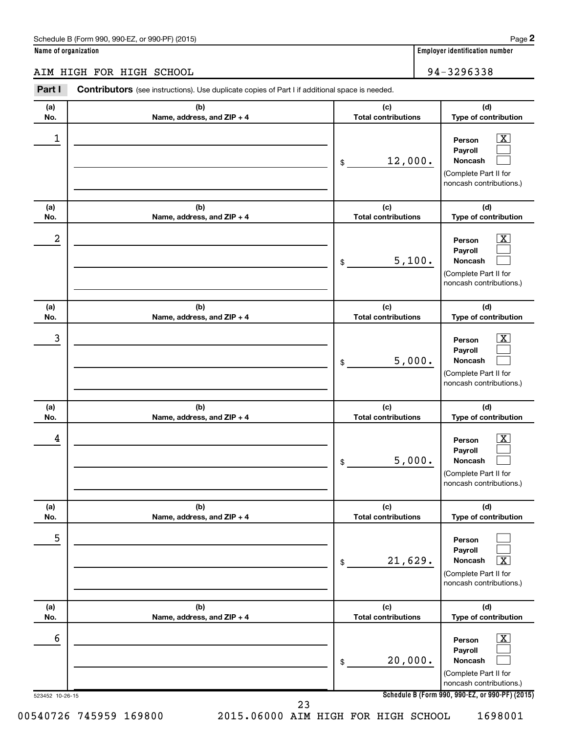| Name of organization |  |  |
|----------------------|--|--|

## AIM HIGH FOR HIGH SCHOOL 34-3296338

| (a) | (b)                        | (c)                        | (d)                                                                                                         |
|-----|----------------------------|----------------------------|-------------------------------------------------------------------------------------------------------------|
| No. | Name, address, and ZIP + 4 | <b>Total contributions</b> | Type of contribution                                                                                        |
| 1   |                            | 12,000.<br>\$              | $\overline{\text{X}}$<br>Person<br>Payroll<br>Noncash<br>(Complete Part II for<br>noncash contributions.)   |
| (a) | (b)                        | (c)                        | (d)                                                                                                         |
| No. | Name, address, and ZIP + 4 | <b>Total contributions</b> | Type of contribution                                                                                        |
| 2   |                            | 5,100.<br>\$               | $\overline{\text{X}}$<br>Person<br>Payroll<br>Noncash<br>(Complete Part II for<br>noncash contributions.)   |
| (a) | (b)                        | (c)                        | (d)                                                                                                         |
| No. | Name, address, and ZIP + 4 | <b>Total contributions</b> | Type of contribution                                                                                        |
| 3   |                            | 5,000.<br>\$               | $\overline{\text{X}}$<br>Person<br>Payroll<br>Noncash<br>(Complete Part II for<br>noncash contributions.)   |
| (a) | (b)                        | (c)                        | (d)                                                                                                         |
| No. | Name, address, and ZIP + 4 | <b>Total contributions</b> | Type of contribution                                                                                        |
| 4   |                            | 5,000.<br>\$               | $\mathbf{X}$<br>Person<br>Payroll<br>Noncash<br>(Complete Part II for<br>noncash contributions.)            |
| (a) | (b)                        | (c)                        | (d)                                                                                                         |
| No. | Name, address, and ZIP + 4 | <b>Total contributions</b> | Type of contribution                                                                                        |
| 5   |                            | 21,629.<br>\$              | Person<br>Payroll<br>$\overline{\mathbf{X}}$<br>Noncash<br>(Complete Part II for<br>noncash contributions.) |
| (a) | (b)                        | (c)                        | (d)                                                                                                         |
| No. | Name, address, and ZIP + 4 | <b>Total contributions</b> | Type of contribution                                                                                        |
| 6   |                            | 20,000.<br>\$              | $\boxed{\text{X}}$<br>Person<br>Payroll<br>Noncash<br>(Complete Part II for<br>noncash contributions.)      |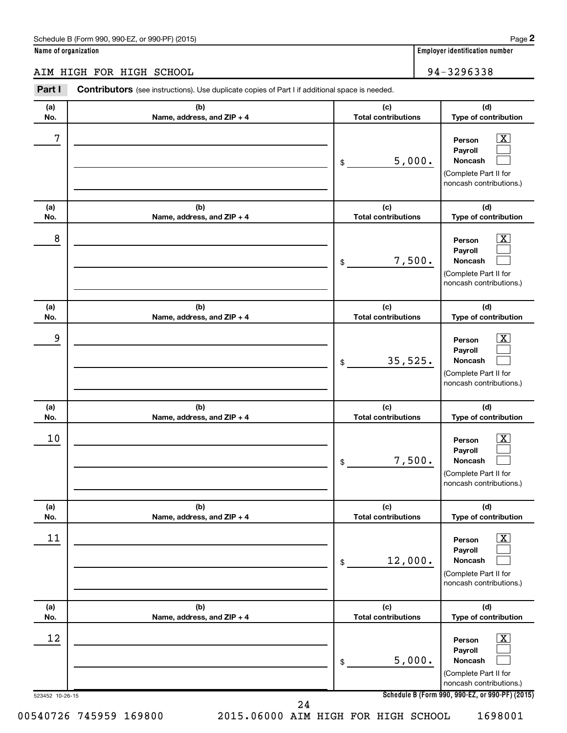## AIM HIGH FOR HIGH SCHOOL 34-3296338

| (a) | (b)                        | (c)                        | (d)                                                                                                       |
|-----|----------------------------|----------------------------|-----------------------------------------------------------------------------------------------------------|
| No. | Name, address, and ZIP + 4 | <b>Total contributions</b> | Type of contribution                                                                                      |
| 7   |                            | 5,000.<br>\$               | $\overline{\text{X}}$<br>Person<br>Payroll<br>Noncash<br>(Complete Part II for<br>noncash contributions.) |
| (a) | (b)                        | (c)                        | (d)                                                                                                       |
| No. | Name, address, and ZIP + 4 | <b>Total contributions</b> | Type of contribution                                                                                      |
| 8   |                            | 7,500.<br>\$               | $\overline{\text{X}}$<br>Person<br>Payroll<br>Noncash<br>(Complete Part II for<br>noncash contributions.) |
| (a) | (b)                        | (c)                        | (d)                                                                                                       |
| No. | Name, address, and ZIP + 4 | <b>Total contributions</b> | Type of contribution                                                                                      |
| 9   |                            | 35,525.<br>\$              | $\overline{\text{X}}$<br>Person<br>Payroll<br>Noncash<br>(Complete Part II for<br>noncash contributions.) |
| (a) | (b)                        | (c)                        | (d)                                                                                                       |
| No. | Name, address, and ZIP + 4 | <b>Total contributions</b> | Type of contribution                                                                                      |
| 10  |                            | 7,500.<br>\$               | $\mathbf{X}$<br>Person<br>Payroll<br>Noncash<br>(Complete Part II for<br>noncash contributions.)          |
| (a) | (b)                        | (c)                        | (d)                                                                                                       |
| No. | Name, address, and ZIP + 4 | <b>Total contributions</b> | Type of contribution                                                                                      |
| 11  |                            | 12,000.<br>\$              | $\boxed{\textbf{X}}$<br>Person<br>Payroll<br>Noncash<br>(Complete Part II for<br>noncash contributions.)  |
| (a) | (b)                        | (c)                        | (d)                                                                                                       |
| No. | Name, address, and ZIP + 4 | <b>Total contributions</b> | Type of contribution                                                                                      |
| 12  |                            | 5,000.<br>\$               | $\boxed{\text{X}}$<br>Person<br>Payroll<br>Noncash<br>(Complete Part II for<br>noncash contributions.)    |

**2**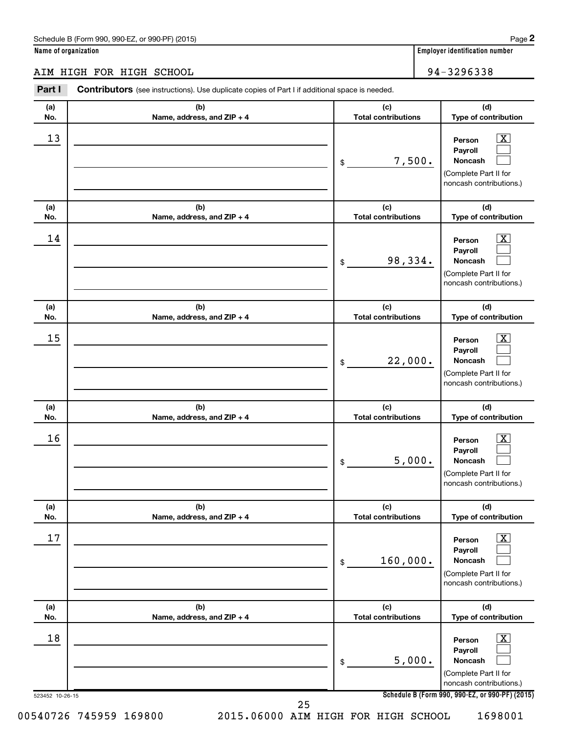| Name of organization |  |  |  |
|----------------------|--|--|--|
|                      |  |  |  |

**Employer identification number** 

### AIM HIGH FOR HIGH SCHOOL 34-3296338

| (a)             | (b)                               | (c)                               | (d)                                                                                                         |
|-----------------|-----------------------------------|-----------------------------------|-------------------------------------------------------------------------------------------------------------|
| No.             | Name, address, and ZIP + 4        | <b>Total contributions</b>        | Type of contribution                                                                                        |
| 13              |                                   | 7,500.<br>\$                      | $\overline{\text{X}}$<br>Person<br>Payroll<br>Noncash<br>(Complete Part II for<br>noncash contributions.)   |
| (a)<br>No.      | (b)<br>Name, address, and ZIP + 4 | (c)<br><b>Total contributions</b> | (d)<br>Type of contribution                                                                                 |
| 14              |                                   | 98,334.<br>\$                     | x<br>Person<br>Payroll<br>Noncash<br>(Complete Part II for<br>noncash contributions.)                       |
| (a)<br>No.      | (b)<br>Name, address, and ZIP + 4 | (c)<br><b>Total contributions</b> | (d)<br>Type of contribution                                                                                 |
| 15              |                                   | 22,000.<br>\$                     | X.<br>Person<br>Pavroll<br>Noncash<br>(Complete Part II for<br>noncash contributions.)                      |
| (a)<br>No.      | (b)<br>Name, address, and ZIP + 4 | (c)<br><b>Total contributions</b> | (d)<br>Type of contribution                                                                                 |
| 16              |                                   | 5,000.<br>\$                      | x<br>Person<br>Pavroll<br>Noncash<br>(Complete Part II for<br>noncash contributions.)                       |
| (a)<br>No.      | (b)<br>Name, address, and ZIP + 4 | (c)<br><b>Total contributions</b> | (d)<br>Type of contribution                                                                                 |
| $17$            |                                   | 160,000.<br>\$                    | $\overline{\text{X}}$<br>Person<br>Payroll<br>Noncash<br>(Complete Part II for<br>noncash contributions.)   |
| (a)<br>No.      | (b)<br>Name, address, and ZIP + 4 | (c)<br><b>Total contributions</b> | (d)<br>Type of contribution                                                                                 |
| 18              |                                   | 5,000.<br>\$                      | $\overline{\textbf{x}}$<br>Person<br>Payroll<br>Noncash<br>(Complete Part II for<br>noncash contributions.) |
| 523452 10-26-15 |                                   |                                   | Schedule B (Form 990, 990-EZ, or 990-PF) (2015)                                                             |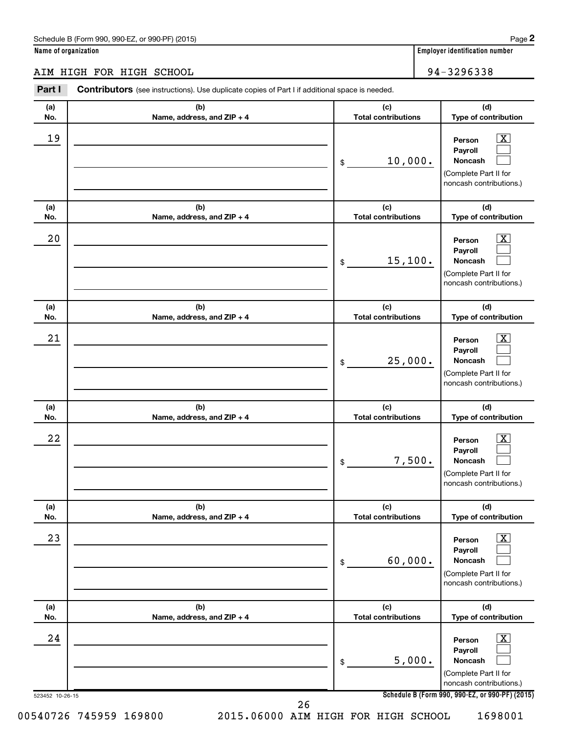**Name of organization Employer identification number**

**Person Payroll Noncash**

**Person Payroll Noncash**

**Person Payroll Noncash**

**Person Payroll Noncash**

**Person Payroll Noncash**

**(d) Type of contribution**

> $\lfloor x \rfloor$  $\Box$  $\Box$

> $\boxed{\textbf{X}}$  $\Box$  $\Box$

> $\boxed{\textbf{X}}$  $\Box$  $\Box$

> $\boxed{\text{X}}$  $\Box$  $\Box$

> $\boxed{\text{X}}$  $\Box$  $\Box$

> $\boxed{\textbf{X}}$  $\Box$  $\Box$

**(d) Type of contribution**

(Complete Part II for noncash contributions.)

> **(d) Type of contribution**

(Complete Part II for noncash contributions.)

**(d) Type of contribution**

(Complete Part II for noncash contributions.)

> **(d) Type of contribution**

(Complete Part II for noncash contributions.)

**(d) Type of contribution**

(Complete Part II for noncash contributions.)

AIM HIGH FOR HIGH SCHOOL 94-3296338

#### **(a) No. (b) Name, address, and ZIP + 4 (c) Total contributions (a) No. (b) Name, address, and ZIP + 4 (c) Total contributions (a) No. (b) Name, address, and ZIP + 4 (c) Total contributions (a) No. (b) Name, address, and ZIP + 4 (c) Total contributions (a) No. (b) Name, address, and ZIP + 4 (c) Total contributions (a) No. (b) Name, address, and ZIP + 4 (c) Total contributions Part I** Contributors (see instructions). Use duplicate copies of Part I if additional space is needed. \$ \$ \$ \$ \$ \$  $19$  Person  $\overline{\text{X}}$ 10,000.  $20$  Person  $\overline{\text{X}}$ 15,100.  $21$  Person  $\overline{\text{X}}$ 25,000.  $22$  Person  $\overline{\text{X}}$ 7,500.  $23$  Person  $\overline{\text{X}}$ 60,000.  $24$  Person  $\overline{\text{X}}$ 5,000.

**Schedule B (Form 990, 990-EZ, or 990-PF) (2015)**

**Person Payroll Noncash**

(Complete Part II for noncash contributions.)

**2**

26

00540726 745959 169800 2015.06000 AIM HIGH FOR HIGH SCHOOL 1698001

523452 10-26-15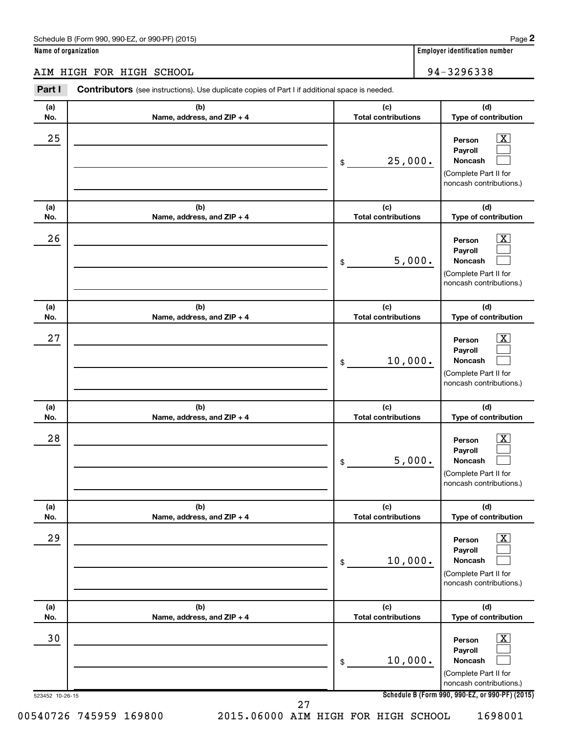**Name of organization Employer identification number**

## **Part** AIM HIGH FOR HIGH SCHOOL 3296338

| art I | <b>Contributors</b> (see instructions). Use duplicate copies of Part I if additional space is needed. |                            |                             |
|-------|-------------------------------------------------------------------------------------------------------|----------------------------|-----------------------------|
| (a)   | (b)                                                                                                   | (c)                        | (d)                         |
| No.   | Name, address, and $ZIP + 4$                                                                          | <b>Total contributions</b> | <b>Type of contribution</b> |
|       |                                                                                                       |                            |                             |

| (b)<br>Name, address, and ZIP + 4<br>(b)<br>Name, address, and ZIP + 4 | (c)<br>(d)<br><b>Total contributions</b><br>Type of contribution<br>$\overline{\mathbf{X}}$<br>Person<br>Payroll<br>5,000.<br>Noncash<br>\$<br>(Complete Part II for<br>noncash contributions.)<br>(c)<br>(d)<br><b>Total contributions</b><br>Type of contribution<br>$\overline{\mathbf{X}}$<br>Person<br>Payroll |
|------------------------------------------------------------------------|---------------------------------------------------------------------------------------------------------------------------------------------------------------------------------------------------------------------------------------------------------------------------------------------------------------------|
|                                                                        |                                                                                                                                                                                                                                                                                                                     |
|                                                                        |                                                                                                                                                                                                                                                                                                                     |
|                                                                        |                                                                                                                                                                                                                                                                                                                     |
|                                                                        | 10,000.<br>Noncash<br>\$<br>(Complete Part II for<br>noncash contributions.)                                                                                                                                                                                                                                        |
| (b)<br>Name, address, and ZIP + 4                                      | (c)<br>(d)<br><b>Total contributions</b><br>Type of contribution                                                                                                                                                                                                                                                    |
|                                                                        | $\overline{\textbf{X}}$<br>Person<br>Payroll<br>5,000.<br>Noncash<br>\$<br>(Complete Part II for<br>noncash contributions.)                                                                                                                                                                                         |
| (b)                                                                    | (c)<br>(d)<br><b>Total contributions</b><br>Type of contribution                                                                                                                                                                                                                                                    |
|                                                                        | $\boxed{\text{X}}$<br>Person<br>Payroll<br>10,000.<br>Noncash<br>\$<br>(Complete Part II for<br>noncash contributions.)                                                                                                                                                                                             |
| (b)<br>Name, address, and ZIP + 4                                      | (c)<br>(d)<br><b>Total contributions</b><br>Type of contribution                                                                                                                                                                                                                                                    |
|                                                                        | $\overline{\text{X}}$<br>Person<br>Payroll<br>10,000.<br>Noncash<br>\$<br>(Complete Part II for<br>noncash contributions.)                                                                                                                                                                                          |
|                                                                        | Name, address, and ZIP + 4<br>27                                                                                                                                                                                                                                                                                    |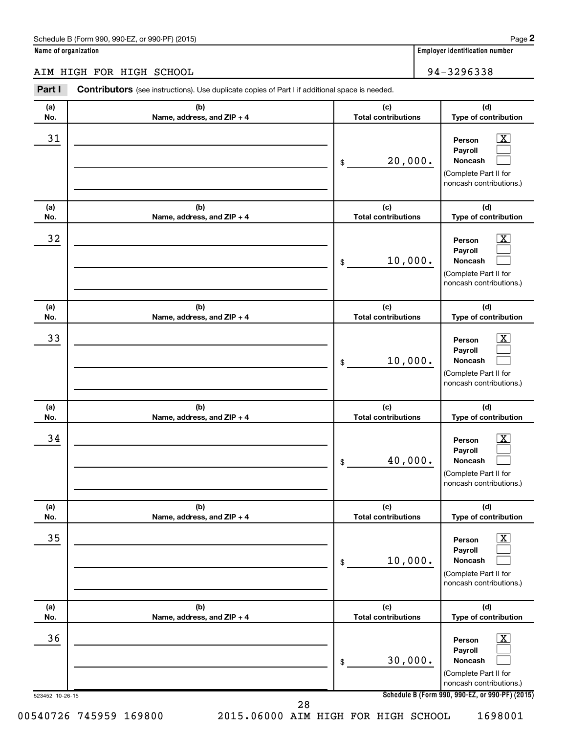**Name of organization Employer identification number**

## AIM HIGH FOR HIGH SCHOOL 94-3296338

| (a) | (b)                        | (c)                        | (d)                                                                                                             |
|-----|----------------------------|----------------------------|-----------------------------------------------------------------------------------------------------------------|
| No. | Name, address, and ZIP + 4 | <b>Total contributions</b> | Type of contribution                                                                                            |
| 31  |                            | 20,000.<br>\$              | $\overline{\mathbf{X}}$<br>Person<br>Payroll<br>Noncash<br>(Complete Part II for<br>noncash contributions.)     |
| (a) | (b)                        | (c)                        | (d)                                                                                                             |
| No. | Name, address, and ZIP + 4 | <b>Total contributions</b> | Type of contribution                                                                                            |
| 32  |                            | 10,000.<br>\$              | $\overline{\text{X}}$<br>Person<br>Payroll<br>Noncash<br>(Complete Part II for<br>noncash contributions.)       |
| (a) | (b)                        | (c)                        | (d)                                                                                                             |
| No. | Name, address, and ZIP + 4 | <b>Total contributions</b> | Type of contribution                                                                                            |
| 33  |                            | 10,000.<br>\$              | $\overline{\text{X}}$<br>Person<br>Payroll<br>Noncash<br>(Complete Part II for<br>noncash contributions.)       |
| (a) | (b)                        | (c)                        | (d)                                                                                                             |
| No. | Name, address, and ZIP + 4 | <b>Total contributions</b> | Type of contribution                                                                                            |
| 34  |                            | 40,000.<br>\$              | $\overline{\mathbf{X}}$<br>Person<br>Payroll<br>Noncash<br>(Complete Part II for<br>noncash contributions.)     |
| (a) | (b)                        | (c)                        | (d)                                                                                                             |
| No. | Name, address, and ZIP + 4 | <b>Total contributions</b> | Type of contribution                                                                                            |
| 35  |                            | 10,000.<br>\$              | $\boxed{\textbf{X}}$<br>Person<br>Payroll<br><b>Noncash</b><br>(Complete Part II for<br>noncash contributions.) |
| (a) | (b)                        | (c)                        | (d)                                                                                                             |
| No. | Name, address, and ZIP + 4 | <b>Total contributions</b> | Type of contribution                                                                                            |
| 36  |                            | 30,000.<br>\$              | $\boxed{\text{X}}$<br>Person<br>Payroll<br>Noncash<br>(Complete Part II for<br>noncash contributions.)          |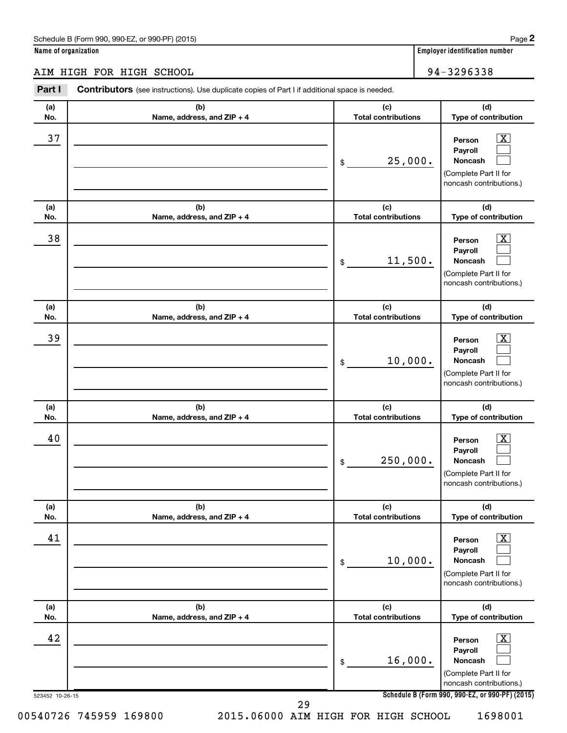**Name of organization Employer identification number**

# AIM HIGH FOR HIGH SCHOOL 34-3296338

| (a) | (b)                        | (c)                        | (d)                                                                                                       |
|-----|----------------------------|----------------------------|-----------------------------------------------------------------------------------------------------------|
| No. | Name, address, and ZIP + 4 | <b>Total contributions</b> | Type of contribution                                                                                      |
| 37  |                            | 25,000.<br>\$              | $\overline{\text{X}}$<br>Person<br>Payroll<br>Noncash<br>(Complete Part II for<br>noncash contributions.) |
| (a) | (b)                        | (c)                        | (d)                                                                                                       |
| No. | Name, address, and ZIP + 4 | <b>Total contributions</b> | Type of contribution                                                                                      |
| 38  |                            | 11,500.<br>\$              | $\overline{\text{X}}$<br>Person<br>Payroll<br>Noncash<br>(Complete Part II for<br>noncash contributions.) |
| (a) | (b)                        | (c)                        | (d)                                                                                                       |
| No. | Name, address, and ZIP + 4 | <b>Total contributions</b> | Type of contribution                                                                                      |
| 39  |                            | 10,000.<br>\$              | $\overline{\text{X}}$<br>Person<br>Payroll<br>Noncash<br>(Complete Part II for<br>noncash contributions.) |
| (a) | (b)                        | (c)                        | (d)                                                                                                       |
| No. | Name, address, and ZIP + 4 | <b>Total contributions</b> | Type of contribution                                                                                      |
| 40  |                            | 250,000.<br>\$             | $\mathbf{X}$<br>Person<br>Payroll<br>Noncash<br>(Complete Part II for<br>noncash contributions.)          |
| (a) | (b)                        | (c)                        | (d)                                                                                                       |
| No. | Name, address, and ZIP + 4 | <b>Total contributions</b> | Type of contribution                                                                                      |
| 41  |                            | 10,000.<br>\$              | $\boxed{\textbf{X}}$<br>Person<br>Payroll<br>Noncash<br>(Complete Part II for<br>noncash contributions.)  |
| (a) | (b)                        | (c)                        | (d)                                                                                                       |
| No. | Name, address, and ZIP + 4 | <b>Total contributions</b> | Type of contribution                                                                                      |
| 42  |                            | 16,000.<br>\$              | $\boxed{\text{X}}$<br>Person<br>Payroll<br>Noncash<br>(Complete Part II for<br>noncash contributions.)    |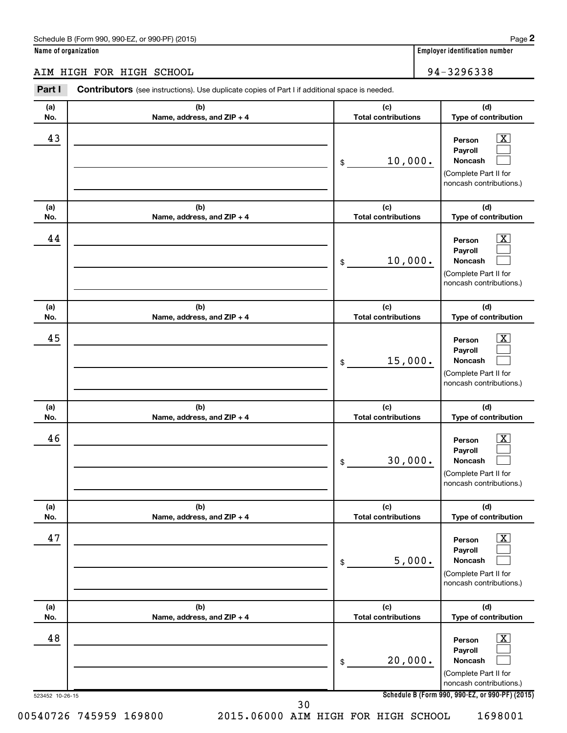**Name of organization Employer identification number**

### AIM HIGH FOR HIGH SCHOOL 94-3296338

| (a) | (b)                        | (c)                        | (d)                                                                                                       |
|-----|----------------------------|----------------------------|-----------------------------------------------------------------------------------------------------------|
| No. | Name, address, and ZIP + 4 | <b>Total contributions</b> | Type of contribution                                                                                      |
| 43  |                            | 10,000.<br>\$              | $\overline{\text{X}}$<br>Person<br>Payroll<br>Noncash<br>(Complete Part II for<br>noncash contributions.) |
| (a) | (b)                        | (c)                        | (d)                                                                                                       |
| No. | Name, address, and ZIP + 4 | <b>Total contributions</b> | Type of contribution                                                                                      |
| 44  |                            | 10,000.<br>\$              | $\overline{\text{X}}$<br>Person<br>Payroll<br>Noncash<br>(Complete Part II for<br>noncash contributions.) |
| (a) | (b)                        | (c)                        | (d)                                                                                                       |
| No. | Name, address, and ZIP + 4 | <b>Total contributions</b> | Type of contribution                                                                                      |
| 45  |                            | 15,000.<br>\$              | $\overline{\text{X}}$<br>Person<br>Payroll<br>Noncash<br>(Complete Part II for<br>noncash contributions.) |
| (a) | (b)                        | (c)                        | (d)                                                                                                       |
| No. | Name, address, and ZIP + 4 | <b>Total contributions</b> | Type of contribution                                                                                      |
| 46  |                            | 30,000.<br>\$              | $\mathbf{X}$<br>Person<br>Payroll<br>Noncash<br>(Complete Part II for<br>noncash contributions.)          |
| (a) | (b)                        | (c)                        | (d)                                                                                                       |
| No. | Name, address, and ZIP + 4 | <b>Total contributions</b> | Type of contribution                                                                                      |
| 47  |                            | 5,000.<br>\$               | $\boxed{\textbf{X}}$<br>Person<br>Payroll<br>Noncash<br>(Complete Part II for<br>noncash contributions.)  |
| (a) | (b)                        | (c)                        | (d)                                                                                                       |
| No. | Name, address, and ZIP + 4 | <b>Total contributions</b> | Type of contribution                                                                                      |
| 48  |                            | 20,000.<br>\$              | $\boxed{\text{X}}$<br>Person<br>Payroll<br>Noncash<br>(Complete Part II for<br>noncash contributions.)    |

**2**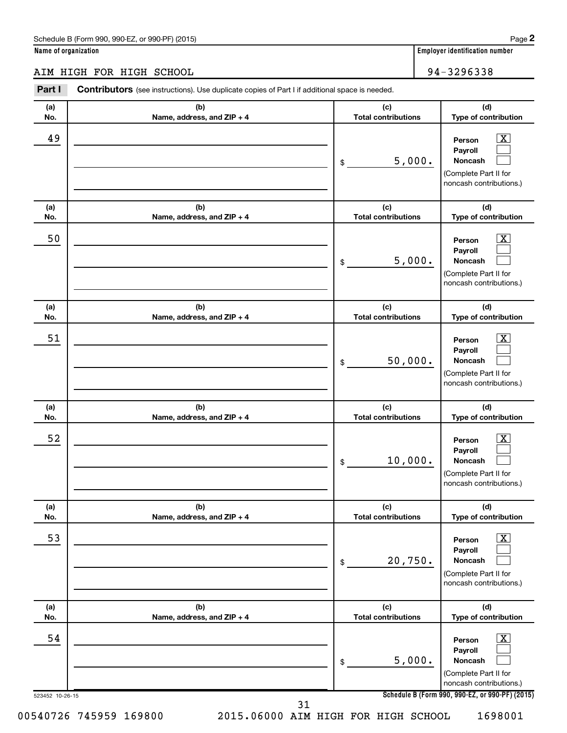| Name of organization |  |  |  |
|----------------------|--|--|--|
|                      |  |  |  |

**Employer identification number** 

## AIM HIGH FOR HIGH SCHOOL 34-3296338

| (a) | (b)                        | (c)                        | (d)                                                                                                           |
|-----|----------------------------|----------------------------|---------------------------------------------------------------------------------------------------------------|
| No. | Name, address, and ZIP + 4 | <b>Total contributions</b> | Type of contribution                                                                                          |
| 49  |                            | 5,000.<br>\$               | $\overline{\text{X}}$<br>Person<br>Payroll<br>Noncash<br>(Complete Part II for<br>noncash contributions.)     |
| (a) | (b)                        | (c)                        | (d)                                                                                                           |
| No. | Name, address, and ZIP + 4 | <b>Total contributions</b> | Type of contribution                                                                                          |
| 50  |                            | 5,000.<br>\$               | $\overline{\text{X}}$<br>Person<br>Payroll<br>Noncash<br>(Complete Part II for<br>noncash contributions.)     |
| (a) | (b)                        | (c)                        | (d)                                                                                                           |
| No. | Name, address, and ZIP + 4 | <b>Total contributions</b> | Type of contribution                                                                                          |
| 51  |                            | 50,000.<br>\$              | $\overline{\text{X}}$<br>Person<br>Payroll<br>Noncash<br>(Complete Part II for<br>noncash contributions.)     |
| (a) | (b)                        | (c)                        | (d)                                                                                                           |
| No. | Name, address, and ZIP + 4 | <b>Total contributions</b> | Type of contribution                                                                                          |
| 52  |                            | 10,000.<br>\$              | $\mathbf{X}$<br>Person<br>Payroll<br>Noncash<br>(Complete Part II for<br>noncash contributions.)              |
| (a) | (b)                        | (c)                        | (d)                                                                                                           |
| No. | Name, address, and ZIP + 4 | <b>Total contributions</b> | Type of contribution                                                                                          |
| 53  |                            | 20,750.<br>\$              | $\boxed{\text{X}}$<br>Person<br>Payroll<br><b>Noncash</b><br>(Complete Part II for<br>noncash contributions.) |
| (a) | (b)                        | (c)                        | (d)                                                                                                           |
| No. | Name, address, and ZIP + 4 | <b>Total contributions</b> | Type of contribution                                                                                          |
| 54  |                            | 5,000.<br>\$               | $\boxed{\text{X}}$<br>Person<br>Payroll<br>Noncash<br>(Complete Part II for<br>noncash contributions.)        |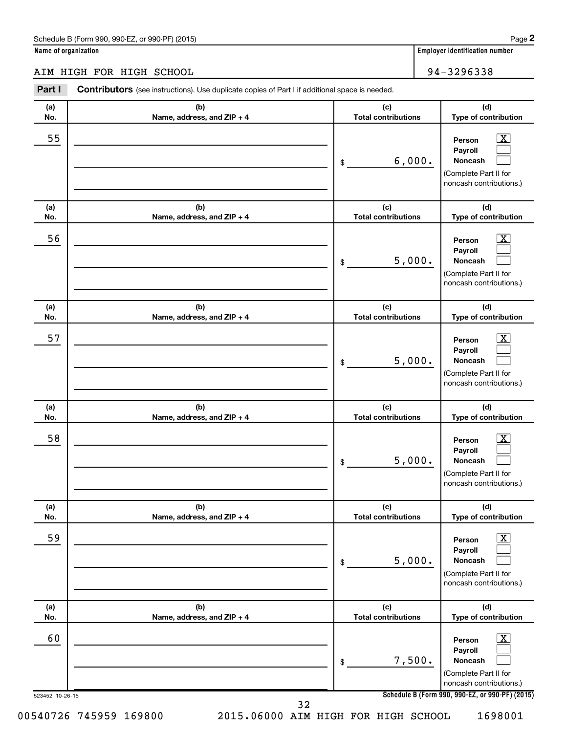| Name of organization |  |  |
|----------------------|--|--|

**Employer identification number** 

### AIM HIGH FOR HIGH SCHOOL 34-3296338

| (a)        | (b)                               | (c)                               | (d)                                                                                                         |
|------------|-----------------------------------|-----------------------------------|-------------------------------------------------------------------------------------------------------------|
| No.        | Name, address, and ZIP + 4        | <b>Total contributions</b>        | Type of contribution                                                                                        |
| 55         |                                   | 6,000.<br>\$                      | x<br>Person<br>Payroll<br>Noncash<br>(Complete Part II for<br>noncash contributions.)                       |
| (a)<br>No. | (b)<br>Name, address, and ZIP + 4 | (c)<br><b>Total contributions</b> | (d)<br>Type of contribution                                                                                 |
| 56         |                                   | 5,000.<br>\$                      | x<br>Person<br>Payroll<br>Noncash<br>(Complete Part II for<br>noncash contributions.)                       |
| (a)<br>No. | (b)<br>Name, address, and ZIP + 4 | (c)<br><b>Total contributions</b> | (d)<br>Type of contribution                                                                                 |
| 57         |                                   | 5,000.<br>\$                      | x<br>Person<br>Payroll<br>Noncash<br>(Complete Part II for<br>noncash contributions.)                       |
| (a)<br>No. | (b)<br>Name, address, and ZIP + 4 | (c)<br><b>Total contributions</b> | (d)<br>Type of contribution                                                                                 |
| 58         |                                   | 5,000.<br>\$                      | х<br>Person<br>Pavroll<br>Noncash<br>(Complete Part II for<br>noncash contributions.)                       |
| (a)<br>No. | (b)<br>Name, address, and ZIP + 4 | (c)<br><b>Total contributions</b> | (d)<br>Type of contribution                                                                                 |
| 59         |                                   | 5,000.<br>\$                      | $\overline{\textbf{x}}$<br>Person<br>Payroll<br>Noncash<br>(Complete Part II for<br>noncash contributions.) |
| (a)<br>No. | (b)<br>Name, address, and ZIP + 4 | (c)<br><b>Total contributions</b> | (d)<br>Type of contribution                                                                                 |
| 60         |                                   | 7,500.<br>\$                      | х<br>Person<br>Payroll<br>Noncash<br>(Complete Part II for<br>noncash contributions.)                       |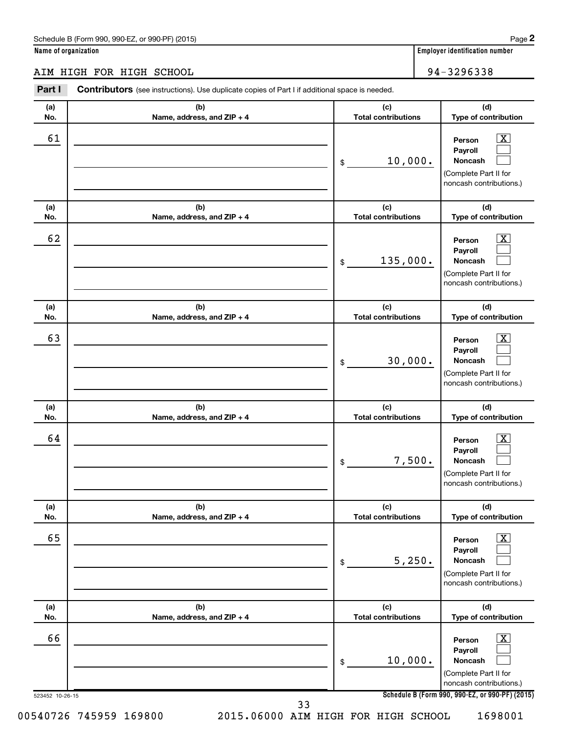**Name of organization Employer identification number**

## AIM HIGH FOR HIGH SCHOOL 94-3296338

| (a) | (b)                        | (c)                        | (d)                                                                                                             |
|-----|----------------------------|----------------------------|-----------------------------------------------------------------------------------------------------------------|
| No. | Name, address, and ZIP + 4 | <b>Total contributions</b> | Type of contribution                                                                                            |
| 61  |                            | 10,000.<br>\$              | $\overline{\text{X}}$<br>Person<br>Payroll<br>Noncash<br>(Complete Part II for<br>noncash contributions.)       |
| (a) | (b)                        | (c)                        | (d)                                                                                                             |
| No. | Name, address, and ZIP + 4 | <b>Total contributions</b> | Type of contribution                                                                                            |
| 62  |                            | 135,000.<br>\$             | $\overline{\text{X}}$<br>Person<br>Payroll<br>Noncash<br>(Complete Part II for<br>noncash contributions.)       |
| (a) | (b)                        | (c)                        | (d)                                                                                                             |
| No. | Name, address, and ZIP + 4 | <b>Total contributions</b> | Type of contribution                                                                                            |
| 63  |                            | 30,000.<br>\$              | $\overline{\text{X}}$<br>Person<br>Payroll<br>Noncash<br>(Complete Part II for<br>noncash contributions.)       |
| (a) | (b)                        | (c)                        | (d)                                                                                                             |
| No. | Name, address, and ZIP + 4 | <b>Total contributions</b> | Type of contribution                                                                                            |
| 64  |                            | 7,500.<br>\$               | $\mathbf{X}$<br>Person<br>Payroll<br>Noncash<br>(Complete Part II for<br>noncash contributions.)                |
| (a) | (b)                        | (c)                        | (d)                                                                                                             |
| No. | Name, address, and ZIP + 4 | <b>Total contributions</b> | Type of contribution                                                                                            |
| 65  |                            | 5,250.<br>\$               | $\boxed{\textbf{X}}$<br>Person<br>Payroll<br><b>Noncash</b><br>(Complete Part II for<br>noncash contributions.) |
| (a) | (b)                        | (c)                        | (d)                                                                                                             |
| No. | Name, address, and ZIP + 4 | <b>Total contributions</b> | Type of contribution                                                                                            |
| 66  |                            | 10,000.<br>\$              | $\boxed{\text{X}}$<br>Person<br>Payroll<br>Noncash<br>(Complete Part II for<br>noncash contributions.)          |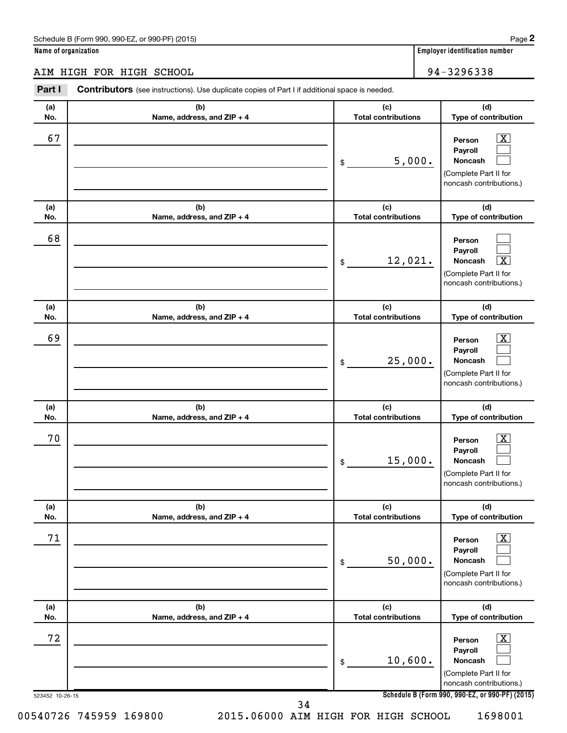| Name of organization |  |
|----------------------|--|
|----------------------|--|

**Employer identification number** 

### AIM HIGH FOR HIGH SCHOOL 34-3296338

| (a)        | (b)                               | (c)<br><b>Total contributions</b> | (d)<br>Type of contribution                                                                                 |
|------------|-----------------------------------|-----------------------------------|-------------------------------------------------------------------------------------------------------------|
| No.<br>67  | Name, address, and ZIP + 4        |                                   | $\overline{\text{X}}$<br>Person<br>Payroll                                                                  |
|            |                                   | 5,000.<br>\$                      | Noncash<br>(Complete Part II for<br>noncash contributions.)                                                 |
| (a)<br>No. | (b)<br>Name, address, and ZIP + 4 | (c)<br><b>Total contributions</b> | (d)<br>Type of contribution                                                                                 |
| 68         |                                   | 12,021.<br>\$                     | Person<br>Payroll<br>Noncash<br>х<br>(Complete Part II for<br>noncash contributions.)                       |
| (a)<br>No. | (b)<br>Name, address, and ZIP + 4 | (c)<br><b>Total contributions</b> | (d)<br>Type of contribution                                                                                 |
| 69         |                                   | 25,000.<br>\$                     | X.<br>Person<br>Pavroll<br>Noncash<br>(Complete Part II for<br>noncash contributions.)                      |
| (a)<br>No. | (b)<br>Name, address, and ZIP + 4 | (c)<br><b>Total contributions</b> | (d)<br>Type of contribution                                                                                 |
| 70         |                                   | 15,000.<br>\$                     | X.<br>Person<br>Payroll<br>Noncash<br>(Complete Part II for<br>noncash contributions.)                      |
| (a)<br>No. | (b)<br>Name, address, and ZIP + 4 | (c)<br><b>Total contributions</b> | (d)<br>Type of contribution                                                                                 |
| 71         |                                   | 50,000.<br>\$                     | $\overline{\textbf{x}}$<br>Person<br>Payroll<br>Noncash<br>(Complete Part II for<br>noncash contributions.) |
| (a)<br>No. | (b)<br>Name, address, and ZIP + 4 | (c)<br><b>Total contributions</b> | (d)<br>Type of contribution                                                                                 |
| 72         |                                   | 10,600.<br>\$                     | х<br>Person<br>Payroll<br>Noncash<br>(Complete Part II for<br>noncash contributions.)                       |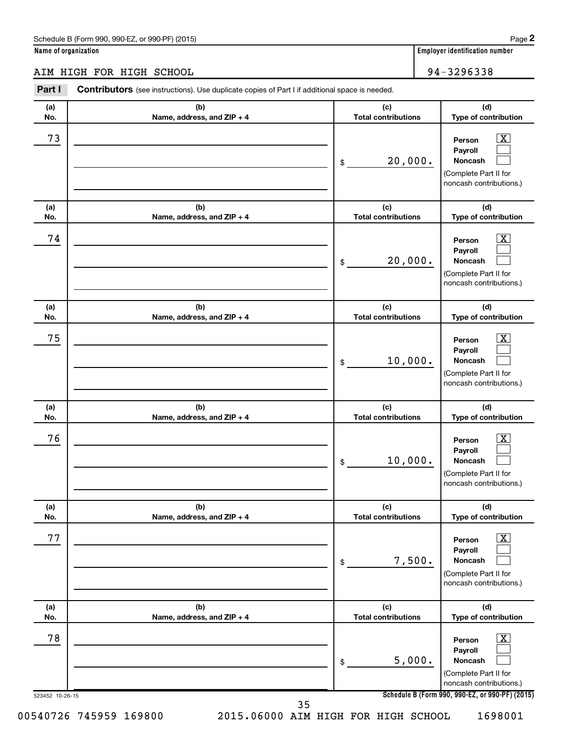**Name of organization Employer identification number**

## AIM HIGH FOR HIGH SCHOOL 34-3296338

| (a) | (b)                        | (c)                        | (d)                                                                                                           |
|-----|----------------------------|----------------------------|---------------------------------------------------------------------------------------------------------------|
| No. | Name, address, and ZIP + 4 | <b>Total contributions</b> | Type of contribution                                                                                          |
| 73  |                            | 20,000.<br>\$              | $\overline{\mathbf{X}}$<br>Person<br>Payroll<br>Noncash<br>(Complete Part II for<br>noncash contributions.)   |
| (a) | (b)                        | (c)                        | (d)                                                                                                           |
| No. | Name, address, and ZIP + 4 | <b>Total contributions</b> | Type of contribution                                                                                          |
| 74  |                            | 20,000.<br>\$              | $\overline{\text{X}}$<br>Person<br>Payroll<br>Noncash<br>(Complete Part II for<br>noncash contributions.)     |
| (a) | (b)                        | (c)                        | (d)                                                                                                           |
| No. | Name, address, and ZIP + 4 | <b>Total contributions</b> | Type of contribution                                                                                          |
| 75  |                            | 10,000.<br>\$              | $\overline{\text{X}}$<br>Person<br>Payroll<br>Noncash<br>(Complete Part II for<br>noncash contributions.)     |
| (a) | (b)                        | (c)                        | (d)                                                                                                           |
| No. | Name, address, and ZIP + 4 | <b>Total contributions</b> | Type of contribution                                                                                          |
| 76  |                            | 10,000.<br>\$              | $\overline{\mathbf{X}}$<br>Person<br>Payroll<br>Noncash<br>(Complete Part II for<br>noncash contributions.)   |
| (a) | (b)                        | (c)                        | (d)                                                                                                           |
| No. | Name, address, and ZIP + 4 | <b>Total contributions</b> | Type of contribution                                                                                          |
| 77  |                            | 7,500.<br>\$               | $\boxed{\text{X}}$<br>Person<br>Payroll<br><b>Noncash</b><br>(Complete Part II for<br>noncash contributions.) |
| (a) | (b)                        | (c)                        | (d)                                                                                                           |
| No. | Name, address, and ZIP + 4 | <b>Total contributions</b> | Type of contribution                                                                                          |
| 78  |                            | 5,000.<br>\$               | $\boxed{\text{X}}$<br>Person<br>Payroll<br>Noncash<br>(Complete Part II for<br>noncash contributions.)        |

**2**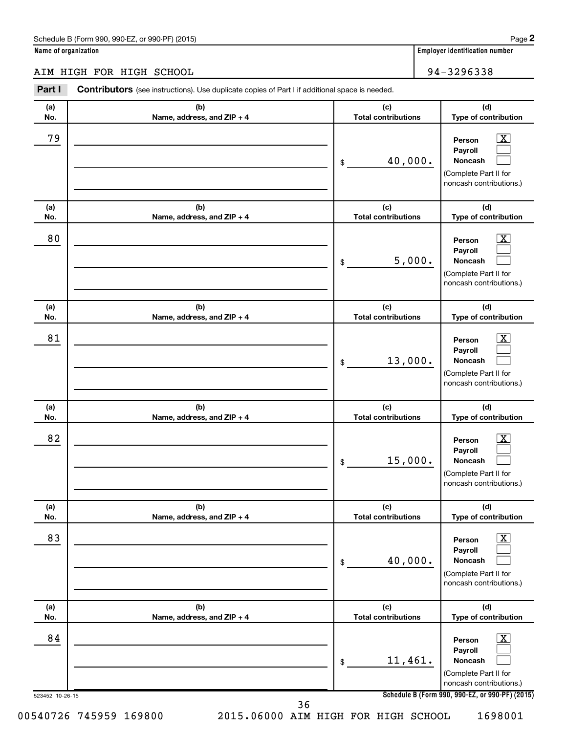**Name of organization Employer identification number**

## AIM HIGH FOR HIGH SCHOOL 34-3296338

| (a) | (b)                        | (c)                        | (d)                                                                                                         |
|-----|----------------------------|----------------------------|-------------------------------------------------------------------------------------------------------------|
| No. | Name, address, and ZIP + 4 | <b>Total contributions</b> | Type of contribution                                                                                        |
| 79  |                            | 40,000.<br>\$              | $\overline{\text{X}}$<br>Person<br>Payroll<br>Noncash<br>(Complete Part II for<br>noncash contributions.)   |
| (a) | (b)                        | (c)                        | (d)                                                                                                         |
| No. | Name, address, and ZIP + 4 | <b>Total contributions</b> | Type of contribution                                                                                        |
| 80  |                            | 5,000.<br>\$               | x<br>Person<br>Payroll<br>Noncash<br>(Complete Part II for<br>noncash contributions.)                       |
| (a) | (b)                        | (c)                        | (d)                                                                                                         |
| No. | Name, address, and ZIP + 4 | <b>Total contributions</b> | Type of contribution                                                                                        |
| 81  |                            | 13,000.<br>\$              | X.<br>Person<br>Payroll<br>Noncash<br>(Complete Part II for<br>noncash contributions.)                      |
| (a) | (b)                        | (c)                        | (d)                                                                                                         |
| No. | Name, address, and ZIP + 4 | <b>Total contributions</b> | Type of contribution                                                                                        |
| 82  |                            | 15,000.<br>\$              | X.<br>Person<br>Pavroll<br>Noncash<br>(Complete Part II for<br>noncash contributions.)                      |
| (a) | (b)                        | (c)                        | (d)                                                                                                         |
| No. | Name, address, and ZIP + 4 | <b>Total contributions</b> | Type of contribution                                                                                        |
| 83  |                            | 40,000.<br>\$              | $\overline{\text{X}}$<br>Person<br>Payroll<br>Noncash<br>(Complete Part II for<br>noncash contributions.)   |
| (a) | (b)                        | (c)                        | (d)                                                                                                         |
| No. | Name, address, and ZIP + 4 | <b>Total contributions</b> | Type of contribution                                                                                        |
| 84  |                            | 11,461.<br>\$              | $\overline{\textbf{x}}$<br>Person<br>Payroll<br>Noncash<br>(Complete Part II for<br>noncash contributions.) |

**2**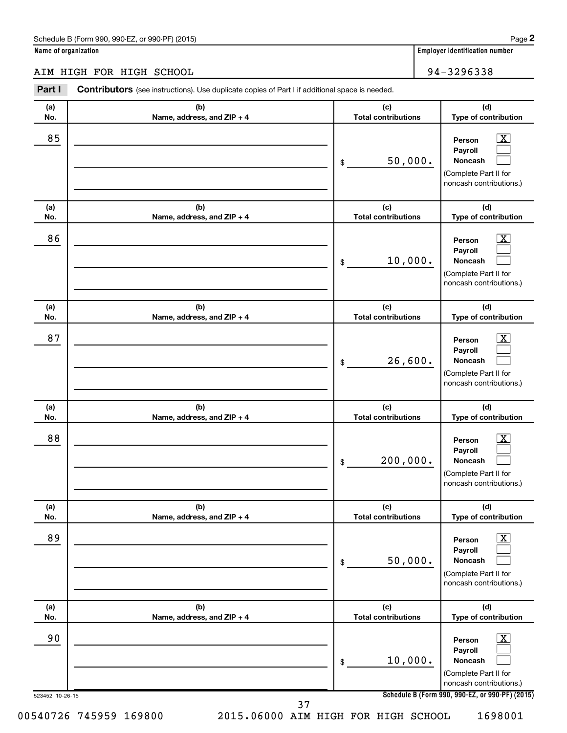**Name of organization Employer identification number**

## AIM HIGH FOR HIGH SCHOOL 94-3296338

| (a)        | (b)                               | (c)<br><b>Total contributions</b> | (d)<br>Type of contribution                                                                                 |
|------------|-----------------------------------|-----------------------------------|-------------------------------------------------------------------------------------------------------------|
| No.        | Name, address, and ZIP + 4        |                                   |                                                                                                             |
| 85         |                                   | 50,000.<br>\$                     | $\overline{\text{X}}$<br>Person<br>Payroll<br>Noncash<br>(Complete Part II for<br>noncash contributions.)   |
| (a)<br>No. | (b)<br>Name, address, and ZIP + 4 | (c)<br><b>Total contributions</b> | (d)<br>Type of contribution                                                                                 |
| 86         |                                   | 10,000.<br>\$                     | x<br>Person<br>Payroll<br>Noncash<br>(Complete Part II for<br>noncash contributions.)                       |
| (a)<br>No. | (b)<br>Name, address, and ZIP + 4 | (c)<br><b>Total contributions</b> | (d)<br>Type of contribution                                                                                 |
| 87         |                                   | 26,600.<br>\$                     | x<br>Person<br>Pavroll<br>Noncash<br>(Complete Part II for<br>noncash contributions.)                       |
| (a)<br>No. | (b)<br>Name, address, and ZIP + 4 | (c)<br><b>Total contributions</b> | (d)<br>Type of contribution                                                                                 |
| 88         |                                   | 200,000.<br>\$                    | х<br>Person<br>Pavroll<br>Noncash<br>(Complete Part II for<br>noncash contributions.)                       |
| (a)<br>No. | (b)<br>Name, address, and ZIP + 4 | (c)<br><b>Total contributions</b> | (d)<br>Type of contribution                                                                                 |
| 89         |                                   | 50,000.<br>\$                     | $\overline{\text{X}}$<br>Person<br>Payroll<br>Noncash<br>(Complete Part II for<br>noncash contributions.)   |
| (a)<br>No. | (b)<br>Name, address, and ZIP + 4 | (c)<br><b>Total contributions</b> | (d)<br>Type of contribution                                                                                 |
| 90         |                                   | 10,000.<br>\$                     | $\overline{\textbf{x}}$<br>Person<br>Payroll<br>Noncash<br>(Complete Part II for<br>noncash contributions.) |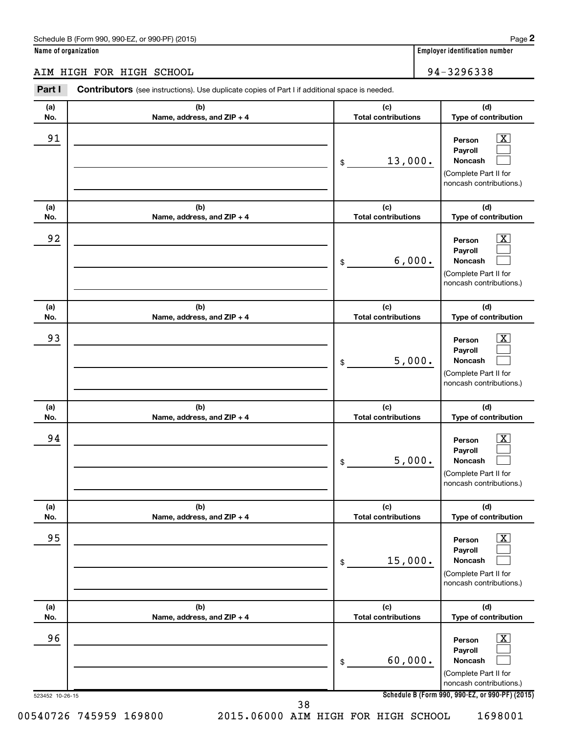**Name of organization Employer identification number**

AIM HIGH FOR HIGH SCHOOL 94-3296338

#### 523452 10-26-15 **Schedule B (Form 990, 990-EZ, or 990-PF) (2015) (a) No. (b) Name, address, and ZIP + 4 (c) Total contributions (d) Type of contribution Person Payroll Noncash (a) No. (b) Name, address, and ZIP + 4 (c) Total contributions (d) Type of contribution Person Payroll Noncash (a) No. (b) Name, address, and ZIP + 4 (c) Total contributions (d) Type of contribution Person Payroll Noncash (a) No. (b) Name, address, and ZIP + 4 (c) Total contributions (d) Type of contribution Person Payroll Noncash (a) No. (b) Name, address, and ZIP + 4 (c) Total contributions (d) Type of contribution Person Payroll Noncash (a) No. (b) Name, address, and ZIP + 4 (c) Total contributions (d) Type of contribution Person Payroll Noncash Part I** Contributors (see instructions). Use duplicate copies of Part I if additional space is needed. \$ (Complete Part II for noncash contributions.) \$ (Complete Part II for noncash contributions.) \$ (Complete Part II for noncash contributions.) \$ (Complete Part II for noncash contributions.) \$ (Complete Part II for noncash contributions.) \$ (Complete Part II for noncash contributions.)  $\lfloor x \rfloor$  $\Box$  $\Box$  $\boxed{\textbf{X}}$  $\Box$  $\Box$  $\boxed{\textbf{X}}$  $\Box$  $\Box$  $\boxed{\text{X}}$  $\Box$  $\Box$  $\boxed{\text{X}}$  $\Box$  $\Box$  $\boxed{\textbf{X}}$  $\Box$  $\Box$  $\begin{array}{|c|c|c|c|c|}\hline \text{91} & \text{Person} & \text{X} \ \hline \end{array}$ 13,000.  $92$  Person  $\overline{\text{X}}$ 6,000. 93 | Person  $\overline{\textbf{X}}$ 5,000.  $94$  Person  $\overline{\text{X}}$ 5,000. 95 | Person  $\overline{\textbf{X}}$ 15,000.  $96$  Person  $\overline{\text{X}}$ 60,000. 00540726 745959 169800 2015.06000 AIM HIGH FOR HIGH SCHOOL 1698001 38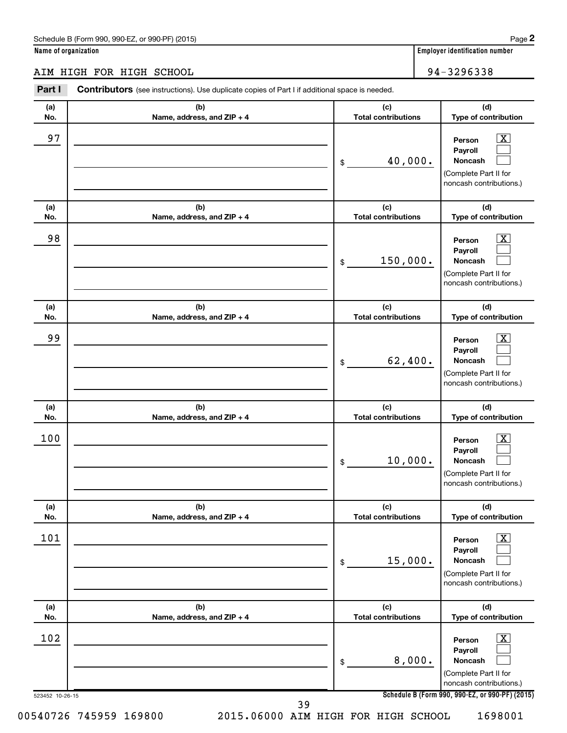**Name of organization Employer identification number**

## AIM HIGH FOR HIGH SCHOOL 94-3296338

| (a) | (b)                        | (c)                        | (d)                                                                                                       |
|-----|----------------------------|----------------------------|-----------------------------------------------------------------------------------------------------------|
| No. | Name, address, and ZIP + 4 | <b>Total contributions</b> | Type of contribution                                                                                      |
| 97  |                            | 40,000.<br>\$              | $\overline{\text{X}}$<br>Person<br>Payroll<br>Noncash<br>(Complete Part II for<br>noncash contributions.) |
| (a) | (b)                        | (c)                        | (d)                                                                                                       |
| No. | Name, address, and ZIP + 4 | <b>Total contributions</b> | Type of contribution                                                                                      |
| 98  |                            | 150,000.<br>\$             | $\overline{\text{X}}$<br>Person<br>Payroll<br>Noncash<br>(Complete Part II for<br>noncash contributions.) |
| (a) | (b)                        | (c)                        | (d)                                                                                                       |
| No. | Name, address, and ZIP + 4 | <b>Total contributions</b> | Type of contribution                                                                                      |
| 99  |                            | 62,400.<br>\$              | $\overline{\text{X}}$<br>Person<br>Payroll<br>Noncash<br>(Complete Part II for<br>noncash contributions.) |
| (a) | (b)                        | (c)                        | (d)                                                                                                       |
| No. | Name, address, and ZIP + 4 | <b>Total contributions</b> | Type of contribution                                                                                      |
| 100 |                            | 10,000.<br>\$              | $\mathbf{X}$<br>Person<br>Payroll<br>Noncash<br>(Complete Part II for<br>noncash contributions.)          |
| (a) | (b)                        | (c)                        | (d)                                                                                                       |
| No. | Name, address, and ZIP + 4 | <b>Total contributions</b> | Type of contribution                                                                                      |
| 101 |                            | 15,000.<br>\$              | $\boxed{\textbf{X}}$<br>Person<br>Payroll<br>Noncash<br>(Complete Part II for<br>noncash contributions.)  |
| (a) | (b)                        | (c)                        | (d)                                                                                                       |
| No. | Name, address, and ZIP + 4 | <b>Total contributions</b> | Type of contribution                                                                                      |
| 102 |                            | 8,000.<br>\$               | $\boxed{\text{X}}$<br>Person<br>Payroll<br>Noncash<br>(Complete Part II for<br>noncash contributions.)    |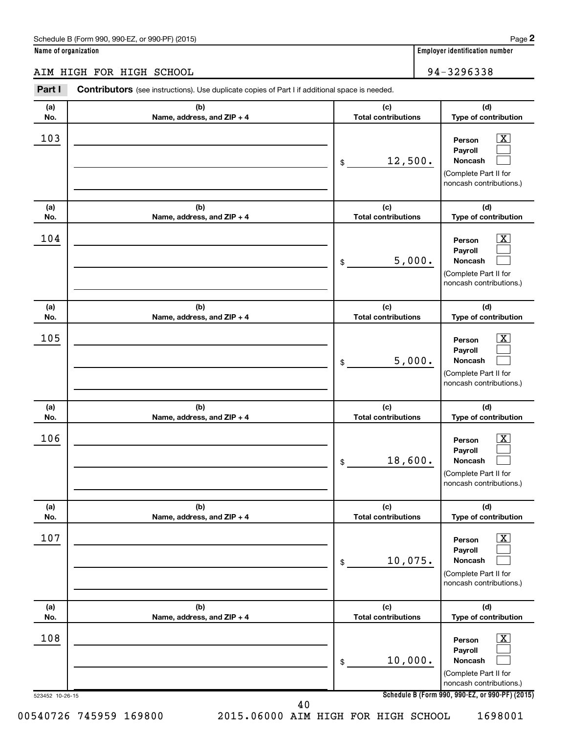**Name of organization Employer identification number**

AIM HIGH FOR HIGH SCHOOL 94-3296338

#### 523452 10-26-15 **Schedule B (Form 990, 990-EZ, or 990-PF) (2015) (a) No. (b) Name, address, and ZIP + 4 (c) Total contributions (d) Type of contribution Person Payroll Noncash (a) No. (b) Name, address, and ZIP + 4 (c) Total contributions (d) Type of contribution Person Payroll Noncash (a) No. (b) Name, address, and ZIP + 4 (c) Total contributions (d) Type of contribution Person Payroll Noncash (a) No. (b) Name, address, and ZIP + 4 (c) Total contributions (d) Type of contribution Person Payroll Noncash (a) No. (b) Name, address, and ZIP + 4 (c) Total contributions (d) Type of contribution Person Payroll Noncash (a) No. (b) Name, address, and ZIP + 4 (c) Total contributions (d) Type of contribution Person Payroll Noncash Part I** Contributors (see instructions). Use duplicate copies of Part I if additional space is needed. \$ (Complete Part II for noncash contributions.) \$ (Complete Part II for noncash contributions.) \$ (Complete Part II for noncash contributions.) \$ (Complete Part II for noncash contributions.) \$ (Complete Part II for noncash contributions.) \$ (Complete Part II for noncash contributions.) 103 X 12,500.  $104$  Person  $\overline{\text{X}}$ 5,000.  $105$  Person  $\overline{\text{X}}$ 5,000.  $106$  Person  $\overline{\text{X}}$ 18,600.  $107$  Person  $\overline{\text{X}}$ 10,075. 108 X 10,000. 40

 $\lfloor x \rfloor$  $\Box$  $\Box$ 

 $\boxed{\textbf{X}}$  $\Box$  $\Box$ 

 $\boxed{\textbf{X}}$  $\Box$  $\Box$ 

 $\boxed{\text{X}}$  $\Box$  $\Box$ 

 $\boxed{\text{X}}$  $\Box$  $\Box$ 

 $\boxed{\textbf{X}}$  $\Box$  $\Box$ 

00540726 745959 169800 2015.06000 AIM HIGH FOR HIGH SCHOOL 1698001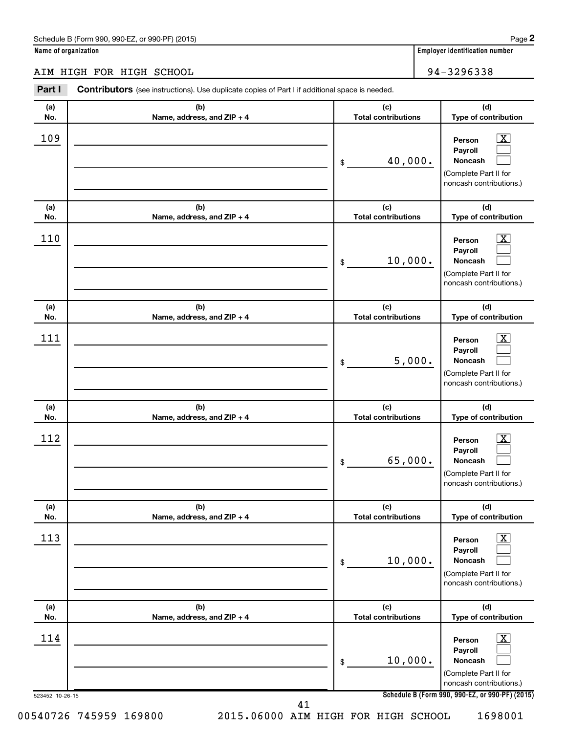**Name of organization Employer identification number**

## AIM HIGH FOR HIGH SCHOOL 34-3296338

| (a)        | (b)                               | (c)<br><b>Total contributions</b> | (d)<br>Type of contribution                                                                                 |
|------------|-----------------------------------|-----------------------------------|-------------------------------------------------------------------------------------------------------------|
| No.        | Name, address, and ZIP + 4        |                                   |                                                                                                             |
| 109        |                                   | 40,000.<br>\$                     | $\overline{\text{X}}$<br>Person<br>Payroll<br>Noncash<br>(Complete Part II for<br>noncash contributions.)   |
| (a)<br>No. | (b)<br>Name, address, and ZIP + 4 | (c)<br><b>Total contributions</b> | (d)<br>Type of contribution                                                                                 |
| 110        |                                   | 10,000.<br>\$                     | x<br>Person<br>Payroll<br>Noncash<br>(Complete Part II for<br>noncash contributions.)                       |
| (a)<br>No. | (b)<br>Name, address, and ZIP + 4 | (c)<br><b>Total contributions</b> | (d)<br>Type of contribution                                                                                 |
| 111        |                                   | 5,000.<br>\$                      | X.<br>Person<br>Payroll<br>Noncash<br>(Complete Part II for<br>noncash contributions.)                      |
| (a)<br>No. | (b)<br>Name, address, and ZIP + 4 | (c)<br><b>Total contributions</b> | (d)<br>Type of contribution                                                                                 |
| 112        |                                   | 65,000.<br>\$                     | x<br>Person<br>Pavroll<br>Noncash<br>(Complete Part II for<br>noncash contributions.)                       |
| (a)<br>No. | (b)<br>Name, address, and ZIP + 4 | (c)<br><b>Total contributions</b> | (d)<br>Type of contribution                                                                                 |
| 113        |                                   | 10,000.<br>\$                     | $\overline{\text{X}}$<br>Person<br>Payroll<br>Noncash<br>(Complete Part II for<br>noncash contributions.)   |
| (a)<br>No. | (b)<br>Name, address, and ZIP + 4 | (c)<br><b>Total contributions</b> | (d)<br>Type of contribution                                                                                 |
| 114        |                                   | 10,000.<br>\$                     | $\overline{\textbf{x}}$<br>Person<br>Payroll<br>Noncash<br>(Complete Part II for<br>noncash contributions.) |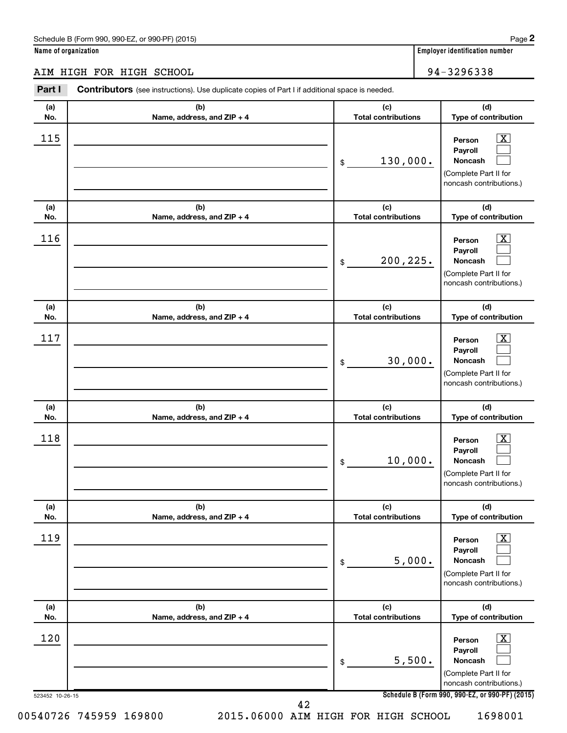**Name of organization Employer identification number**

### AIM HIGH FOR HIGH SCHOOL 94-3296338

| (a) | (b)                        | (c)                        | (d)                                                                                                         |
|-----|----------------------------|----------------------------|-------------------------------------------------------------------------------------------------------------|
| No. | Name, address, and ZIP + 4 | <b>Total contributions</b> | Type of contribution                                                                                        |
| 115 |                            | 130,000.<br>\$             | $\overline{\text{X}}$<br>Person<br>Payroll<br>Noncash<br>(Complete Part II for<br>noncash contributions.)   |
| (a) | (b)                        | (c)                        | (d)                                                                                                         |
| No. | Name, address, and ZIP + 4 | <b>Total contributions</b> | Type of contribution                                                                                        |
| 116 |                            | 200,225.<br>\$             | $\overline{\mathbf{X}}$<br>Person<br>Payroll<br>Noncash<br>(Complete Part II for<br>noncash contributions.) |
| (a) | (b)                        | (c)                        | (d)                                                                                                         |
| No. | Name, address, and ZIP + 4 | <b>Total contributions</b> | Type of contribution                                                                                        |
| 117 |                            | 30,000.<br>\$              | $\overline{\text{X}}$<br>Person<br>Payroll<br>Noncash<br>(Complete Part II for<br>noncash contributions.)   |
| (a) | (b)                        | (c)                        | (d)                                                                                                         |
| No. | Name, address, and ZIP + 4 | <b>Total contributions</b> | Type of contribution                                                                                        |
| 118 |                            | 10,000.<br>\$              | $\mathbf{X}$<br>Person<br>Payroll<br>Noncash<br>(Complete Part II for<br>noncash contributions.)            |
| (a) | (b)                        | (c)                        | (d)                                                                                                         |
| No. | Name, address, and ZIP + 4 | <b>Total contributions</b> | Type of contribution                                                                                        |
| 119 |                            | 5,000.<br>\$               | $\boxed{\textbf{X}}$<br>Person<br>Payroll<br>Noncash<br>(Complete Part II for<br>noncash contributions.)    |
| (a) | (b)                        | (c)                        | (d)                                                                                                         |
| No. | Name, address, and ZIP + 4 | <b>Total contributions</b> | Type of contribution                                                                                        |
| 120 |                            | 5,500.<br>\$               | $\boxed{\text{X}}$<br>Person<br>Payroll<br>Noncash<br>(Complete Part II for<br>noncash contributions.)      |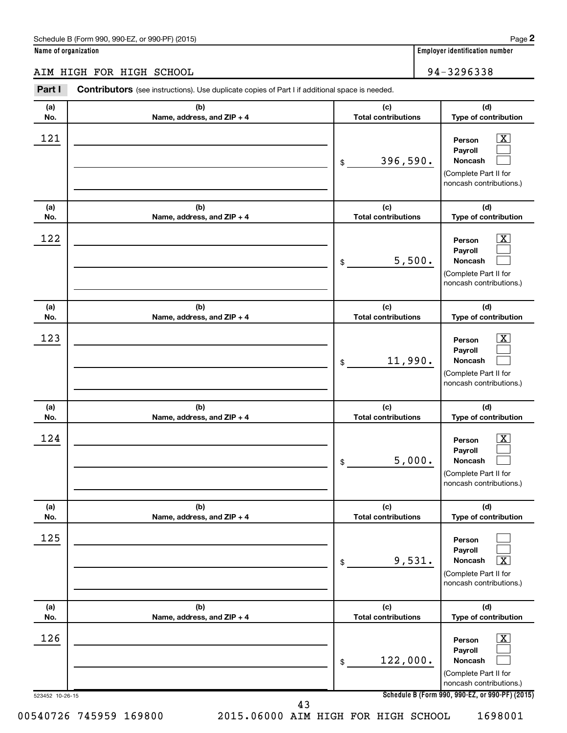**Name of organization Employer identification number**

## AIM HIGH FOR HIGH SCHOOL 94-3296338

| (a) | (b)                        | (c)                        | (d)                                                                                                         |
|-----|----------------------------|----------------------------|-------------------------------------------------------------------------------------------------------------|
| No. | Name, address, and ZIP + 4 | <b>Total contributions</b> | Type of contribution                                                                                        |
| 121 |                            | 396,590.<br>\$             | $\overline{\text{X}}$<br>Person<br>Payroll<br>Noncash<br>(Complete Part II for<br>noncash contributions.)   |
| (a) | (b)                        | (c)                        | (d)                                                                                                         |
| No. | Name, address, and ZIP + 4 | <b>Total contributions</b> | Type of contribution                                                                                        |
| 122 |                            | 5,500.<br>\$               | $\overline{\mathbf{X}}$<br>Person<br>Payroll<br>Noncash<br>(Complete Part II for<br>noncash contributions.) |
| (a) | (b)                        | (c)                        | (d)                                                                                                         |
| No. | Name, address, and ZIP + 4 | <b>Total contributions</b> | Type of contribution                                                                                        |
| 123 |                            | 11,990.<br>\$              | $\overline{\text{X}}$<br>Person<br>Payroll<br>Noncash<br>(Complete Part II for<br>noncash contributions.)   |
| (a) | (b)                        | (c)                        | (d)                                                                                                         |
| No. | Name, address, and ZIP + 4 | <b>Total contributions</b> | Type of contribution                                                                                        |
| 124 |                            | 5,000.<br>\$               | $\mathbf{X}$<br>Person<br>Payroll<br>Noncash<br>(Complete Part II for<br>noncash contributions.)            |
| (a) | (b)                        | (c)                        | (d)                                                                                                         |
| No. | Name, address, and ZIP + 4 | <b>Total contributions</b> | Type of contribution                                                                                        |
| 125 |                            | 9,531.<br>\$               | Person<br>Payroll<br>$\overline{\mathbf{X}}$<br>Noncash<br>(Complete Part II for<br>noncash contributions.) |
| (a) | (b)                        | (c)                        | (d)                                                                                                         |
| No. | Name, address, and ZIP + 4 | <b>Total contributions</b> | Type of contribution                                                                                        |
| 126 |                            | 122,000.<br>\$             | $\boxed{\text{X}}$<br>Person<br>Payroll<br>Noncash<br>(Complete Part II for<br>noncash contributions.)      |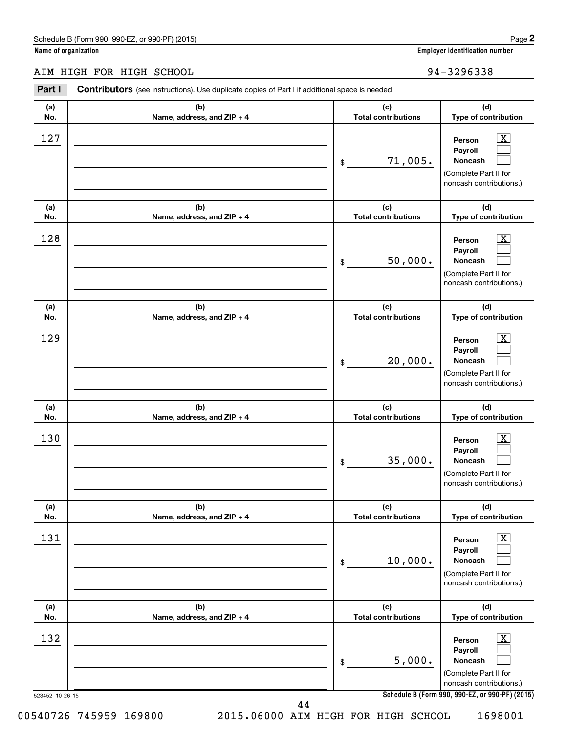**Name of organization Employer identification number**

AIM HIGH FOR HIGH SCHOOL 94-3296338

#### 523452 10-26-15 **Schedule B (Form 990, 990-EZ, or 990-PF) (2015) (a) No. (b) Name, address, and ZIP + 4 (c) Total contributions (d) Type of contribution Person Payroll Noncash (a) No. (b) Name, address, and ZIP + 4 (c) Total contributions (d) Type of contribution Person Payroll Noncash (a) No. (b) Name, address, and ZIP + 4 (c) Total contributions (d) Type of contribution Person Payroll Noncash (a) No. (b) Name, address, and ZIP + 4 (c) Total contributions (d) Type of contribution Person Payroll Noncash (a) No. (b) Name, address, and ZIP + 4 (c) Total contributions (d) Type of contribution Person Payroll Noncash (a) No. (b) Name, address, and ZIP + 4 (c) Total contributions (d) Type of contribution Person Payroll Noncash Part I** Contributors (see instructions). Use duplicate copies of Part I if additional space is needed. \$ (Complete Part II for noncash contributions.) \$ (Complete Part II for noncash contributions.) \$ (Complete Part II for noncash contributions.) \$ (Complete Part II for noncash contributions.) \$ (Complete Part II for noncash contributions.) \$ (Complete Part II for noncash contributions.)  $\lfloor x \rfloor$  $\Box$  $\Box$  $\boxed{\textbf{X}}$  $\Box$  $\Box$  $\boxed{\textbf{X}}$  $\Box$  $\Box$  $\boxed{\textbf{X}}$  $\Box$  $\Box$  $\boxed{\text{X}}$  $\Box$  $\Box$  $\boxed{\textbf{X}}$  $\Box$  $\Box$  $127$  Person  $\overline{\text{X}}$ 71,005. 128 X 50,000. 129 X 20,000. 130 X 35,000. 131 X 10,000. 132 X 5,000. 44

00540726 745959 169800 2015.06000 AIM HIGH FOR HIGH SCHOOL 1698001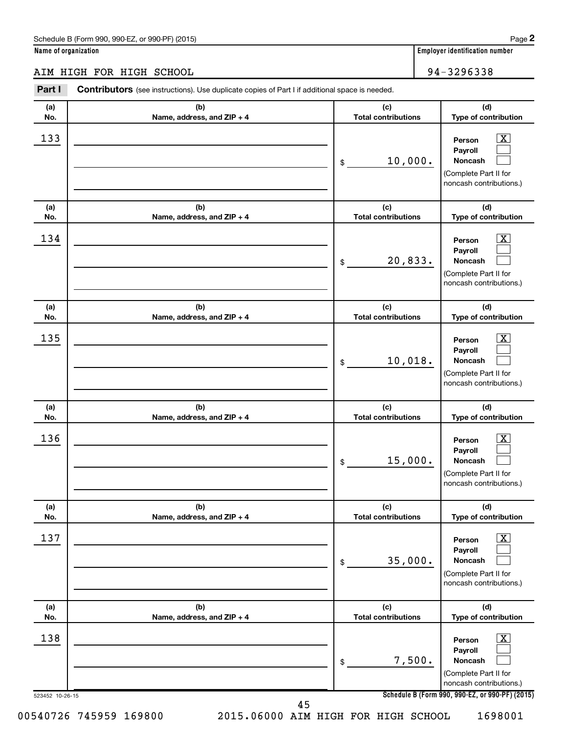**Name of organization Employer identification number**

AIM HIGH FOR HIGH SCHOOL 94-3296338

#### 523452 10-26-15 **Schedule B (Form 990, 990-EZ, or 990-PF) (2015) (a) No. (b) Name, address, and ZIP + 4 (c) Total contributions (d) Type of contribution Person Payroll Noncash (a) No. (b) Name, address, and ZIP + 4 (c) Total contributions (d) Type of contribution Person Payroll Noncash (a) No. (b) Name, address, and ZIP + 4 (c) Total contributions (d) Type of contribution Person Payroll Noncash (a) No. (b) Name, address, and ZIP + 4 (c) Total contributions (d) Type of contribution Person Payroll Noncash (a) No. (b) Name, address, and ZIP + 4 (c) Total contributions (d) Type of contribution Person Payroll Noncash (a) No. (b) Name, address, and ZIP + 4 (c) Total contributions (d) Type of contribution Person Payroll Noncash Part I** Contributors (see instructions). Use duplicate copies of Part I if additional space is needed. \$ (Complete Part II for noncash contributions.) \$ (Complete Part II for noncash contributions.) \$ (Complete Part II for noncash contributions.) \$ (Complete Part II for noncash contributions.) \$ (Complete Part II for noncash contributions.) \$ (Complete Part II for noncash contributions.)  $\lfloor x \rfloor$  $\Box$  $\Box$  $\boxed{\textbf{X}}$  $\Box$  $\Box$  $\boxed{\textbf{X}}$  $\Box$  $\Box$  $\boxed{\textbf{X}}$  $\Box$  $\Box$  $\boxed{\text{X}}$  $\Box$  $\Box$  $\boxed{\textbf{X}}$  $\Box$  $\Box$ 133 X 10,000.  $134$  Person  $\overline{\text{X}}$ 20,833. 135 X 10,018.  $136$  Person  $\overline{\text{X}}$ 15,000.  $137$  Person  $\overline{\text{X}}$ 35,000. 138 X 7,500. 00540726 745959 169800 2015.06000 AIM HIGH FOR HIGH SCHOOL 1698001 45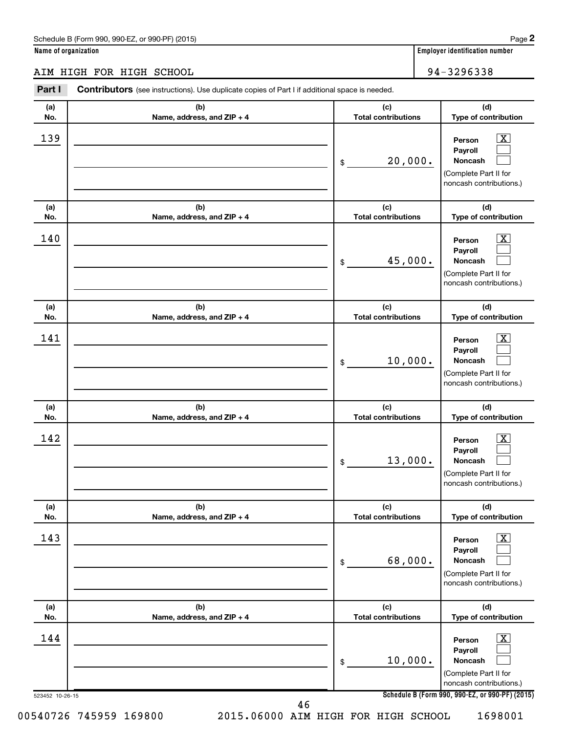**Name of organization Employer identification number**

AIM HIGH FOR HIGH SCHOOL 94-3296338

#### 523452 10-26-15 **Schedule B (Form 990, 990-EZ, or 990-PF) (2015) (a) No. (b) Name, address, and ZIP + 4 (c) Total contributions (d) Type of contribution Person Payroll Noncash (a) No. (b) Name, address, and ZIP + 4 (c) Total contributions (d) Type of contribution Person Payroll Noncash (a) No. (b) Name, address, and ZIP + 4 (c) Total contributions (d) Type of contribution Person Payroll Noncash (a) No. (b) Name, address, and ZIP + 4 (c) Total contributions (d) Type of contribution Person Payroll Noncash (a) No. (b) Name, address, and ZIP + 4 (c) Total contributions (d) Type of contribution Person Payroll Noncash (a) No. (b) Name, address, and ZIP + 4 (c) Total contributions (d) Type of contribution Person Payroll Noncash Part I** Contributors (see instructions). Use duplicate copies of Part I if additional space is needed. \$ (Complete Part II for noncash contributions.) \$ (Complete Part II for noncash contributions.) \$ (Complete Part II for noncash contributions.) \$ (Complete Part II for noncash contributions.) \$ (Complete Part II for noncash contributions.) \$ (Complete Part II for noncash contributions.)  $\lfloor x \rfloor$  $\Box$  $\Box$  $\boxed{\textbf{X}}$  $\Box$  $\Box$  $\boxed{\textbf{X}}$  $\Box$  $\Box$  $\boxed{\text{X}}$  $\Box$  $\Box$  $\boxed{\text{X}}$  $\Box$  $\Box$  $\boxed{\textbf{X}}$  $\Box$  $\Box$ 139 X 20,000. 140 X 45,000.  $141$  Person  $\overline{\text{X}}$ 10,000.  $142$  Person  $\overline{\text{X}}$ 13,000.  $143$  Person  $\overline{\text{X}}$ 68,000.  $144$  Person  $\overline{\text{X}}$ 10,000. 46

00540726 745959 169800 2015.06000 AIM HIGH FOR HIGH SCHOOL 1698001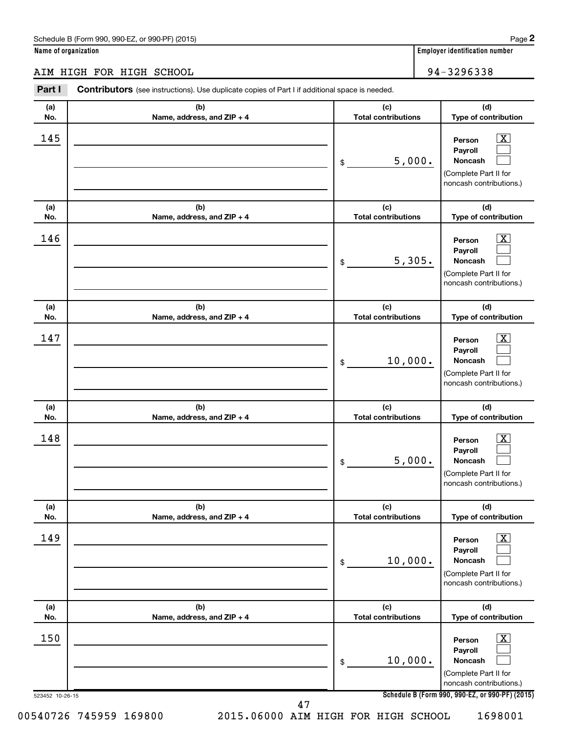**Name of organization Employer identification number**

### AIM HIGH FOR HIGH SCHOOL 94-3296338

| (a) | (b)                        | (c)                        | (d)                                                                                                         |
|-----|----------------------------|----------------------------|-------------------------------------------------------------------------------------------------------------|
| No. | Name, address, and ZIP + 4 | <b>Total contributions</b> | Type of contribution                                                                                        |
| 145 |                            | 5,000.<br>\$               | $\overline{\text{X}}$<br>Person<br>Payroll<br>Noncash<br>(Complete Part II for<br>noncash contributions.)   |
| (a) | (b)                        | (c)                        | (d)                                                                                                         |
| No. | Name, address, and ZIP + 4 | <b>Total contributions</b> | Type of contribution                                                                                        |
| 146 |                            | 5,305.<br>\$               | $\overline{\mathbf{X}}$<br>Person<br>Payroll<br>Noncash<br>(Complete Part II for<br>noncash contributions.) |
| (a) | (b)                        | (c)                        | (d)                                                                                                         |
| No. | Name, address, and ZIP + 4 | <b>Total contributions</b> | Type of contribution                                                                                        |
| 147 |                            | 10,000.<br>\$              | $\overline{\text{X}}$<br>Person<br>Payroll<br>Noncash<br>(Complete Part II for<br>noncash contributions.)   |
| (a) | (b)                        | (c)                        | (d)                                                                                                         |
| No. | Name, address, and ZIP + 4 | <b>Total contributions</b> | Type of contribution                                                                                        |
| 148 |                            | 5,000.<br>\$               | $\mathbf{X}$<br>Person<br>Payroll<br>Noncash<br>(Complete Part II for<br>noncash contributions.)            |
| (a) | (b)                        | (c)                        | (d)                                                                                                         |
| No. | Name, address, and ZIP + 4 | <b>Total contributions</b> | Type of contribution                                                                                        |
| 149 |                            | 10,000.<br>\$              | $\boxed{\textbf{X}}$<br>Person<br>Payroll<br>Noncash<br>(Complete Part II for<br>noncash contributions.)    |
| (a) | (b)                        | (c)                        | (d)                                                                                                         |
| No. | Name, address, and ZIP + 4 | <b>Total contributions</b> | Type of contribution                                                                                        |
| 150 |                            | 10,000.<br>\$              | $\boxed{\text{X}}$<br>Person<br>Payroll<br>Noncash<br>(Complete Part II for<br>noncash contributions.)      |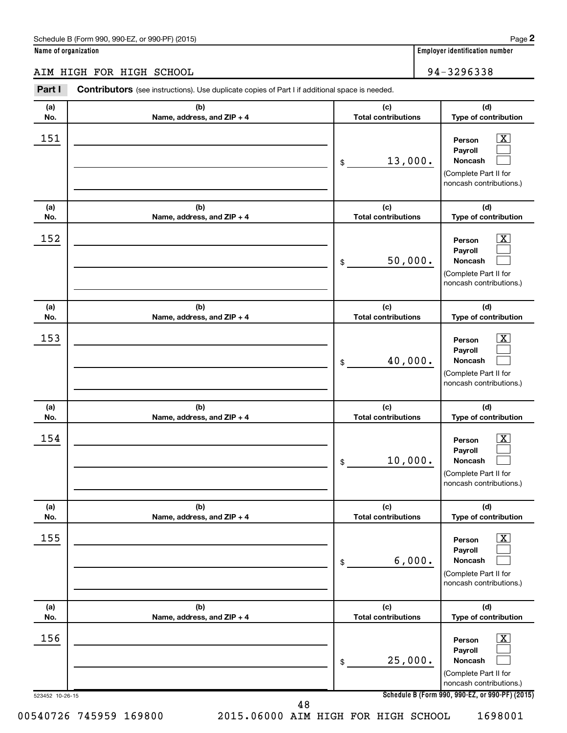**Name of organization Employer identification number**

**(d)**

 $\lfloor x \rfloor$  $\Box$  $\Box$ 

 $\boxed{\textbf{X}}$  $\Box$  $\Box$ 

 $\boxed{\textbf{X}}$  $\Box$  $\Box$ 

 $\boxed{\textbf{X}}$  $\Box$  $\Box$ 

 $\boxed{\text{X}}$  $\Box$  $\Box$ 

 $\boxed{\textbf{X}}$  $\Box$  $\Box$ 

**(d)**

**(d)**

**(d)**

**(d)**

**(d)**

AIM HIGH FOR HIGH SCHOOL 94-3296338

#### 523452 10-26-15 **Schedule B (Form 990, 990-EZ, or 990-PF) (2015) (a) No. (b) Name, address, and ZIP + 4 (c) Total contributions Type of contribution Person Payroll Noncash (a) No. (b) Name, address, and ZIP + 4 (c) Total contributions Type of contribution Person Payroll Noncash (a) No. (b) Name, address, and ZIP + 4 (c) Total contributions Type of contribution Person Payroll Noncash (a) No. (b) Name, address, and ZIP + 4 (c) Total contributions Type of contribution Person Payroll Noncash (a) No. (b) Name, address, and ZIP + 4 (c) Total contributions Type of contribution Person Payroll Noncash (a) No. (b) Name, address, and ZIP + 4 (c) Total contributions Type of contribution Person Payroll Noncash** \$ (Complete Part II for noncash contributions.) \$ (Complete Part II for noncash contributions.) \$ (Complete Part II for noncash contributions.) \$ (Complete Part II for noncash contributions.) \$ (Complete Part II for noncash contributions.) \$ (Complete Part II for noncash contributions.)  $151$  Person  $\overline{\text{X}}$ 13,000.  $152$  Person  $\overline{\text{X}}$ 50,000.  $153$  Person  $\overline{\text{X}}$ 40,000.  $154$  Person  $\overline{\text{X}}$ 10,000.  $155$  Person  $\overline{\text{X}}$ 6,000.  $156$  Person  $\overline{\text{X}}$ 25,000. 00540726 745959 169800 2015.06000 AIM HIGH FOR HIGH SCHOOL 1698001 48

**Part I** Contributors (see instructions). Use duplicate copies of Part I if additional space is needed.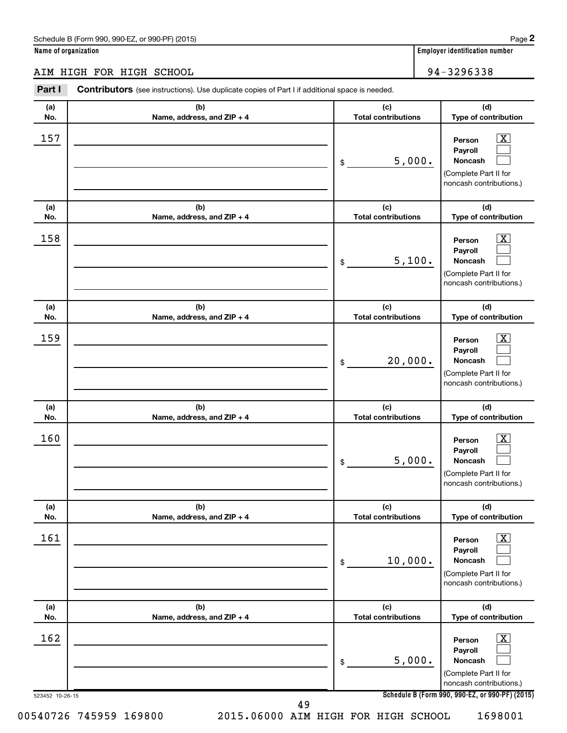**Name of organization Employer identification number**

## AIM HIGH FOR HIGH SCHOOL 94-3296338

| (a)        | (b)                               | (c)                               | (d)                                                                                                         |
|------------|-----------------------------------|-----------------------------------|-------------------------------------------------------------------------------------------------------------|
| No.        | Name, address, and ZIP + 4        | <b>Total contributions</b>        | Type of contribution                                                                                        |
| 157        |                                   | 5,000.<br>\$                      | $\overline{\text{X}}$<br>Person<br>Payroll<br>Noncash<br>(Complete Part II for<br>noncash contributions.)   |
| (a)<br>No. | (b)<br>Name, address, and ZIP + 4 | (c)<br><b>Total contributions</b> | (d)<br>Type of contribution                                                                                 |
| 158        |                                   | 5,100.<br>\$                      | x<br>Person<br>Payroll<br>Noncash<br>(Complete Part II for<br>noncash contributions.)                       |
| (a)<br>No. | (b)<br>Name, address, and ZIP + 4 | (c)<br><b>Total contributions</b> | (d)<br>Type of contribution                                                                                 |
| 159        |                                   | 20,000.<br>\$                     | X.<br>Person<br>Payroll<br>Noncash<br>(Complete Part II for<br>noncash contributions.)                      |
| (a)<br>No. | (b)<br>Name, address, and ZIP + 4 | (c)<br><b>Total contributions</b> | (d)<br>Type of contribution                                                                                 |
| 160        |                                   | 5,000.<br>\$                      | X.<br>Person<br>Pavroll<br>Noncash<br>(Complete Part II for<br>noncash contributions.)                      |
| (a)<br>No. | (b)<br>Name, address, and ZIP + 4 | (c)<br><b>Total contributions</b> | (d)<br>Type of contribution                                                                                 |
| 161        |                                   | 10,000.<br>\$                     | $\overline{\text{X}}$<br>Person<br>Payroll<br>Noncash<br>(Complete Part II for<br>noncash contributions.)   |
| (a)<br>No. | (b)<br>Name, address, and ZIP + 4 | (c)<br><b>Total contributions</b> | (d)<br>Type of contribution                                                                                 |
| 162        |                                   | 5,000.<br>\$                      | $\overline{\textbf{x}}$<br>Person<br>Payroll<br>Noncash<br>(Complete Part II for<br>noncash contributions.) |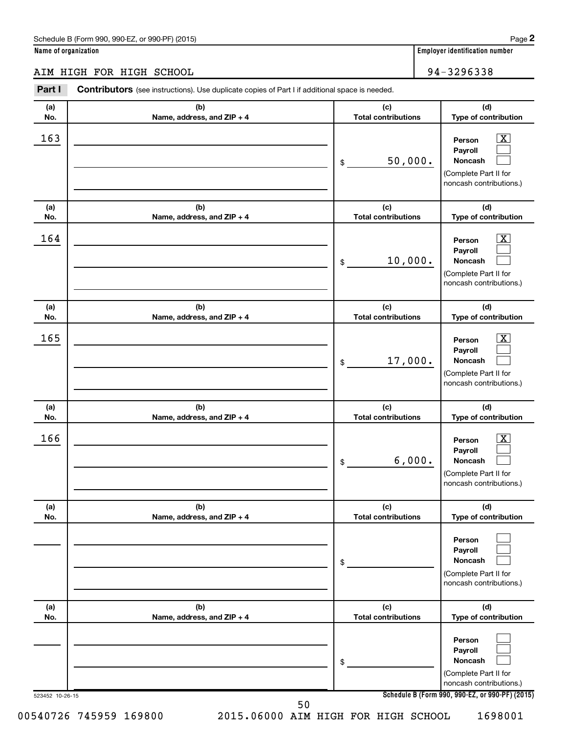**Name of organization Employer identification number**

AIM HIGH FOR HIGH SCHOOL 94-3296338

#### 523452 10-26-15 **Schedule B (Form 990, 990-EZ, or 990-PF) (2015) (a) No. (b) Name, address, and ZIP + 4 (c) Total contributions (d) Type of contribution Person Payroll Noncash (a) No. (b) Name, address, and ZIP + 4 (c) Total contributions (d) Type of contribution Person Payroll Noncash (a) No. (b) Name, address, and ZIP + 4 (c) Total contributions (d) Type of contribution Person Payroll Noncash (a) No. (b) Name, address, and ZIP + 4 (c) Total contributions (d) Type of contribution Person Payroll Noncash (a) No. (b) Name, address, and ZIP + 4 (c) Total contributions (d) Type of contribution Person Payroll Noncash (a) No. (b) Name, address, and ZIP + 4 (c) Total contributions (d) Type of contribution Person Payroll Noncash Part I** Contributors (see instructions). Use duplicate copies of Part I if additional space is needed. \$ (Complete Part II for noncash contributions.) \$ (Complete Part II for noncash contributions.) \$ (Complete Part II for noncash contributions.) \$ (Complete Part II for noncash contributions.) \$ (Complete Part II for noncash contributions.) \$ (Complete Part II for noncash contributions.)  $\lfloor x \rfloor$  $\Box$  $\Box$  $\boxed{\textbf{X}}$  $\Box$  $\Box$  $\boxed{\textbf{X}}$  $\Box$  $\Box$  $\boxed{\textbf{X}}$  $\Box$  $\Box$  $\Box$  $\Box$  $\Box$  $\Box$  $\Box$  $\Box$  $163$  Person  $\overline{\text{X}}$ 50,000.  $164$  Person  $\overline{\text{X}}$ 10,000.  $165$  Person  $\overline{\text{X}}$ 17,000.  $166$  Person  $\overline{\text{X}}$ 6,000. 00540726 745959 169800 2015.06000 AIM HIGH FOR HIGH SCHOOL 1698001 50

**2**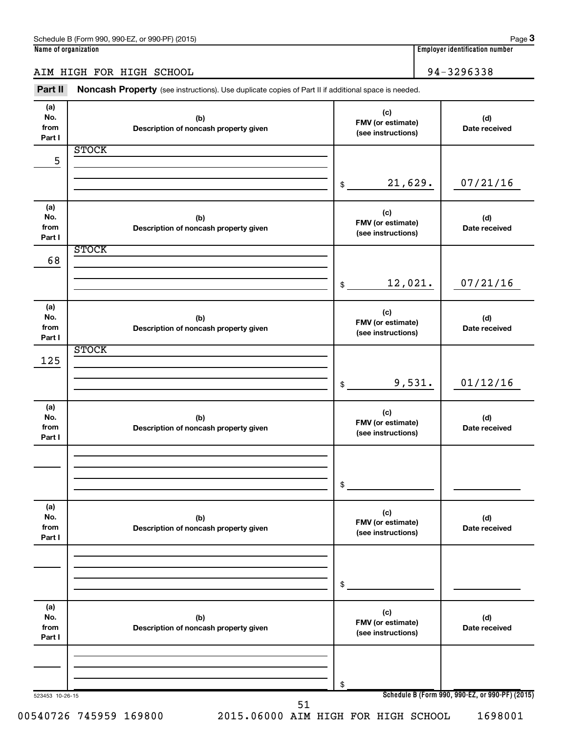AIM HIGH FOR HIGH SCHOOL 94-3296338

Part II Noncash Property (see instructions). Use duplicate copies of Part II if additional space is needed.

| (a)<br>No.<br>from<br>Part I | (b)<br>Description of noncash property given | (c)<br>FMV (or estimate)<br>(see instructions) | (d)<br>Date received                            |
|------------------------------|----------------------------------------------|------------------------------------------------|-------------------------------------------------|
|                              | <b>STOCK</b>                                 |                                                |                                                 |
| 5                            |                                              |                                                |                                                 |
|                              |                                              |                                                |                                                 |
|                              |                                              | 21,629.<br>$\frac{1}{2}$                       | 07/21/16                                        |
| (a)                          |                                              |                                                |                                                 |
| No.                          | (b)                                          | (c)<br>FMV (or estimate)                       | (d)                                             |
| from                         | Description of noncash property given        | (see instructions)                             | Date received                                   |
| Part I                       | <b>STOCK</b>                                 |                                                |                                                 |
| 68                           |                                              |                                                |                                                 |
|                              |                                              |                                                |                                                 |
|                              |                                              | 12,021.<br>$\frac{1}{2}$                       | 07/21/16                                        |
|                              |                                              |                                                |                                                 |
| (a)<br>No.                   | (b)                                          | (c)                                            | (d)                                             |
| from                         | Description of noncash property given        | FMV (or estimate)<br>(see instructions)        | Date received                                   |
| Part I                       |                                              |                                                |                                                 |
| 125                          | <b>STOCK</b>                                 |                                                |                                                 |
|                              |                                              |                                                |                                                 |
|                              |                                              | 9,531.<br>$\frac{1}{2}$                        | 01/12/16                                        |
|                              |                                              |                                                |                                                 |
| (a)                          |                                              | (c)                                            |                                                 |
| No.<br>from                  | (b)<br>Description of noncash property given | FMV (or estimate)                              | (d)<br>Date received                            |
| Part I                       |                                              | (see instructions)                             |                                                 |
|                              |                                              |                                                |                                                 |
|                              |                                              |                                                |                                                 |
|                              |                                              | \$                                             |                                                 |
|                              |                                              |                                                |                                                 |
| (a)                          |                                              | (c)                                            |                                                 |
| No.                          | (b)                                          | FMV (or estimate)                              | (d)                                             |
| from<br>Part I               | Description of noncash property given        | (see instructions)                             | Date received                                   |
|                              |                                              |                                                |                                                 |
|                              |                                              |                                                |                                                 |
|                              |                                              |                                                |                                                 |
|                              |                                              | \$                                             |                                                 |
| (a)                          |                                              |                                                |                                                 |
| No.                          | (b)                                          | (c)<br>FMV (or estimate)                       | (d)                                             |
| from<br>Part I               | Description of noncash property given        | (see instructions)                             | Date received                                   |
|                              |                                              |                                                |                                                 |
|                              |                                              |                                                |                                                 |
|                              |                                              |                                                |                                                 |
|                              |                                              | \$                                             | Schedule B (Form 990, 990-EZ, or 990-PF) (2015) |

**3**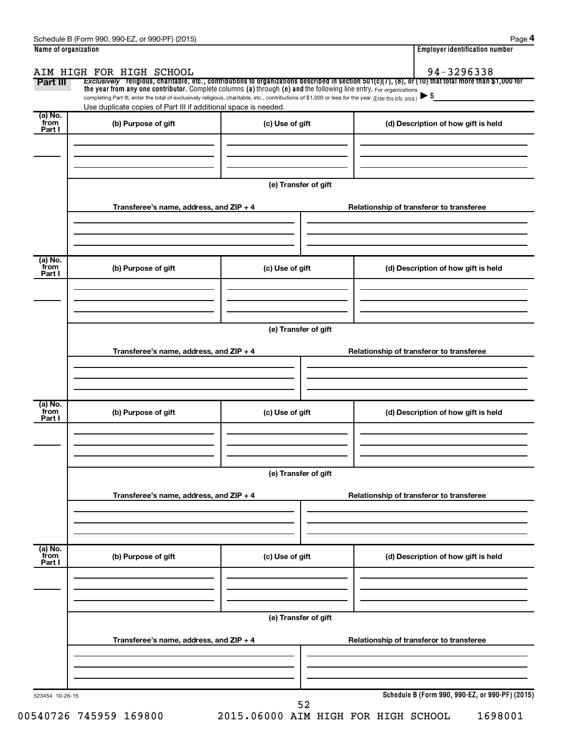| Name of organization      |                                                                                                                                                                                                                                                                                                             |                      | <b>Employer identification number</b>                                                                                                                                  |  |  |  |
|---------------------------|-------------------------------------------------------------------------------------------------------------------------------------------------------------------------------------------------------------------------------------------------------------------------------------------------------------|----------------------|------------------------------------------------------------------------------------------------------------------------------------------------------------------------|--|--|--|
| Part III                  | AIM HIGH FOR HIGH SCHOOL<br>the year from any one contributor. Complete columns (a) through (e) and the following line entry. For organizations<br>completing Part III, enter the total of exclusively religious, charitable, etc., contributions of \$1,000 or less for the year. (Enter this info. once.) |                      | 94-3296338<br>Exclusively religious, charitable, etc., contributions to organizations described in section $501(c)(7)$ , (8), or (10) that total more than \$1,000 for |  |  |  |
|                           | Use duplicate copies of Part III if additional space is needed.                                                                                                                                                                                                                                             |                      |                                                                                                                                                                        |  |  |  |
| (a) No.<br>from<br>Part I | (b) Purpose of gift                                                                                                                                                                                                                                                                                         | (c) Use of gift      | (d) Description of how gift is held                                                                                                                                    |  |  |  |
|                           |                                                                                                                                                                                                                                                                                                             | (e) Transfer of gift |                                                                                                                                                                        |  |  |  |
|                           | Transferee's name, address, and ZIP + 4                                                                                                                                                                                                                                                                     |                      | Relationship of transferor to transferee                                                                                                                               |  |  |  |
| (a) No.<br>from<br>Part I | (b) Purpose of gift                                                                                                                                                                                                                                                                                         | (c) Use of gift      | (d) Description of how gift is held                                                                                                                                    |  |  |  |
|                           |                                                                                                                                                                                                                                                                                                             |                      |                                                                                                                                                                        |  |  |  |
|                           | Transferee's name, address, and ZIP + 4                                                                                                                                                                                                                                                                     | (e) Transfer of gift | Relationship of transferor to transferee                                                                                                                               |  |  |  |
|                           |                                                                                                                                                                                                                                                                                                             |                      |                                                                                                                                                                        |  |  |  |
| (a) No.<br>from<br>Part I | (b) Purpose of gift                                                                                                                                                                                                                                                                                         | (c) Use of gift      | (d) Description of how gift is held                                                                                                                                    |  |  |  |
|                           |                                                                                                                                                                                                                                                                                                             | (e) Transfer of gift |                                                                                                                                                                        |  |  |  |
|                           | Transferee's name, address, and ZIP + 4                                                                                                                                                                                                                                                                     |                      | Relationship of transferor to transferee                                                                                                                               |  |  |  |
| (a) No.<br>from<br>Part I | (b) Purpose of gift                                                                                                                                                                                                                                                                                         | (c) Use of gift      | (d) Description of how gift is held                                                                                                                                    |  |  |  |
|                           |                                                                                                                                                                                                                                                                                                             |                      |                                                                                                                                                                        |  |  |  |
|                           | (e) Transfer of gift<br>Transferee's name, address, and ZIP + 4<br>Relationship of transferor to transferee                                                                                                                                                                                                 |                      |                                                                                                                                                                        |  |  |  |
|                           |                                                                                                                                                                                                                                                                                                             |                      |                                                                                                                                                                        |  |  |  |
| 523454 10-26-15           |                                                                                                                                                                                                                                                                                                             |                      | Schedule B (Form 990, 990-EZ, or 990-PF) (2015)                                                                                                                        |  |  |  |

00540726 745959 169800 2015.06000 AIM HIGH FOR HIGH SCHOOL 1698001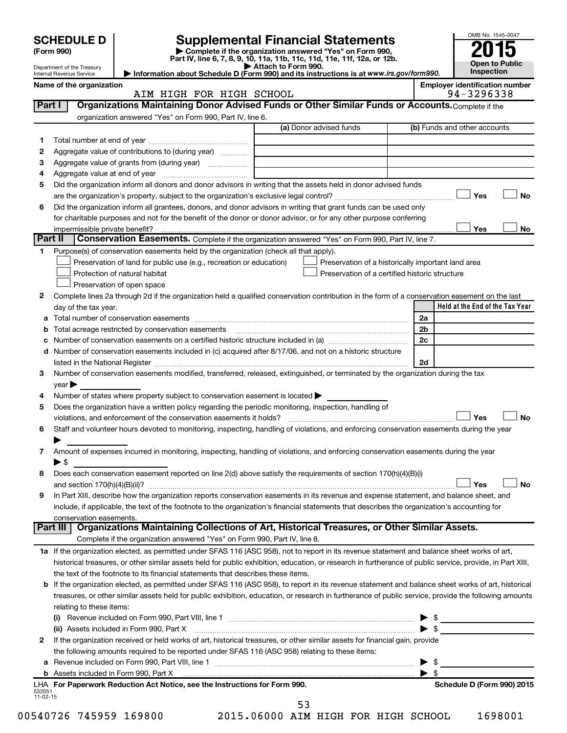|         | <b>SCHEDULE D</b><br>(Form 990)<br>Department of the Treasury<br>Internal Revenue Service |                                                                                                        | <b>Supplemental Financial Statements</b><br>Complete if the organization answered "Yes" on Form 990,<br>Part IV, line 6, 7, 8, 9, 10, 11a, 11b, 11c, 11d, 11e, 11f, 12a, or 12b.<br>Attach to Form 990.<br>Information about Schedule D (Form 990) and its instructions is at www.irs.gov/form990. |                         | OMB No. 1545-0047<br><b>Open to Public</b><br>Inspection |
|---------|-------------------------------------------------------------------------------------------|--------------------------------------------------------------------------------------------------------|----------------------------------------------------------------------------------------------------------------------------------------------------------------------------------------------------------------------------------------------------------------------------------------------------|-------------------------|----------------------------------------------------------|
|         | Name of the organization                                                                  | AIM HIGH FOR HIGH SCHOOL                                                                               |                                                                                                                                                                                                                                                                                                    |                         | <b>Employer identification number</b><br>94-3296338      |
| Part I  |                                                                                           |                                                                                                        | Organizations Maintaining Donor Advised Funds or Other Similar Funds or Accounts. Complete if the                                                                                                                                                                                                  |                         |                                                          |
|         |                                                                                           | organization answered "Yes" on Form 990, Part IV, line 6.                                              |                                                                                                                                                                                                                                                                                                    |                         |                                                          |
|         |                                                                                           |                                                                                                        | (a) Donor advised funds                                                                                                                                                                                                                                                                            |                         | (b) Funds and other accounts                             |
| 1       |                                                                                           |                                                                                                        |                                                                                                                                                                                                                                                                                                    |                         |                                                          |
| 2       |                                                                                           | Aggregate value of contributions to (during year)                                                      |                                                                                                                                                                                                                                                                                                    |                         |                                                          |
| 3       |                                                                                           | Aggregate value of grants from (during year)                                                           |                                                                                                                                                                                                                                                                                                    |                         |                                                          |
| 4       |                                                                                           |                                                                                                        |                                                                                                                                                                                                                                                                                                    |                         |                                                          |
| 5       |                                                                                           |                                                                                                        | Did the organization inform all donors and donor advisors in writing that the assets held in donor advised funds                                                                                                                                                                                   |                         |                                                          |
|         |                                                                                           |                                                                                                        |                                                                                                                                                                                                                                                                                                    |                         | Yes<br>No                                                |
| 6       |                                                                                           |                                                                                                        | Did the organization inform all grantees, donors, and donor advisors in writing that grant funds can be used only                                                                                                                                                                                  |                         |                                                          |
|         |                                                                                           |                                                                                                        | for charitable purposes and not for the benefit of the donor or donor advisor, or for any other purpose conferring                                                                                                                                                                                 |                         | Yes                                                      |
| Part II | impermissible private benefit?                                                            |                                                                                                        | Conservation Easements. Complete if the organization answered "Yes" on Form 990, Part IV, line 7.                                                                                                                                                                                                  |                         | No                                                       |
| 1.      |                                                                                           | Purpose(s) of conservation easements held by the organization (check all that apply).                  |                                                                                                                                                                                                                                                                                                    |                         |                                                          |
|         |                                                                                           | Preservation of land for public use (e.g., recreation or education)                                    | Preservation of a historically important land area                                                                                                                                                                                                                                                 |                         |                                                          |
|         |                                                                                           | Protection of natural habitat                                                                          | Preservation of a certified historic structure                                                                                                                                                                                                                                                     |                         |                                                          |
|         |                                                                                           | Preservation of open space                                                                             |                                                                                                                                                                                                                                                                                                    |                         |                                                          |
| 2       |                                                                                           |                                                                                                        | Complete lines 2a through 2d if the organization held a qualified conservation contribution in the form of a conservation easement on the last                                                                                                                                                     |                         |                                                          |
|         | day of the tax year.                                                                      |                                                                                                        |                                                                                                                                                                                                                                                                                                    |                         | Held at the End of the Tax Year                          |
| a       |                                                                                           |                                                                                                        |                                                                                                                                                                                                                                                                                                    | 2a                      |                                                          |
| b       |                                                                                           | Total acreage restricted by conservation easements                                                     |                                                                                                                                                                                                                                                                                                    | 2 <sub>b</sub>          |                                                          |
| с       |                                                                                           |                                                                                                        |                                                                                                                                                                                                                                                                                                    | 2c                      |                                                          |
| d       |                                                                                           |                                                                                                        | Number of conservation easements included in (c) acquired after 8/17/06, and not on a historic structure                                                                                                                                                                                           |                         |                                                          |
|         |                                                                                           |                                                                                                        | listed in the National Register [111] Marshall Register [11] Marshall Register [11] Marshall Register [11] Marshall Register [11] Marshall Register [11] Marshall Register [11] Marshall Register [11] Marshall Register [11]                                                                      | 2d                      |                                                          |
| 3       | year                                                                                      |                                                                                                        | Number of conservation easements modified, transferred, released, extinguished, or terminated by the organization during the tax                                                                                                                                                                   |                         |                                                          |
| 4       |                                                                                           | Number of states where property subject to conservation easement is located >                          |                                                                                                                                                                                                                                                                                                    |                         |                                                          |
| 5       |                                                                                           | Does the organization have a written policy regarding the periodic monitoring, inspection, handling of |                                                                                                                                                                                                                                                                                                    |                         |                                                          |
|         |                                                                                           | violations, and enforcement of the conservation easements it holds?                                    |                                                                                                                                                                                                                                                                                                    |                         | Yes<br>No                                                |
| 6       |                                                                                           |                                                                                                        | Staff and volunteer hours devoted to monitoring, inspecting, handling of violations, and enforcing conservation easements during the year                                                                                                                                                          |                         |                                                          |
|         |                                                                                           |                                                                                                        |                                                                                                                                                                                                                                                                                                    |                         |                                                          |
| 7       |                                                                                           |                                                                                                        | Amount of expenses incurred in monitoring, inspecting, handling of violations, and enforcing conservation easements during the year                                                                                                                                                                |                         |                                                          |
|         | $\blacktriangleright$ \$                                                                  |                                                                                                        |                                                                                                                                                                                                                                                                                                    |                         |                                                          |
| 8       |                                                                                           |                                                                                                        | Does each conservation easement reported on line 2(d) above satisfy the requirements of section 170(h)(4)(B)(i)                                                                                                                                                                                    |                         |                                                          |
|         |                                                                                           |                                                                                                        |                                                                                                                                                                                                                                                                                                    |                         | Yes<br><b>No</b>                                         |
| 9       |                                                                                           |                                                                                                        | In Part XIII, describe how the organization reports conservation easements in its revenue and expense statement, and balance sheet, and<br>include, if applicable, the text of the footnote to the organization's financial statements that describes the organization's accounting for            |                         |                                                          |
|         | conservation easements.                                                                   |                                                                                                        |                                                                                                                                                                                                                                                                                                    |                         |                                                          |
|         | Part III                                                                                  |                                                                                                        | Organizations Maintaining Collections of Art, Historical Treasures, or Other Similar Assets.                                                                                                                                                                                                       |                         |                                                          |
|         |                                                                                           | Complete if the organization answered "Yes" on Form 990, Part IV, line 8.                              |                                                                                                                                                                                                                                                                                                    |                         |                                                          |
|         |                                                                                           |                                                                                                        | 1a If the organization elected, as permitted under SFAS 116 (ASC 958), not to report in its revenue statement and balance sheet works of art,                                                                                                                                                      |                         |                                                          |
|         |                                                                                           |                                                                                                        | historical treasures, or other similar assets held for public exhibition, education, or research in furtherance of public service, provide, in Part XIII,                                                                                                                                          |                         |                                                          |
|         |                                                                                           | the text of the footnote to its financial statements that describes these items.                       |                                                                                                                                                                                                                                                                                                    |                         |                                                          |
| b       |                                                                                           |                                                                                                        | If the organization elected, as permitted under SFAS 116 (ASC 958), to report in its revenue statement and balance sheet works of art, historical                                                                                                                                                  |                         |                                                          |
|         |                                                                                           |                                                                                                        | treasures, or other similar assets held for public exhibition, education, or research in furtherance of public service, provide the following amounts                                                                                                                                              |                         |                                                          |
|         | relating to these items:                                                                  |                                                                                                        |                                                                                                                                                                                                                                                                                                    |                         |                                                          |
|         |                                                                                           |                                                                                                        |                                                                                                                                                                                                                                                                                                    | ▶                       |                                                          |
|         |                                                                                           | (ii) Assets included in Form 990, Part X                                                               | If the organization received or held works of art, historical treasures, or other similar assets for financial gain, provide                                                                                                                                                                       |                         | $\blacktriangleright$ s                                  |
| 2       |                                                                                           | the following amounts required to be reported under SFAS 116 (ASC 958) relating to these items:        |                                                                                                                                                                                                                                                                                                    |                         |                                                          |
| а       |                                                                                           |                                                                                                        |                                                                                                                                                                                                                                                                                                    | - \$<br>▶               |                                                          |
| b       |                                                                                           |                                                                                                        |                                                                                                                                                                                                                                                                                                    | $\blacktriangleright$ s |                                                          |
|         |                                                                                           | LHA For Paperwork Reduction Act Notice, see the Instructions for Form 990.                             |                                                                                                                                                                                                                                                                                                    |                         | Schedule D (Form 990) 2015                               |

53

532051 11-02-15

| 169800 |
|--------|
|--------|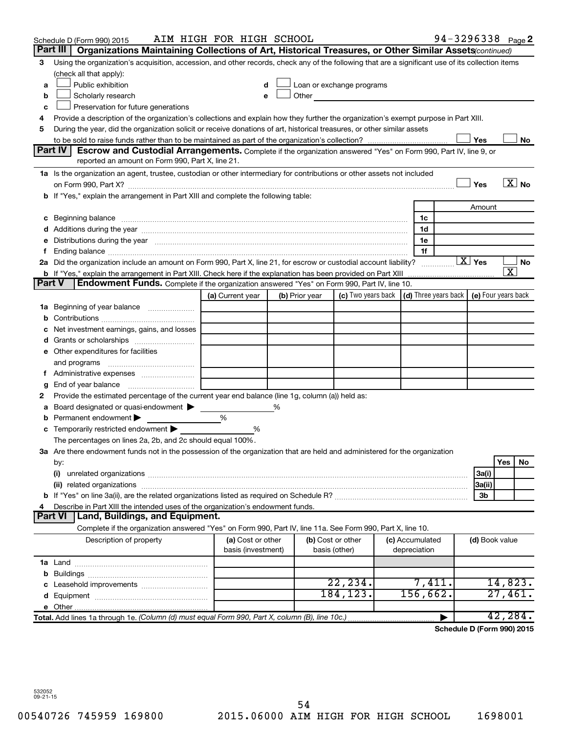|        | Schedule D (Form 990) 2015                                                                                                                                                                                                     | AIM HIGH FOR HIGH SCHOOL                |                |                                                                                                                                                                                                                               |                                 | 94-3296338 Page 2                                        |
|--------|--------------------------------------------------------------------------------------------------------------------------------------------------------------------------------------------------------------------------------|-----------------------------------------|----------------|-------------------------------------------------------------------------------------------------------------------------------------------------------------------------------------------------------------------------------|---------------------------------|----------------------------------------------------------|
|        | Part III<br><b>Organizations Maintaining Collections of Art, Historical Treasures, or Other Similar Assets</b> continued)                                                                                                      |                                         |                |                                                                                                                                                                                                                               |                                 |                                                          |
| з      | Using the organization's acquisition, accession, and other records, check any of the following that are a significant use of its collection items                                                                              |                                         |                |                                                                                                                                                                                                                               |                                 |                                                          |
|        | (check all that apply):                                                                                                                                                                                                        |                                         |                |                                                                                                                                                                                                                               |                                 |                                                          |
| a      | Public exhibition                                                                                                                                                                                                              |                                         | d              | Loan or exchange programs                                                                                                                                                                                                     |                                 |                                                          |
| b      | Scholarly research                                                                                                                                                                                                             |                                         | е              | Other and the contract of the contract of the contract of the contract of the contract of the contract of the contract of the contract of the contract of the contract of the contract of the contract of the contract of the |                                 |                                                          |
| c      | Preservation for future generations                                                                                                                                                                                            |                                         |                |                                                                                                                                                                                                                               |                                 |                                                          |
| 4      | Provide a description of the organization's collections and explain how they further the organization's exempt purpose in Part XIII.                                                                                           |                                         |                |                                                                                                                                                                                                                               |                                 |                                                          |
| 5      | During the year, did the organization solicit or receive donations of art, historical treasures, or other similar assets                                                                                                       |                                         |                |                                                                                                                                                                                                                               |                                 |                                                          |
|        |                                                                                                                                                                                                                                |                                         |                |                                                                                                                                                                                                                               |                                 | Yes<br>No                                                |
|        | Part IV<br>Escrow and Custodial Arrangements. Complete if the organization answered "Yes" on Form 990, Part IV, line 9, or                                                                                                     |                                         |                |                                                                                                                                                                                                                               |                                 |                                                          |
|        | reported an amount on Form 990, Part X, line 21.                                                                                                                                                                               |                                         |                |                                                                                                                                                                                                                               |                                 |                                                          |
|        | 1a Is the organization an agent, trustee, custodian or other intermediary for contributions or other assets not included                                                                                                       |                                         |                |                                                                                                                                                                                                                               |                                 |                                                          |
|        |                                                                                                                                                                                                                                |                                         |                |                                                                                                                                                                                                                               |                                 | $\overline{X}$ No<br>Yes                                 |
| b      | If "Yes," explain the arrangement in Part XIII and complete the following table:                                                                                                                                               |                                         |                |                                                                                                                                                                                                                               |                                 |                                                          |
|        |                                                                                                                                                                                                                                |                                         |                |                                                                                                                                                                                                                               |                                 | Amount                                                   |
| c      | Beginning balance measurements and contain the contract of the contract of the contract of the contract of the                                                                                                                 |                                         |                |                                                                                                                                                                                                                               | 1c                              |                                                          |
|        |                                                                                                                                                                                                                                |                                         |                |                                                                                                                                                                                                                               | 1d                              |                                                          |
|        | Distributions during the year manufactured and an account of the year manufactured and the year manufactured and the year manufactured and the year manufactured and the year manufactured and the year manufactured and the y |                                         |                |                                                                                                                                                                                                                               | 1e                              |                                                          |
|        |                                                                                                                                                                                                                                |                                         |                |                                                                                                                                                                                                                               | 1f                              |                                                          |
|        | 2a Did the organization include an amount on Form 990, Part X, line 21, for escrow or custodial account liability?                                                                                                             |                                         |                |                                                                                                                                                                                                                               |                                 | $\boxed{\text{X}}$ Yes<br>No<br>$\overline{\texttt{x}}$  |
| Part V | <b>b</b> If "Yes," explain the arrangement in Part XIII. Check here if the explanation has been provided on Part XIII                                                                                                          |                                         |                |                                                                                                                                                                                                                               |                                 |                                                          |
|        | Endowment Funds. Complete if the organization answered "Yes" on Form 990, Part IV, line 10.                                                                                                                                    |                                         |                |                                                                                                                                                                                                                               |                                 |                                                          |
|        |                                                                                                                                                                                                                                | (a) Current year                        | (b) Prior year | (c) Two years back                                                                                                                                                                                                            |                                 | $\vert$ (d) Three years back $\vert$ (e) Four years back |
| 1a     | Beginning of year balance                                                                                                                                                                                                      |                                         |                |                                                                                                                                                                                                                               |                                 |                                                          |
|        |                                                                                                                                                                                                                                |                                         |                |                                                                                                                                                                                                                               |                                 |                                                          |
|        | Net investment earnings, gains, and losses                                                                                                                                                                                     |                                         |                |                                                                                                                                                                                                                               |                                 |                                                          |
|        |                                                                                                                                                                                                                                |                                         |                |                                                                                                                                                                                                                               |                                 |                                                          |
|        | e Other expenditures for facilities                                                                                                                                                                                            |                                         |                |                                                                                                                                                                                                                               |                                 |                                                          |
|        |                                                                                                                                                                                                                                |                                         |                |                                                                                                                                                                                                                               |                                 |                                                          |
| g      | End of year balance                                                                                                                                                                                                            |                                         |                |                                                                                                                                                                                                                               |                                 |                                                          |
| 2      | Provide the estimated percentage of the current year end balance (line 1g, column (a)) held as:                                                                                                                                |                                         |                |                                                                                                                                                                                                                               |                                 |                                                          |
|        | Board designated or quasi-endowment                                                                                                                                                                                            |                                         | ℅              |                                                                                                                                                                                                                               |                                 |                                                          |
| b      | Permanent endowment                                                                                                                                                                                                            | %                                       |                |                                                                                                                                                                                                                               |                                 |                                                          |
| с      | Temporarily restricted endowment                                                                                                                                                                                               | %                                       |                |                                                                                                                                                                                                                               |                                 |                                                          |
|        | The percentages on lines 2a, 2b, and 2c should equal 100%.                                                                                                                                                                     |                                         |                |                                                                                                                                                                                                                               |                                 |                                                          |
|        | ${\bf 3a}$ Are there endowment funds not in the possession of the organization that are held and administered for the organization                                                                                             |                                         |                |                                                                                                                                                                                                                               |                                 |                                                          |
|        | by:                                                                                                                                                                                                                            |                                         |                |                                                                                                                                                                                                                               |                                 | Yes<br>No                                                |
|        | (i)                                                                                                                                                                                                                            |                                         |                |                                                                                                                                                                                                                               |                                 | 3a(i)                                                    |
|        |                                                                                                                                                                                                                                |                                         |                |                                                                                                                                                                                                                               |                                 | 3a(ii)                                                   |
|        |                                                                                                                                                                                                                                |                                         |                |                                                                                                                                                                                                                               |                                 | 3b                                                       |
|        | Describe in Part XIII the intended uses of the organization's endowment funds.                                                                                                                                                 |                                         |                |                                                                                                                                                                                                                               |                                 |                                                          |
|        | Land, Buildings, and Equipment.<br><b>Part VI</b>                                                                                                                                                                              |                                         |                |                                                                                                                                                                                                                               |                                 |                                                          |
|        | Complete if the organization answered "Yes" on Form 990, Part IV, line 11a. See Form 990, Part X, line 10.                                                                                                                     |                                         |                |                                                                                                                                                                                                                               |                                 |                                                          |
|        | Description of property                                                                                                                                                                                                        | (a) Cost or other<br>basis (investment) |                | (b) Cost or other<br>basis (other)                                                                                                                                                                                            | (c) Accumulated<br>depreciation | (d) Book value                                           |
|        |                                                                                                                                                                                                                                |                                         |                |                                                                                                                                                                                                                               |                                 |                                                          |
| b      |                                                                                                                                                                                                                                |                                         |                |                                                                                                                                                                                                                               |                                 |                                                          |
|        |                                                                                                                                                                                                                                |                                         |                | 22, 234.                                                                                                                                                                                                                      | 7,411.                          | 14,823.                                                  |
|        |                                                                                                                                                                                                                                |                                         |                | 184,123.                                                                                                                                                                                                                      | 156,662.                        | 27,461.                                                  |
|        |                                                                                                                                                                                                                                |                                         |                |                                                                                                                                                                                                                               |                                 |                                                          |
|        | Total. Add lines 1a through 1e. (Column (d) must equal Form 990, Part X, column (B), line 10c.)                                                                                                                                |                                         |                |                                                                                                                                                                                                                               |                                 | 42, 284.                                                 |
|        |                                                                                                                                                                                                                                |                                         |                |                                                                                                                                                                                                                               |                                 |                                                          |

**Schedule D (Form 990) 2015**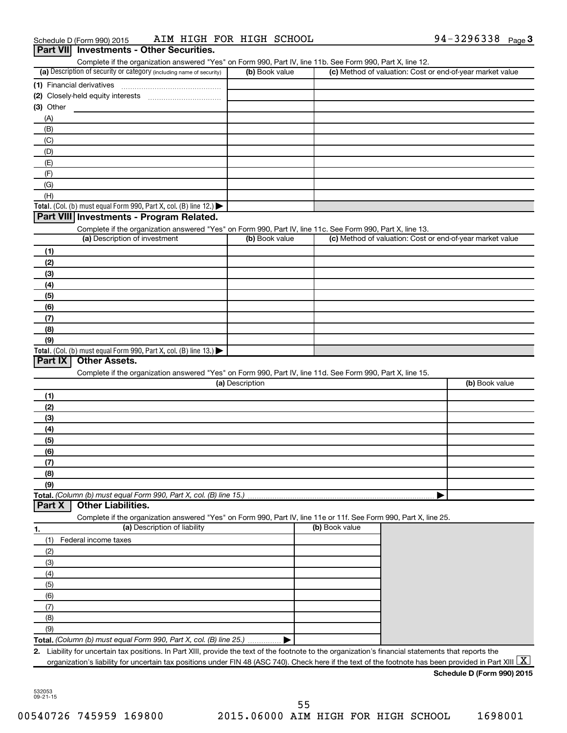| Schedule D (Form 990) 2015 | AIM HIGH FOR HIGH SCHOOL                        |  | 94-3296338 $_{Page}$ 3 |  |
|----------------------------|-------------------------------------------------|--|------------------------|--|
|                            | <b>Part VII</b> Investments - Other Securities. |  |                        |  |

| Complete if the organization answered "Yes" on Form 990, Part IV, line 11b. See Form 990, Part X, line 12.                                               |                 |                                                           |                |
|----------------------------------------------------------------------------------------------------------------------------------------------------------|-----------------|-----------------------------------------------------------|----------------|
| (a) Description of security or category (including name of security)                                                                                     | (b) Book value  | (c) Method of valuation: Cost or end-of-year market value |                |
|                                                                                                                                                          |                 |                                                           |                |
|                                                                                                                                                          |                 |                                                           |                |
| $(3)$ Other                                                                                                                                              |                 |                                                           |                |
|                                                                                                                                                          |                 |                                                           |                |
| (A)                                                                                                                                                      |                 |                                                           |                |
| (B)                                                                                                                                                      |                 |                                                           |                |
| (C)                                                                                                                                                      |                 |                                                           |                |
| (D)                                                                                                                                                      |                 |                                                           |                |
| (E)                                                                                                                                                      |                 |                                                           |                |
| (F)                                                                                                                                                      |                 |                                                           |                |
| (G)                                                                                                                                                      |                 |                                                           |                |
| (H)                                                                                                                                                      |                 |                                                           |                |
| Total. (Col. (b) must equal Form 990, Part X, col. (B) line 12.) $\blacktriangleright$                                                                   |                 |                                                           |                |
| Part VIII Investments - Program Related.                                                                                                                 |                 |                                                           |                |
|                                                                                                                                                          |                 |                                                           |                |
| Complete if the organization answered "Yes" on Form 990, Part IV, line 11c. See Form 990, Part X, line 13.                                               |                 |                                                           |                |
| (a) Description of investment                                                                                                                            | (b) Book value  | (c) Method of valuation: Cost or end-of-year market value |                |
| (1)                                                                                                                                                      |                 |                                                           |                |
| (2)                                                                                                                                                      |                 |                                                           |                |
| (3)                                                                                                                                                      |                 |                                                           |                |
| (4)                                                                                                                                                      |                 |                                                           |                |
| (5)                                                                                                                                                      |                 |                                                           |                |
| (6)                                                                                                                                                      |                 |                                                           |                |
|                                                                                                                                                          |                 |                                                           |                |
| (7)                                                                                                                                                      |                 |                                                           |                |
| (8)                                                                                                                                                      |                 |                                                           |                |
| (9)                                                                                                                                                      |                 |                                                           |                |
| Total. (Col. (b) must equal Form 990, Part X, col. (B) line 13.) $\blacktriangleright$                                                                   |                 |                                                           |                |
| Part IX<br><b>Other Assets.</b>                                                                                                                          |                 |                                                           |                |
| Complete if the organization answered "Yes" on Form 990, Part IV, line 11d. See Form 990, Part X, line 15.                                               |                 |                                                           |                |
|                                                                                                                                                          | (a) Description |                                                           | (b) Book value |
| (1)                                                                                                                                                      |                 |                                                           |                |
| (2)                                                                                                                                                      |                 |                                                           |                |
| (3)                                                                                                                                                      |                 |                                                           |                |
| (4)                                                                                                                                                      |                 |                                                           |                |
| (5)                                                                                                                                                      |                 |                                                           |                |
|                                                                                                                                                          |                 |                                                           |                |
| (6)                                                                                                                                                      |                 |                                                           |                |
| (7)                                                                                                                                                      |                 |                                                           |                |
| (8)                                                                                                                                                      |                 |                                                           |                |
| (9)                                                                                                                                                      |                 |                                                           |                |
| Total. (Column (b) must equal Form 990, Part X, col. (B) line 15.)                                                                                       |                 |                                                           |                |
| <b>Other Liabilities.</b><br>Part X                                                                                                                      |                 |                                                           |                |
| Complete if the organization answered "Yes" on Form 990, Part IV, line 11e or 11f. See Form 990, Part X, line 25.                                        |                 |                                                           |                |
| (a) Description of liability<br>1.                                                                                                                       |                 | (b) Book value                                            |                |
| (1)<br>Federal income taxes                                                                                                                              |                 |                                                           |                |
|                                                                                                                                                          |                 |                                                           |                |
| (2)                                                                                                                                                      |                 |                                                           |                |
| (3)                                                                                                                                                      |                 |                                                           |                |
| (4)                                                                                                                                                      |                 |                                                           |                |
| (5)                                                                                                                                                      |                 |                                                           |                |
| (6)                                                                                                                                                      |                 |                                                           |                |
| (7)                                                                                                                                                      |                 |                                                           |                |
| (8)                                                                                                                                                      |                 |                                                           |                |
| (9)                                                                                                                                                      |                 |                                                           |                |
| Total. (Column (b) must equal Form 990, Part X, col. (B) line 25.)                                                                                       |                 |                                                           |                |
|                                                                                                                                                          |                 |                                                           |                |
| Liability for uncertain tax positions. In Part XIII, provide the text of the footnote to the organization's financial statements that reports the<br>2.  |                 |                                                           |                |
| organization's liability for uncertain tax positions under FIN 48 (ASC 740). Check here if the text of the footnote has been provided in Part XIII $ X $ |                 |                                                           |                |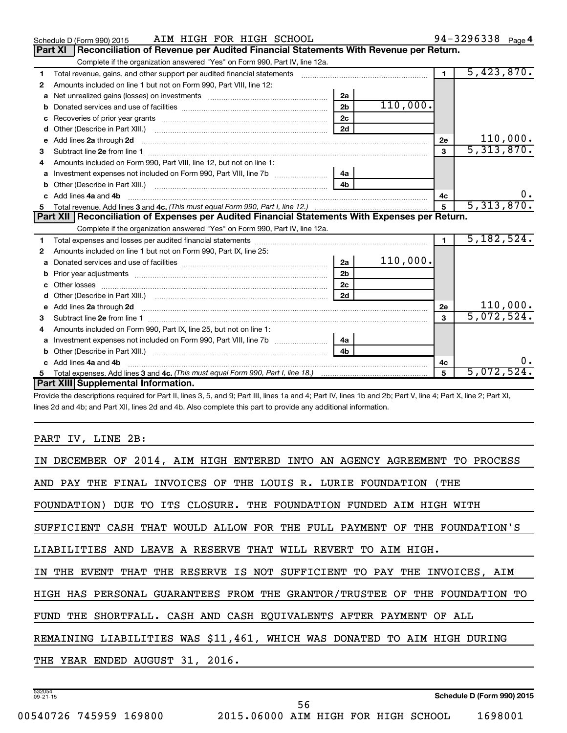|    | AIM HIGH FOR HIGH SCHOOL<br>Schedule D (Form 990) 2015                                                                                                                                                                              |                |          |                | 94-3296338 $_{Page 4}$ |
|----|-------------------------------------------------------------------------------------------------------------------------------------------------------------------------------------------------------------------------------------|----------------|----------|----------------|------------------------|
|    | Reconciliation of Revenue per Audited Financial Statements With Revenue per Return.<br>Part XI                                                                                                                                      |                |          |                |                        |
|    | Complete if the organization answered "Yes" on Form 990, Part IV, line 12a.                                                                                                                                                         |                |          |                |                        |
| 1  | Total revenue, gains, and other support per audited financial statements [111] [11] Total revenue, gains, and other support per audited financial statements                                                                        |                |          | $\mathbf{1}$   | 5,423,870.             |
| 2  | Amounts included on line 1 but not on Form 990, Part VIII, line 12:                                                                                                                                                                 |                |          |                |                        |
| a  |                                                                                                                                                                                                                                     | 2a             |          |                |                        |
| b  |                                                                                                                                                                                                                                     | 2 <sub>b</sub> | 110,000. |                |                        |
| c  |                                                                                                                                                                                                                                     | 2c             |          |                |                        |
|    |                                                                                                                                                                                                                                     | 2d             |          |                |                        |
| e  | Add lines 2a through 2d <b>continuum continuum contracts</b> and an analysis of the contract of the contract of the contract of the contract of the contract of the contract of the contract of the contract of the contract of the |                |          | 2е             | 110,000.               |
| 3  |                                                                                                                                                                                                                                     |                |          | $\mathbf{3}$   | 5,313,870.             |
| 4  | Amounts included on Form 990, Part VIII, line 12, but not on line 1:                                                                                                                                                                |                |          |                |                        |
|    | Investment expenses not included on Form 990, Part VIII, line 7b [11, 11, 11, 11, 11]                                                                                                                                               | 4a             |          |                |                        |
|    |                                                                                                                                                                                                                                     | 4 <sub>b</sub> |          |                |                        |
|    | c Add lines 4a and 4b                                                                                                                                                                                                               |                |          | 4c             | 0.                     |
|    |                                                                                                                                                                                                                                     |                |          | 5              | 5,313,870.             |
|    |                                                                                                                                                                                                                                     |                |          |                |                        |
|    | Part XII   Reconciliation of Expenses per Audited Financial Statements With Expenses per Return.                                                                                                                                    |                |          |                |                        |
|    | Complete if the organization answered "Yes" on Form 990, Part IV, line 12a.                                                                                                                                                         |                |          |                |                        |
| 1. |                                                                                                                                                                                                                                     |                |          | $\blacksquare$ | 5,182,524.             |
| 2  | Amounts included on line 1 but not on Form 990, Part IX, line 25:                                                                                                                                                                   |                |          |                |                        |
| a  |                                                                                                                                                                                                                                     | 2a             | 110,000. |                |                        |
|    |                                                                                                                                                                                                                                     | 2 <sub>b</sub> |          |                |                        |
| C. |                                                                                                                                                                                                                                     | 2 <sub>c</sub> |          |                |                        |
|    |                                                                                                                                                                                                                                     | 2d             |          |                |                        |
|    |                                                                                                                                                                                                                                     |                |          | 2e             | 110,000.               |
| 3  |                                                                                                                                                                                                                                     |                |          | 3              | 5,072,524.             |
| 4  | Amounts included on Form 990, Part IX, line 25, but not on line 1:                                                                                                                                                                  |                |          |                |                        |
|    | a Investment expenses not included on Form 990, Part VIII, line 7b [11, 11, 11, 11]                                                                                                                                                 | 4a             |          |                |                        |
|    |                                                                                                                                                                                                                                     | 4b             |          |                |                        |
|    | c Add lines 4a and 4b                                                                                                                                                                                                               |                |          | 4с             | 0.                     |
|    | Part XIII Supplemental Information.                                                                                                                                                                                                 |                |          | 5              | 5,072,524.             |

Provide the descriptions required for Part II, lines 3, 5, and 9; Part III, lines 1a and 4; Part IV, lines 1b and 2b; Part V, line 4; Part X, line 2; Part XI, lines 2d and 4b; and Part XII, lines 2d and 4b. Also complete this part to provide any additional information.

### PART IV, LINE 2B:

| IN DECEMBER OF 2014, AIM HIGH ENTERED INTO AN AGENCY AGREEMENT TO PROCESS  |
|----------------------------------------------------------------------------|
| AND PAY THE FINAL INVOICES OF THE LOUIS R. LURIE FOUNDATION (THE           |
| FOUNDATION) DUE TO ITS CLOSURE. THE FOUNDATION FUNDED AIM HIGH WITH        |
| SUFFICIENT CASH THAT WOULD ALLOW FOR THE FULL PAYMENT OF THE FOUNDATION'S  |
| LIABILITIES AND LEAVE A RESERVE THAT WILL REVERT TO AIM HIGH.              |
| IN THE EVENT THAT THE RESERVE IS NOT SUFFICIENT TO PAY THE INVOICES, AIM   |
| HIGH HAS PERSONAL GUARANTEES FROM THE GRANTOR/TRUSTEE OF THE FOUNDATION TO |
| FUND THE SHORTFALL. CASH AND CASH EQUIVALENTS AFTER PAYMENT OF ALL         |
| REMAINING LIABILITIES WAS \$11,461, WHICH WAS DONATED TO AIM HIGH DURING   |
| THE YEAR ENDED AUGUST 31, 2016.                                            |
|                                                                            |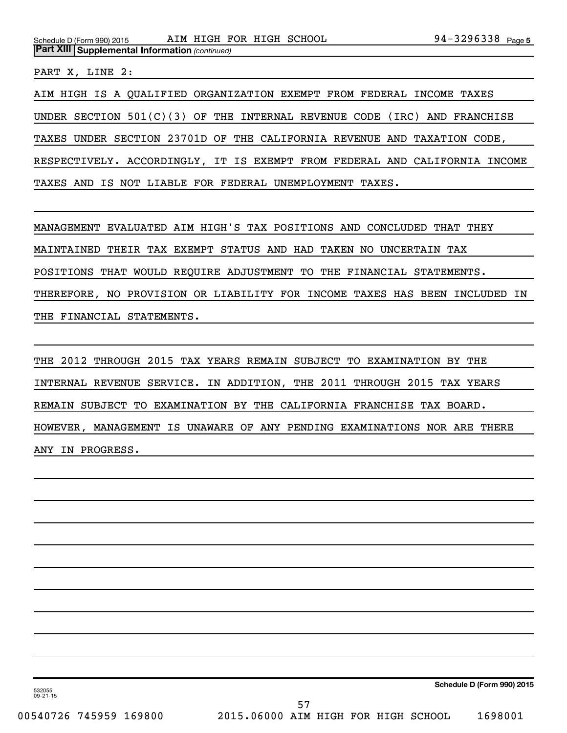PART X, LINE 2:

AIM HIGH IS A QUALIFIED ORGANIZATION EXEMPT FROM FEDERAL INCOME TAXES UNDER SECTION 501(C)(3) OF THE INTERNAL REVENUE CODE (IRC) AND FRANCHISE TAXES UNDER SECTION 23701D OF THE CALIFORNIA REVENUE AND TAXATION CODE, RESPECTIVELY. ACCORDINGLY, IT IS EXEMPT FROM FEDERAL AND CALIFORNIA INCOME TAXES AND IS NOT LIABLE FOR FEDERAL UNEMPLOYMENT TAXES.

MANAGEMENT EVALUATED AIM HIGH'S TAX POSITIONS AND CONCLUDED THAT THEY MAINTAINED THEIR TAX EXEMPT STATUS AND HAD TAKEN NO UNCERTAIN TAX POSITIONS THAT WOULD REQUIRE ADJUSTMENT TO THE FINANCIAL STATEMENTS. THEREFORE, NO PROVISION OR LIABILITY FOR INCOME TAXES HAS BEEN INCLUDED IN THE FINANCIAL STATEMENTS.

THE 2012 THROUGH 2015 TAX YEARS REMAIN SUBJECT TO EXAMINATION BY THE INTERNAL REVENUE SERVICE. IN ADDITION, THE 2011 THROUGH 2015 TAX YEARS REMAIN SUBJECT TO EXAMINATION BY THE CALIFORNIA FRANCHISE TAX BOARD. HOWEVER, MANAGEMENT IS UNAWARE OF ANY PENDING EXAMINATIONS NOR ARE THERE ANY IN PROGRESS.

**Schedule D (Form 990) 2015**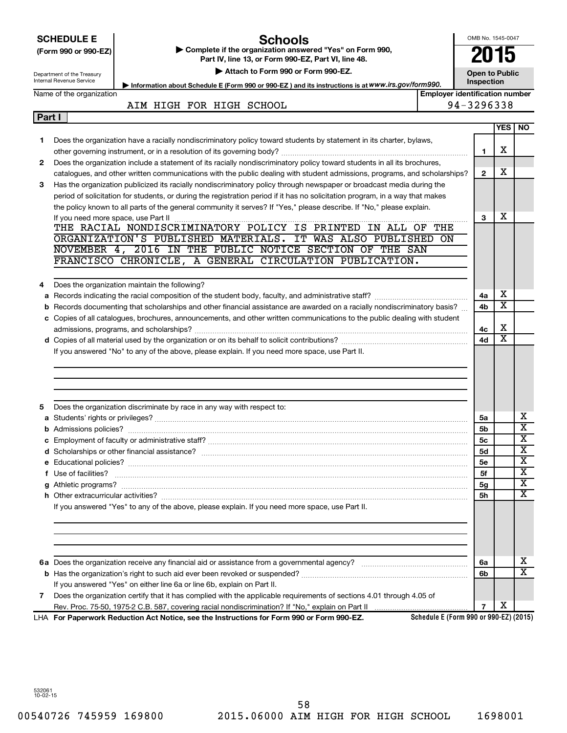|        | <b>SCHEDULE E</b><br>Schools<br>Complete if the organization answered "Yes" on Form 990,<br>(Form 990 or 990-EZ)<br>Part IV, line 13, or Form 990-EZ, Part VI, line 48.<br>Attach to Form 990 or Form 990-EZ.<br>Department of the Treasury<br><b>Internal Revenue Service</b> | OMB No. 1545-0047<br>2015<br><b>Open to Public</b><br>Inspection |                         |                              |
|--------|--------------------------------------------------------------------------------------------------------------------------------------------------------------------------------------------------------------------------------------------------------------------------------|------------------------------------------------------------------|-------------------------|------------------------------|
|        | Information about Schedule E (Form 990 or 990-EZ) and its instructions is at WWW.irs.gov/form990.<br>Name of the organization<br><b>Employer identification number</b>                                                                                                         |                                                                  |                         |                              |
|        | AIM HIGH FOR HIGH SCHOOL                                                                                                                                                                                                                                                       | 94-3296338                                                       |                         |                              |
| Part I |                                                                                                                                                                                                                                                                                |                                                                  |                         |                              |
|        |                                                                                                                                                                                                                                                                                |                                                                  | <b>YES</b>              | <b>NO</b>                    |
| 1      | Does the organization have a racially nondiscriminatory policy toward students by statement in its charter, bylaws,                                                                                                                                                            |                                                                  |                         |                              |
|        |                                                                                                                                                                                                                                                                                | 1                                                                | х                       |                              |
| 2      | Does the organization include a statement of its racially nondiscriminatory policy toward students in all its brochures,                                                                                                                                                       |                                                                  |                         |                              |
|        | catalogues, and other written communications with the public dealing with student admissions, programs, and scholarships?                                                                                                                                                      | $\mathbf{2}$                                                     | x                       |                              |
| 3      | Has the organization publicized its racially nondiscriminatory policy through newspaper or broadcast media during the<br>period of solicitation for students, or during the registration period if it has no solicitation program, in a way that makes                         |                                                                  |                         |                              |
|        | the policy known to all parts of the general community it serves? If "Yes," please describe. If "No," please explain.                                                                                                                                                          |                                                                  |                         |                              |
|        |                                                                                                                                                                                                                                                                                | 3                                                                | x.                      |                              |
|        | THE RACIAL NONDISCRIMINATORY POLICY IS PRINTED IN ALL OF THE                                                                                                                                                                                                                   |                                                                  |                         |                              |
|        | ORGANIZATION'S PUBLISHED MATERIALS. IT WAS ALSO PUBLISHED ON                                                                                                                                                                                                                   |                                                                  |                         |                              |
|        | NOVEMBER 4, 2016 IN THE PUBLIC NOTICE SECTION OF THE SAN                                                                                                                                                                                                                       |                                                                  |                         |                              |
|        | FRANCISCO CHRONICLE, A GENERAL CIRCULATION PUBLICATION.                                                                                                                                                                                                                        |                                                                  |                         |                              |
|        |                                                                                                                                                                                                                                                                                |                                                                  |                         |                              |
| 4      | Does the organization maintain the following?                                                                                                                                                                                                                                  |                                                                  | х                       |                              |
| a      |                                                                                                                                                                                                                                                                                | 4a<br>4 <sub>b</sub>                                             | $\overline{\texttt{x}}$ |                              |
| b      | Records documenting that scholarships and other financial assistance are awarded on a racially nondiscriminatory basis?<br>c Copies of all catalogues, brochures, announcements, and other written communications to the public dealing with student                           |                                                                  |                         |                              |
|        |                                                                                                                                                                                                                                                                                | 4с                                                               | х                       |                              |
|        |                                                                                                                                                                                                                                                                                | 4d                                                               | $\overline{\texttt{x}}$ |                              |
|        | If you answered "No" to any of the above, please explain. If you need more space, use Part II.                                                                                                                                                                                 |                                                                  |                         |                              |
|        |                                                                                                                                                                                                                                                                                |                                                                  |                         |                              |
|        |                                                                                                                                                                                                                                                                                |                                                                  |                         |                              |
|        |                                                                                                                                                                                                                                                                                |                                                                  |                         |                              |
|        |                                                                                                                                                                                                                                                                                |                                                                  |                         |                              |
| 5      | Does the organization discriminate by race in any way with respect to:                                                                                                                                                                                                         |                                                                  |                         |                              |
|        |                                                                                                                                                                                                                                                                                | 5a                                                               |                         | x<br>$\overline{\text{x}}$   |
|        |                                                                                                                                                                                                                                                                                | 5b                                                               |                         | X                            |
|        |                                                                                                                                                                                                                                                                                | 5c<br>5d                                                         |                         | $\overline{\textbf{x}}$      |
|        |                                                                                                                                                                                                                                                                                | <b>5e</b>                                                        |                         | X                            |
|        | f Use of facilities? <b>With the Contract of the Contract of the Contract of the Contract of the Contract of the Contract of the Contract of the Contract of the Contract of the Contract of the Contract of the Contract of the</b>                                           | 5f                                                               |                         | $\overline{\mathbf{X}}$      |
|        |                                                                                                                                                                                                                                                                                | 5g                                                               |                         | $\overline{\textbf{X}}$      |
|        |                                                                                                                                                                                                                                                                                | <b>5h</b>                                                        |                         | $\overline{\texttt{X}}$      |
|        | If you answered "Yes" to any of the above, please explain. If you need more space, use Part II.                                                                                                                                                                                |                                                                  |                         |                              |
|        |                                                                                                                                                                                                                                                                                |                                                                  |                         |                              |
|        |                                                                                                                                                                                                                                                                                |                                                                  |                         |                              |
|        |                                                                                                                                                                                                                                                                                |                                                                  |                         |                              |
|        |                                                                                                                                                                                                                                                                                |                                                                  |                         |                              |
|        |                                                                                                                                                                                                                                                                                | 6a                                                               |                         | X<br>$\overline{\mathtt{x}}$ |
|        |                                                                                                                                                                                                                                                                                | 6b                                                               |                         |                              |
|        | If you answered "Yes" on either line 6a or line 6b, explain on Part II.                                                                                                                                                                                                        |                                                                  |                         |                              |
| 7      | Does the organization certify that it has complied with the applicable requirements of sections 4.01 through 4.05 of                                                                                                                                                           | $\overline{7}$                                                   | x                       |                              |
|        | Schedule E (Form 990 or 990-EZ) (2015)<br>LHA For Paperwork Reduction Act Notice, see the Instructions for Form 990 or Form 990-EZ.                                                                                                                                            |                                                                  |                         |                              |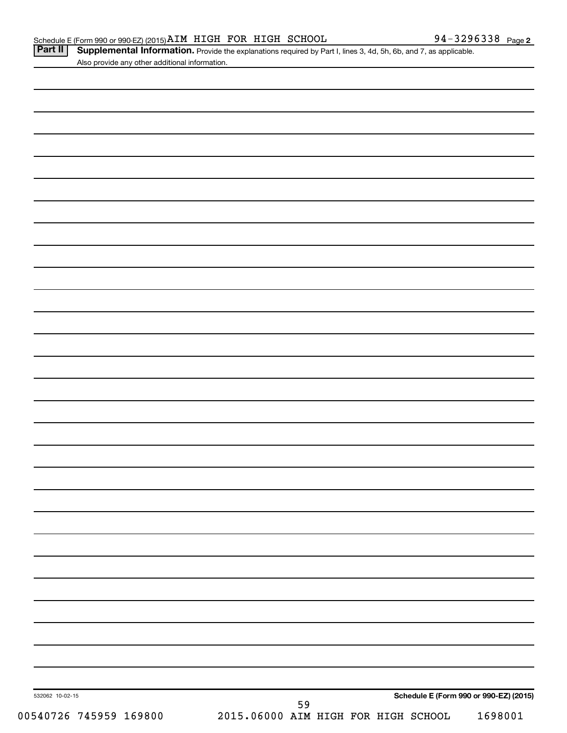Part II | Supplemental Information. Provide the explanations required by Part I, lines 3, 4d, 5h, 6b, and 7, as applicable. Also provide any other additional information.

| Schedule E (Form 990 or 990-EZ) (2015)<br>59<br>2015.06000 AIM HIGH FOR HIGH SCHOOL<br>1698001 |                        |  |  |  |
|------------------------------------------------------------------------------------------------|------------------------|--|--|--|
|                                                                                                |                        |  |  |  |
|                                                                                                |                        |  |  |  |
|                                                                                                |                        |  |  |  |
|                                                                                                |                        |  |  |  |
|                                                                                                |                        |  |  |  |
|                                                                                                |                        |  |  |  |
|                                                                                                |                        |  |  |  |
|                                                                                                |                        |  |  |  |
|                                                                                                |                        |  |  |  |
|                                                                                                |                        |  |  |  |
|                                                                                                |                        |  |  |  |
|                                                                                                |                        |  |  |  |
|                                                                                                |                        |  |  |  |
|                                                                                                |                        |  |  |  |
|                                                                                                |                        |  |  |  |
|                                                                                                |                        |  |  |  |
|                                                                                                |                        |  |  |  |
|                                                                                                |                        |  |  |  |
|                                                                                                |                        |  |  |  |
|                                                                                                |                        |  |  |  |
|                                                                                                |                        |  |  |  |
|                                                                                                |                        |  |  |  |
|                                                                                                |                        |  |  |  |
|                                                                                                |                        |  |  |  |
|                                                                                                |                        |  |  |  |
|                                                                                                |                        |  |  |  |
|                                                                                                |                        |  |  |  |
|                                                                                                |                        |  |  |  |
|                                                                                                |                        |  |  |  |
|                                                                                                |                        |  |  |  |
|                                                                                                |                        |  |  |  |
|                                                                                                |                        |  |  |  |
|                                                                                                | 532062 10-02-15        |  |  |  |
|                                                                                                | 00540726 745959 169800 |  |  |  |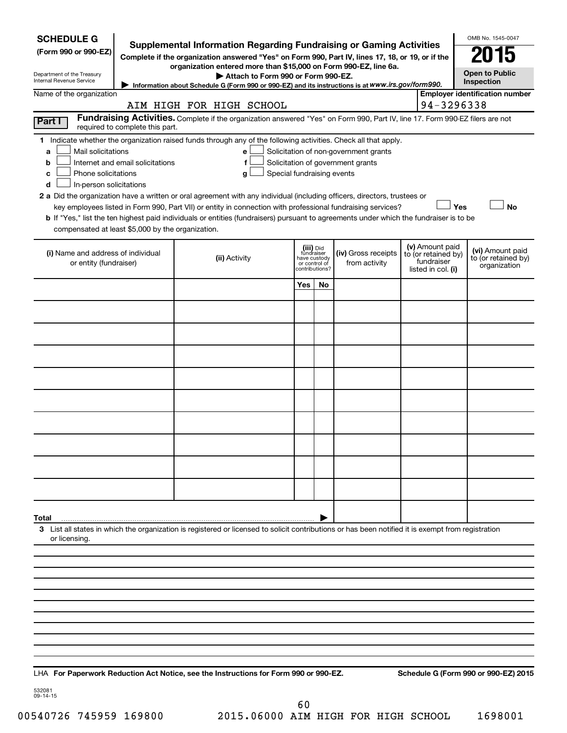| <b>SCHEDULE G</b><br>(Form 990 or 990-EZ)<br>Department of the Treasury<br>Internal Revenue Service                                                 |                                  | <b>Supplemental Information Regarding Fundraising or Gaming Activities</b><br>Complete if the organization answered "Yes" on Form 990, Part IV, lines 17, 18, or 19, or if the<br>organization entered more than \$15,000 on Form 990-EZ, line 6a.<br>Attach to Form 990 or Form 990-EZ.                                                                                                                                                                                                                                                         |                                                           |               |                                                                            |  |                                                                            | OMB No. 1545-0047<br><b>Open to Public</b><br>Inspection |
|-----------------------------------------------------------------------------------------------------------------------------------------------------|----------------------------------|--------------------------------------------------------------------------------------------------------------------------------------------------------------------------------------------------------------------------------------------------------------------------------------------------------------------------------------------------------------------------------------------------------------------------------------------------------------------------------------------------------------------------------------------------|-----------------------------------------------------------|---------------|----------------------------------------------------------------------------|--|----------------------------------------------------------------------------|----------------------------------------------------------|
| Information about Schedule G (Form 990 or 990-EZ) and its instructions is at WWW.irs.gov/form990.<br>Name of the organization                       |                                  |                                                                                                                                                                                                                                                                                                                                                                                                                                                                                                                                                  |                                                           |               |                                                                            |  |                                                                            | <b>Employer identification number</b>                    |
|                                                                                                                                                     |                                  | AIM HIGH FOR HIGH SCHOOL<br>Fundraising Activities. Complete if the organization answered "Yes" on Form 990, Part IV, line 17. Form 990-EZ filers are not                                                                                                                                                                                                                                                                                                                                                                                        |                                                           |               |                                                                            |  | 94-3296338                                                                 |                                                          |
| Part I                                                                                                                                              | required to complete this part.  |                                                                                                                                                                                                                                                                                                                                                                                                                                                                                                                                                  |                                                           |               |                                                                            |  |                                                                            |                                                          |
| 1.<br>Mail solicitations<br>a<br>b<br>Phone solicitations<br>с<br>In-person solicitations<br>d<br>compensated at least \$5,000 by the organization. | Internet and email solicitations | Indicate whether the organization raised funds through any of the following activities. Check all that apply.<br>е<br>f<br>Special fundraising events<br>g<br>2 a Did the organization have a written or oral agreement with any individual (including officers, directors, trustees or<br>key employees listed in Form 990, Part VII) or entity in connection with professional fundraising services?<br>b If "Yes," list the ten highest paid individuals or entities (fundraisers) pursuant to agreements under which the fundraiser is to be |                                                           |               | Solicitation of non-government grants<br>Solicitation of government grants |  | Yes                                                                        | No                                                       |
| (i) Name and address of individual<br>or entity (fundraiser)                                                                                        |                                  | (ii) Activity                                                                                                                                                                                                                                                                                                                                                                                                                                                                                                                                    | (iii) Did<br>fundraiser<br>have custody<br>contributions? | or control of | (iv) Gross receipts<br>from activity                                       |  | (v) Amount paid<br>to (or retained by)<br>fundraiser<br>listed in col. (i) | (vi) Amount paid<br>to (or retained by)<br>organization  |
|                                                                                                                                                     |                                  |                                                                                                                                                                                                                                                                                                                                                                                                                                                                                                                                                  | Yes                                                       | No            |                                                                            |  |                                                                            |                                                          |
|                                                                                                                                                     |                                  |                                                                                                                                                                                                                                                                                                                                                                                                                                                                                                                                                  |                                                           |               |                                                                            |  |                                                                            |                                                          |
|                                                                                                                                                     |                                  |                                                                                                                                                                                                                                                                                                                                                                                                                                                                                                                                                  |                                                           |               |                                                                            |  |                                                                            |                                                          |
|                                                                                                                                                     |                                  |                                                                                                                                                                                                                                                                                                                                                                                                                                                                                                                                                  |                                                           |               |                                                                            |  |                                                                            |                                                          |
|                                                                                                                                                     |                                  |                                                                                                                                                                                                                                                                                                                                                                                                                                                                                                                                                  |                                                           |               |                                                                            |  |                                                                            |                                                          |
|                                                                                                                                                     |                                  |                                                                                                                                                                                                                                                                                                                                                                                                                                                                                                                                                  |                                                           |               |                                                                            |  |                                                                            |                                                          |
|                                                                                                                                                     |                                  |                                                                                                                                                                                                                                                                                                                                                                                                                                                                                                                                                  |                                                           |               |                                                                            |  |                                                                            |                                                          |
|                                                                                                                                                     |                                  |                                                                                                                                                                                                                                                                                                                                                                                                                                                                                                                                                  |                                                           |               |                                                                            |  |                                                                            |                                                          |
|                                                                                                                                                     |                                  |                                                                                                                                                                                                                                                                                                                                                                                                                                                                                                                                                  |                                                           |               |                                                                            |  |                                                                            |                                                          |
|                                                                                                                                                     |                                  |                                                                                                                                                                                                                                                                                                                                                                                                                                                                                                                                                  |                                                           |               |                                                                            |  |                                                                            |                                                          |
|                                                                                                                                                     |                                  |                                                                                                                                                                                                                                                                                                                                                                                                                                                                                                                                                  |                                                           |               |                                                                            |  |                                                                            |                                                          |
|                                                                                                                                                     |                                  |                                                                                                                                                                                                                                                                                                                                                                                                                                                                                                                                                  |                                                           |               |                                                                            |  |                                                                            |                                                          |
| Total                                                                                                                                               |                                  |                                                                                                                                                                                                                                                                                                                                                                                                                                                                                                                                                  |                                                           |               |                                                                            |  |                                                                            |                                                          |
| or licensing.                                                                                                                                       |                                  | 3 List all states in which the organization is registered or licensed to solicit contributions or has been notified it is exempt from registration                                                                                                                                                                                                                                                                                                                                                                                               |                                                           |               |                                                                            |  |                                                                            |                                                          |
|                                                                                                                                                     |                                  |                                                                                                                                                                                                                                                                                                                                                                                                                                                                                                                                                  |                                                           |               |                                                                            |  |                                                                            |                                                          |
|                                                                                                                                                     |                                  |                                                                                                                                                                                                                                                                                                                                                                                                                                                                                                                                                  |                                                           |               |                                                                            |  |                                                                            |                                                          |
|                                                                                                                                                     |                                  |                                                                                                                                                                                                                                                                                                                                                                                                                                                                                                                                                  |                                                           |               |                                                                            |  |                                                                            |                                                          |
|                                                                                                                                                     |                                  |                                                                                                                                                                                                                                                                                                                                                                                                                                                                                                                                                  |                                                           |               |                                                                            |  |                                                                            |                                                          |
|                                                                                                                                                     |                                  |                                                                                                                                                                                                                                                                                                                                                                                                                                                                                                                                                  |                                                           |               |                                                                            |  |                                                                            |                                                          |
|                                                                                                                                                     |                                  |                                                                                                                                                                                                                                                                                                                                                                                                                                                                                                                                                  |                                                           |               |                                                                            |  |                                                                            |                                                          |
|                                                                                                                                                     |                                  |                                                                                                                                                                                                                                                                                                                                                                                                                                                                                                                                                  |                                                           |               |                                                                            |  |                                                                            |                                                          |
|                                                                                                                                                     |                                  |                                                                                                                                                                                                                                                                                                                                                                                                                                                                                                                                                  |                                                           |               |                                                                            |  |                                                                            |                                                          |

**For Paperwork Reduction Act Notice, see the Instructions for Form 990 or 990-EZ. Schedule G (Form 990 or 990-EZ) 2015** LHA

532081 09-14-15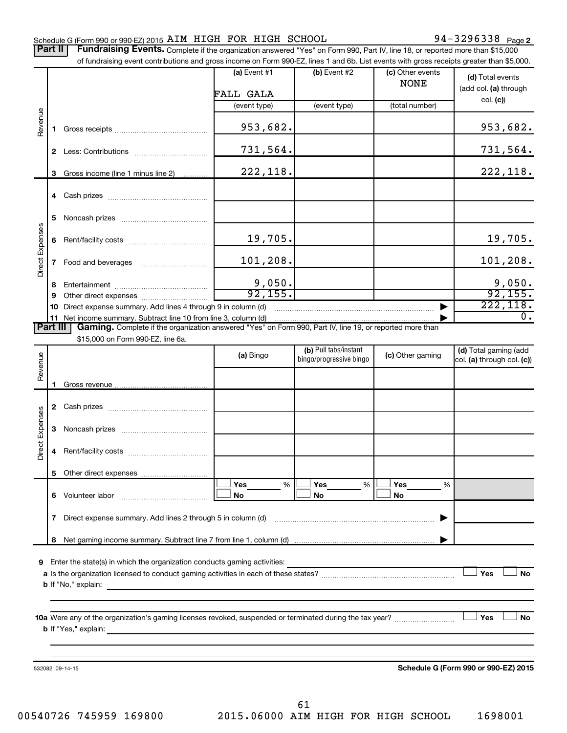#### Schedule G (Form 990 or 990-EZ) 2015  $\overline{\text{AIM}}$  HIGH  $\overline{\text{FOR}}$  HIGH  $\overline{\text{SCHOOL}}$  94 - 3296338  $\overline{\text{Page}}$

94-3296338 Page 2

| <b>Part II</b>   Fundraising Events. Complete if the organization answered "Yes" on Form 990, Part IV, line 18, or reported more than \$15,000 |
|------------------------------------------------------------------------------------------------------------------------------------------------|
| of fundraising event contributions and gross income on Form 990-FZ, lines 1 and 6b. List events with gross receipts greater than \$5,000       |

|                 |    | of fundraising event contributions and gross income on Form 990-EZ, lines 1 and 6b. List events with gross receipts greater than \$5,000.                                   |                   |                         |                                 |                                      |
|-----------------|----|-----------------------------------------------------------------------------------------------------------------------------------------------------------------------------|-------------------|-------------------------|---------------------------------|--------------------------------------|
|                 |    |                                                                                                                                                                             | $(a)$ Event #1    | $(b)$ Event #2          | (c) Other events<br><b>NONE</b> | (d) Total events                     |
| Revenue         |    |                                                                                                                                                                             | FALL GALA         |                         |                                 | (add col. (a) through                |
|                 |    |                                                                                                                                                                             | (event type)      | (event type)            | (total number)                  | col. (c)                             |
|                 |    |                                                                                                                                                                             |                   |                         |                                 |                                      |
|                 | 1. |                                                                                                                                                                             | 953,682.          |                         |                                 | 953,682.                             |
|                 |    |                                                                                                                                                                             | 731,564.          |                         |                                 | 731,564.                             |
|                 |    |                                                                                                                                                                             |                   |                         |                                 |                                      |
|                 | 3  | Gross income (line 1 minus line 2)                                                                                                                                          | 222,118.          |                         |                                 | 222,118.                             |
|                 |    |                                                                                                                                                                             |                   |                         |                                 |                                      |
|                 |    |                                                                                                                                                                             |                   |                         |                                 |                                      |
|                 | 5  |                                                                                                                                                                             |                   |                         |                                 |                                      |
|                 |    |                                                                                                                                                                             |                   |                         |                                 |                                      |
|                 | 6  |                                                                                                                                                                             | 19,705.           |                         |                                 | 19,705.                              |
| Direct Expenses | 7  |                                                                                                                                                                             | 101,208.          |                         |                                 | 101, 208.                            |
|                 |    |                                                                                                                                                                             |                   |                         |                                 |                                      |
|                 | 8  |                                                                                                                                                                             | 9,050.<br>92,155. |                         |                                 | $\frac{9,050}{92,155}$               |
|                 | 9  |                                                                                                                                                                             |                   |                         |                                 |                                      |
|                 | 10 | Direct expense summary. Add lines 4 through 9 in column (d)                                                                                                                 |                   |                         |                                 | 222,118.<br>0.                       |
| <b>Part III</b> |    | 11 Net income summary. Subtract line 10 from line 3, column (d)<br>Gaming. Complete if the organization answered "Yes" on Form 990, Part IV, line 19, or reported more than |                   |                         |                                 |                                      |
|                 |    | \$15,000 on Form 990-EZ, line 6a.                                                                                                                                           |                   |                         |                                 |                                      |
|                 |    |                                                                                                                                                                             | (a) Bingo         | (b) Pull tabs/instant   | (c) Other gaming                | (d) Total gaming (add                |
| Revenue         |    |                                                                                                                                                                             |                   | bingo/progressive bingo |                                 | col. (a) through col. (c))           |
|                 |    |                                                                                                                                                                             |                   |                         |                                 |                                      |
|                 | 1. |                                                                                                                                                                             |                   |                         |                                 |                                      |
|                 |    |                                                                                                                                                                             |                   |                         |                                 |                                      |
|                 |    |                                                                                                                                                                             |                   |                         |                                 |                                      |
|                 | 3  |                                                                                                                                                                             |                   |                         |                                 |                                      |
| Direct Expenses | 4  |                                                                                                                                                                             |                   |                         |                                 |                                      |
|                 |    |                                                                                                                                                                             |                   |                         |                                 |                                      |
|                 |    |                                                                                                                                                                             |                   |                         |                                 |                                      |
|                 |    |                                                                                                                                                                             | %<br>Yes          | Yes<br>%                | Yes<br>%                        |                                      |
|                 | 6. | Volunteer labor                                                                                                                                                             | No                | No                      | No                              |                                      |
|                 | 7  | Direct expense summary. Add lines 2 through 5 in column (d)                                                                                                                 |                   |                         |                                 |                                      |
|                 |    |                                                                                                                                                                             |                   |                         |                                 |                                      |
|                 |    |                                                                                                                                                                             |                   |                         |                                 |                                      |
|                 |    |                                                                                                                                                                             |                   |                         |                                 |                                      |
| 9               |    | Enter the state(s) in which the organization conducts gaming activities:                                                                                                    |                   |                         |                                 | Yes<br><b>No</b>                     |
|                 |    | <b>b</b> If "No," explain:<br><u> 1989 - Johann Stoff, fransk politiker (d. 1989)</u>                                                                                       |                   |                         |                                 |                                      |
|                 |    |                                                                                                                                                                             |                   |                         |                                 |                                      |
|                 |    |                                                                                                                                                                             |                   |                         |                                 |                                      |
|                 |    |                                                                                                                                                                             |                   |                         |                                 | Yes<br>No                            |
|                 |    |                                                                                                                                                                             |                   |                         |                                 |                                      |
|                 |    |                                                                                                                                                                             |                   |                         |                                 |                                      |
|                 |    |                                                                                                                                                                             |                   |                         |                                 |                                      |
|                 |    | 532082 09-14-15                                                                                                                                                             |                   |                         |                                 | Schedule G (Form 990 or 990-EZ) 2015 |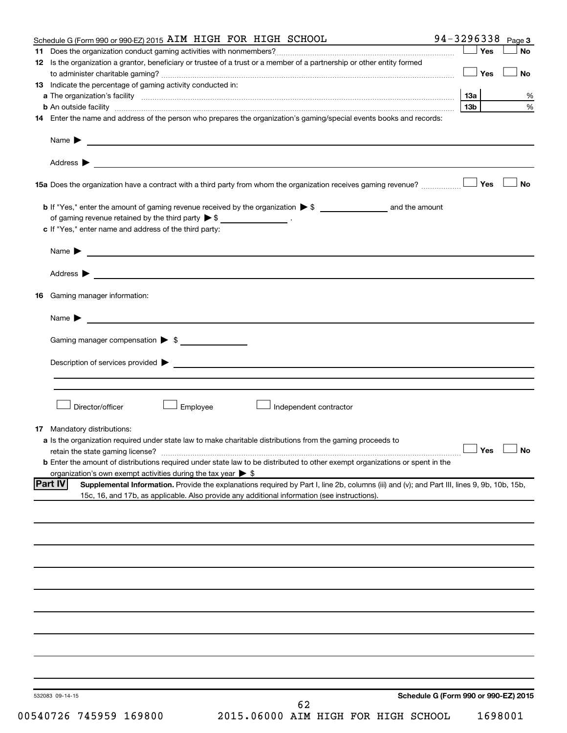|    | Schedule G (Form 990 or 990-EZ) 2015 AIM HIGH FOR HIGH SCHOOL                                                                                                                                                                  | 94-3296338  | Page 3    |
|----|--------------------------------------------------------------------------------------------------------------------------------------------------------------------------------------------------------------------------------|-------------|-----------|
|    |                                                                                                                                                                                                                                | <b>」Yes</b> | No        |
|    | 12 Is the organization a grantor, beneficiary or trustee of a trust or a member of a partnership or other entity formed                                                                                                        |             |           |
|    |                                                                                                                                                                                                                                | ⊥ Yes       | <b>No</b> |
|    | <b>13</b> Indicate the percentage of gaming activity conducted in:                                                                                                                                                             |             |           |
|    | a The organization's facility www.communication.communications are produced as the organization's facility www.communications and a strategy of the strategy of the strategy of the strategy of the strategy of the strategy o | 13а         |           |
|    |                                                                                                                                                                                                                                | 13b l       |           |
|    | 14 Enter the name and address of the person who prepares the organization's gaming/special events books and records:                                                                                                           |             |           |
|    |                                                                                                                                                                                                                                |             |           |
|    |                                                                                                                                                                                                                                |             |           |
|    |                                                                                                                                                                                                                                |             |           |
|    |                                                                                                                                                                                                                                |             |           |
|    |                                                                                                                                                                                                                                |             |           |
|    |                                                                                                                                                                                                                                |             | No        |
|    |                                                                                                                                                                                                                                |             |           |
|    | of gaming revenue retained by the third party $\triangleright$ \$ __________________.                                                                                                                                          |             |           |
|    | c If "Yes," enter name and address of the third party:                                                                                                                                                                         |             |           |
|    |                                                                                                                                                                                                                                |             |           |
|    |                                                                                                                                                                                                                                |             |           |
|    |                                                                                                                                                                                                                                |             |           |
|    |                                                                                                                                                                                                                                |             |           |
| 16 | Gaming manager information:                                                                                                                                                                                                    |             |           |
|    |                                                                                                                                                                                                                                |             |           |
|    | Name $\blacktriangleright$                                                                                                                                                                                                     |             |           |
|    |                                                                                                                                                                                                                                |             |           |
|    | Gaming manager compensation > \$                                                                                                                                                                                               |             |           |
|    |                                                                                                                                                                                                                                |             |           |
|    | Description of services provided to the contract of the contract of the contract of the contract of the contract of the contract of the contract of the contract of the contract of the contract of the contract of the contra |             |           |
|    |                                                                                                                                                                                                                                |             |           |
|    |                                                                                                                                                                                                                                |             |           |
|    |                                                                                                                                                                                                                                |             |           |
|    | Director/officer<br>Employee<br>Independent contractor                                                                                                                                                                         |             |           |
|    |                                                                                                                                                                                                                                |             |           |
| 17 | Mandatory distributions:                                                                                                                                                                                                       |             |           |
|    | a Is the organization required under state law to make charitable distributions from the gaming proceeds to                                                                                                                    |             |           |
|    | retain the state gaming license? $\Box$ No                                                                                                                                                                                     |             |           |
|    | <b>b</b> Enter the amount of distributions required under state law to be distributed to other exempt organizations or spent in the                                                                                            |             |           |
|    | organization's own exempt activities during the tax year $\triangleright$ \$                                                                                                                                                   |             |           |
|    | Supplemental Information. Provide the explanations required by Part I, line 2b, columns (iii) and (v); and Part III, lines 9, 9b, 10b, 15b,<br><b>Part IV</b>                                                                  |             |           |
|    | 15c, 16, and 17b, as applicable. Also provide any additional information (see instructions).                                                                                                                                   |             |           |
|    |                                                                                                                                                                                                                                |             |           |
|    |                                                                                                                                                                                                                                |             |           |
|    |                                                                                                                                                                                                                                |             |           |
|    |                                                                                                                                                                                                                                |             |           |
|    |                                                                                                                                                                                                                                |             |           |
|    |                                                                                                                                                                                                                                |             |           |
|    |                                                                                                                                                                                                                                |             |           |
|    |                                                                                                                                                                                                                                |             |           |
|    |                                                                                                                                                                                                                                |             |           |
|    |                                                                                                                                                                                                                                |             |           |
|    |                                                                                                                                                                                                                                |             |           |
|    |                                                                                                                                                                                                                                |             |           |
|    |                                                                                                                                                                                                                                |             |           |
|    |                                                                                                                                                                                                                                |             |           |
|    |                                                                                                                                                                                                                                |             |           |
|    |                                                                                                                                                                                                                                |             |           |
|    | Schedule G (Form 990 or 990-EZ) 2015<br>532083 09-14-15                                                                                                                                                                        |             |           |
|    | 62                                                                                                                                                                                                                             |             |           |
|    | 2015.06000 AIM HIGH FOR HIGH SCHOOL<br>00540726 745959 169800                                                                                                                                                                  |             | 1698001   |
|    |                                                                                                                                                                                                                                |             |           |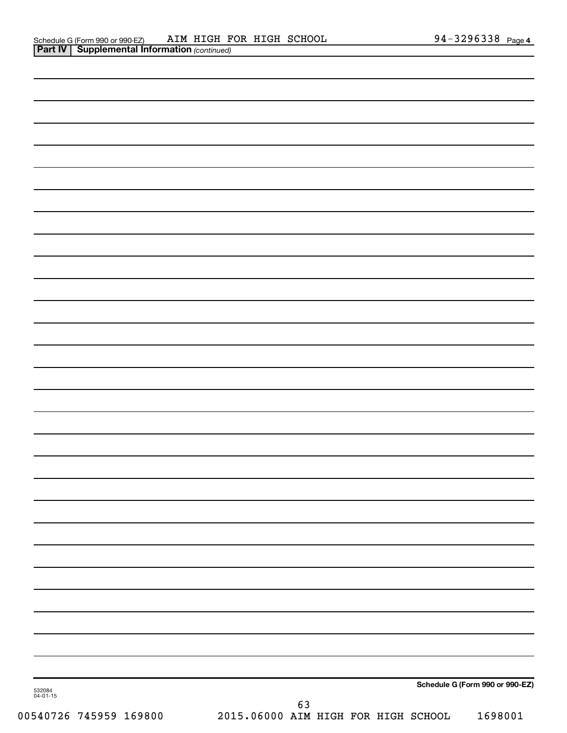| 532084<br>04-01-15     | Schedule G (Form 990 or 990-EZ)                      |
|------------------------|------------------------------------------------------|
| 00540726 745959 169800 | 63<br>2015.06000 AIM HIGH FOR HIGH SCHOOL<br>1698001 |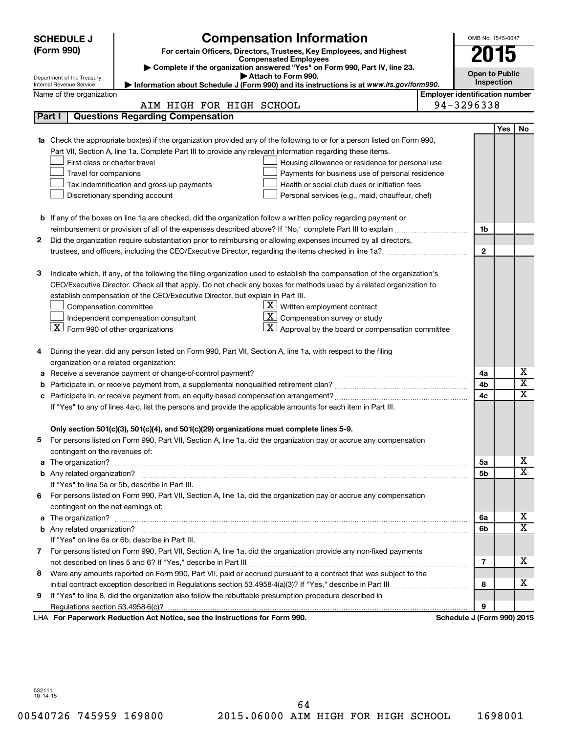|   | <b>SCHEDULE J</b>                                                                                                                                               | <b>Compensation Information</b>                                                                                                  |  | OMB No. 1545-0047                     |            |                              |  |  |  |  |
|---|-----------------------------------------------------------------------------------------------------------------------------------------------------------------|----------------------------------------------------------------------------------------------------------------------------------|--|---------------------------------------|------------|------------------------------|--|--|--|--|
|   | (Form 990)<br>For certain Officers, Directors, Trustees, Key Employees, and Highest                                                                             |                                                                                                                                  |  |                                       |            |                              |  |  |  |  |
|   | <b>Compensated Employees</b><br>Complete if the organization answered "Yes" on Form 990, Part IV, line 23.                                                      |                                                                                                                                  |  |                                       |            |                              |  |  |  |  |
|   | <b>Open to Public</b><br>Attach to Form 990.                                                                                                                    |                                                                                                                                  |  |                                       |            |                              |  |  |  |  |
|   | Department of the Treasury<br>Inspection<br>Internal Revenue Service<br>Information about Schedule J (Form 990) and its instructions is at www.irs.gov/form990. |                                                                                                                                  |  |                                       |            |                              |  |  |  |  |
|   | Name of the organization                                                                                                                                        |                                                                                                                                  |  | <b>Employer identification number</b> |            |                              |  |  |  |  |
|   |                                                                                                                                                                 | AIM HIGH FOR HIGH SCHOOL                                                                                                         |  | 94-3296338                            |            |                              |  |  |  |  |
|   | Part I                                                                                                                                                          | <b>Questions Regarding Compensation</b>                                                                                          |  |                                       |            |                              |  |  |  |  |
|   |                                                                                                                                                                 |                                                                                                                                  |  |                                       | <b>Yes</b> | No                           |  |  |  |  |
|   |                                                                                                                                                                 | <b>1a</b> Check the appropriate box(es) if the organization provided any of the following to or for a person listed on Form 990, |  |                                       |            |                              |  |  |  |  |
|   |                                                                                                                                                                 | Part VII, Section A, line 1a. Complete Part III to provide any relevant information regarding these items.                       |  |                                       |            |                              |  |  |  |  |
|   | First-class or charter travel                                                                                                                                   | Housing allowance or residence for personal use                                                                                  |  |                                       |            |                              |  |  |  |  |
|   | Travel for companions                                                                                                                                           | Payments for business use of personal residence                                                                                  |  |                                       |            |                              |  |  |  |  |
|   |                                                                                                                                                                 | Tax indemnification and gross-up payments<br>Health or social club dues or initiation fees                                       |  |                                       |            |                              |  |  |  |  |
|   |                                                                                                                                                                 | Personal services (e.g., maid, chauffeur, chef)<br>Discretionary spending account                                                |  |                                       |            |                              |  |  |  |  |
|   |                                                                                                                                                                 |                                                                                                                                  |  |                                       |            |                              |  |  |  |  |
|   |                                                                                                                                                                 | <b>b</b> If any of the boxes on line 1a are checked, did the organization follow a written policy regarding payment or           |  |                                       |            |                              |  |  |  |  |
|   |                                                                                                                                                                 |                                                                                                                                  |  | 1b                                    |            |                              |  |  |  |  |
| 2 |                                                                                                                                                                 | Did the organization require substantiation prior to reimbursing or allowing expenses incurred by all directors,                 |  |                                       |            |                              |  |  |  |  |
|   |                                                                                                                                                                 |                                                                                                                                  |  | $\mathbf{2}$                          |            |                              |  |  |  |  |
|   |                                                                                                                                                                 |                                                                                                                                  |  |                                       |            |                              |  |  |  |  |
| 3 |                                                                                                                                                                 | Indicate which, if any, of the following the filing organization used to establish the compensation of the organization's        |  |                                       |            |                              |  |  |  |  |
|   |                                                                                                                                                                 | CEO/Executive Director. Check all that apply. Do not check any boxes for methods used by a related organization to               |  |                                       |            |                              |  |  |  |  |
|   |                                                                                                                                                                 | establish compensation of the CEO/Executive Director, but explain in Part III.                                                   |  |                                       |            |                              |  |  |  |  |
|   | Compensation committee                                                                                                                                          | $\underline{\mathbf{X}}$ Written employment contract                                                                             |  |                                       |            |                              |  |  |  |  |
|   |                                                                                                                                                                 | $\underline{\mathbf{X}}$ Compensation survey or study<br>Independent compensation consultant                                     |  |                                       |            |                              |  |  |  |  |
|   | $ \mathbf{X} $ Form 990 of other organizations                                                                                                                  | $ \mathbf{X} $ Approval by the board or compensation committee                                                                   |  |                                       |            |                              |  |  |  |  |
|   |                                                                                                                                                                 |                                                                                                                                  |  |                                       |            |                              |  |  |  |  |
| 4 |                                                                                                                                                                 | During the year, did any person listed on Form 990, Part VII, Section A, line 1a, with respect to the filing                     |  |                                       |            |                              |  |  |  |  |
|   | organization or a related organization:                                                                                                                         |                                                                                                                                  |  |                                       |            |                              |  |  |  |  |
| а |                                                                                                                                                                 | Receive a severance payment or change-of-control payment?                                                                        |  | 4a                                    |            | х<br>$\overline{\textbf{x}}$ |  |  |  |  |
| b |                                                                                                                                                                 |                                                                                                                                  |  | 4b<br>4c                              |            | $\overline{\textbf{x}}$      |  |  |  |  |
|   |                                                                                                                                                                 |                                                                                                                                  |  |                                       |            |                              |  |  |  |  |
|   |                                                                                                                                                                 | If "Yes" to any of lines 4a-c, list the persons and provide the applicable amounts for each item in Part III.                    |  |                                       |            |                              |  |  |  |  |
|   |                                                                                                                                                                 |                                                                                                                                  |  |                                       |            |                              |  |  |  |  |
|   |                                                                                                                                                                 | Only section 501(c)(3), 501(c)(4), and 501(c)(29) organizations must complete lines 5-9.                                         |  |                                       |            |                              |  |  |  |  |
|   |                                                                                                                                                                 | For persons listed on Form 990, Part VII, Section A, line 1a, did the organization pay or accrue any compensation                |  |                                       |            |                              |  |  |  |  |
|   | contingent on the revenues of:                                                                                                                                  |                                                                                                                                  |  | 5а                                    |            | х                            |  |  |  |  |
|   |                                                                                                                                                                 |                                                                                                                                  |  | 5b                                    |            | х                            |  |  |  |  |
|   |                                                                                                                                                                 | If "Yes" to line 5a or 5b, describe in Part III.                                                                                 |  |                                       |            |                              |  |  |  |  |
|   |                                                                                                                                                                 | 6 For persons listed on Form 990, Part VII, Section A, line 1a, did the organization pay or accrue any compensation              |  |                                       |            |                              |  |  |  |  |
|   | contingent on the net earnings of:                                                                                                                              |                                                                                                                                  |  |                                       |            |                              |  |  |  |  |
|   |                                                                                                                                                                 |                                                                                                                                  |  | 6a                                    |            | х                            |  |  |  |  |
|   |                                                                                                                                                                 |                                                                                                                                  |  | 6b                                    |            | х                            |  |  |  |  |
|   |                                                                                                                                                                 | If "Yes" on line 6a or 6b, describe in Part III.                                                                                 |  |                                       |            |                              |  |  |  |  |
|   |                                                                                                                                                                 | 7 For persons listed on Form 990, Part VII, Section A, line 1a, did the organization provide any non-fixed payments              |  |                                       |            |                              |  |  |  |  |
|   |                                                                                                                                                                 |                                                                                                                                  |  | 7                                     |            | х                            |  |  |  |  |
|   |                                                                                                                                                                 | 8 Were any amounts reported on Form 990, Part VII, paid or accrued pursuant to a contract that was subject to the                |  |                                       |            |                              |  |  |  |  |
|   |                                                                                                                                                                 |                                                                                                                                  |  | 8                                     |            | х                            |  |  |  |  |
| 9 |                                                                                                                                                                 | If "Yes" to line 8, did the organization also follow the rebuttable presumption procedure described in                           |  |                                       |            |                              |  |  |  |  |
|   |                                                                                                                                                                 |                                                                                                                                  |  | 9                                     |            |                              |  |  |  |  |
|   |                                                                                                                                                                 | LHA For Paperwork Reduction Act Notice, see the Instructions for Form 990.                                                       |  | Schedule J (Form 990) 2015            |            |                              |  |  |  |  |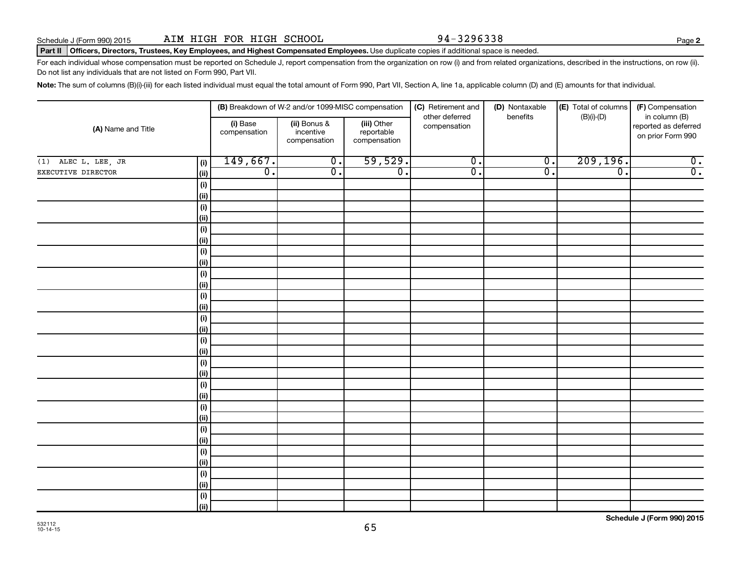#### Part II | Officers, Directors, Trustees, Key Employees, and Highest Compensated Employees. Use duplicate copies if additional space is needed.

For each individual whose compensation must be reported on Schedule J, report compensation from the organization on row (i) and from related organizations, described in the instructions, on row (ii). Do not list any individuals that are not listed on Form 990, Part VII.

Note: The sum of columns (B)(i)-(iii) for each listed individual must equal the total amount of Form 990, Part VII, Section A, line 1a, applicable column (D) and (E) amounts for that individual.

| (A) Name and Title    |                    |                          | (B) Breakdown of W-2 and/or 1099-MISC compensation |                                           | (C) Retirement and<br>other deferred | (D) Nontaxable<br>benefits  | (E) Total of columns<br>$(B)(i)-(D)$ | (F) Compensation<br>in column (B)         |
|-----------------------|--------------------|--------------------------|----------------------------------------------------|-------------------------------------------|--------------------------------------|-----------------------------|--------------------------------------|-------------------------------------------|
|                       |                    | (i) Base<br>compensation | (ii) Bonus &<br>incentive<br>compensation          | (iii) Other<br>reportable<br>compensation | compensation                         |                             |                                      | reported as deferred<br>on prior Form 990 |
| $(1)$ ALEC L. LEE, JR | (i)                | 149,667.                 | $\overline{0}$ .                                   | 59,529.                                   | $\overline{0}$ .                     | $\overline{0}$ .            | 209, 196.                            | $\overline{0}$ .                          |
| EXECUTIVE DIRECTOR    | (ii)               | $\overline{0}$ .         | $\overline{0}$ .                                   | $\overline{0}$ .                          | $\overline{\mathfrak{o}}$ .          | $\overline{\mathfrak{o}}$ . | $\overline{0}$ .                     | $\overline{0}$ .                          |
|                       | (i)                |                          |                                                    |                                           |                                      |                             |                                      |                                           |
|                       | (ii)               |                          |                                                    |                                           |                                      |                             |                                      |                                           |
|                       | (i)                |                          |                                                    |                                           |                                      |                             |                                      |                                           |
|                       | (ii)               |                          |                                                    |                                           |                                      |                             |                                      |                                           |
|                       | (i)                |                          |                                                    |                                           |                                      |                             |                                      |                                           |
|                       | (ii)               |                          |                                                    |                                           |                                      |                             |                                      |                                           |
|                       | (i)                |                          |                                                    |                                           |                                      |                             |                                      |                                           |
|                       | (ii)               |                          |                                                    |                                           |                                      |                             |                                      |                                           |
|                       | $(\sf{i})$         |                          |                                                    |                                           |                                      |                             |                                      |                                           |
|                       | (ii)               |                          |                                                    |                                           |                                      |                             |                                      |                                           |
|                       | $(\sf{i})$         |                          |                                                    |                                           |                                      |                             |                                      |                                           |
|                       | (ii)               |                          |                                                    |                                           |                                      |                             |                                      |                                           |
|                       | $(\sf{i})$         |                          |                                                    |                                           |                                      |                             |                                      |                                           |
|                       | (ii)               |                          |                                                    |                                           |                                      |                             |                                      |                                           |
|                       | (i)                |                          |                                                    |                                           |                                      |                             |                                      |                                           |
|                       | (ii)               |                          |                                                    |                                           |                                      |                             |                                      |                                           |
|                       | $(\sf{i})$         |                          |                                                    |                                           |                                      |                             |                                      |                                           |
|                       | (ii)               |                          |                                                    |                                           |                                      |                             |                                      |                                           |
|                       | $(\sf{i})$<br>(ii) |                          |                                                    |                                           |                                      |                             |                                      |                                           |
|                       | $(\sf{i})$         |                          |                                                    |                                           |                                      |                             |                                      |                                           |
|                       | (ii)               |                          |                                                    |                                           |                                      |                             |                                      |                                           |
|                       | $(\sf{i})$         |                          |                                                    |                                           |                                      |                             |                                      |                                           |
|                       | (ii)               |                          |                                                    |                                           |                                      |                             |                                      |                                           |
|                       | $(\sf{i})$         |                          |                                                    |                                           |                                      |                             |                                      |                                           |
|                       | (ii)               |                          |                                                    |                                           |                                      |                             |                                      |                                           |
|                       | $(\sf{i})$         |                          |                                                    |                                           |                                      |                             |                                      |                                           |
|                       | (ii)               |                          |                                                    |                                           |                                      |                             |                                      |                                           |
|                       | $(\sf{i})$         |                          |                                                    |                                           |                                      |                             |                                      |                                           |
|                       | (ii)               |                          |                                                    |                                           |                                      |                             |                                      |                                           |
|                       |                    |                          |                                                    |                                           |                                      |                             |                                      |                                           |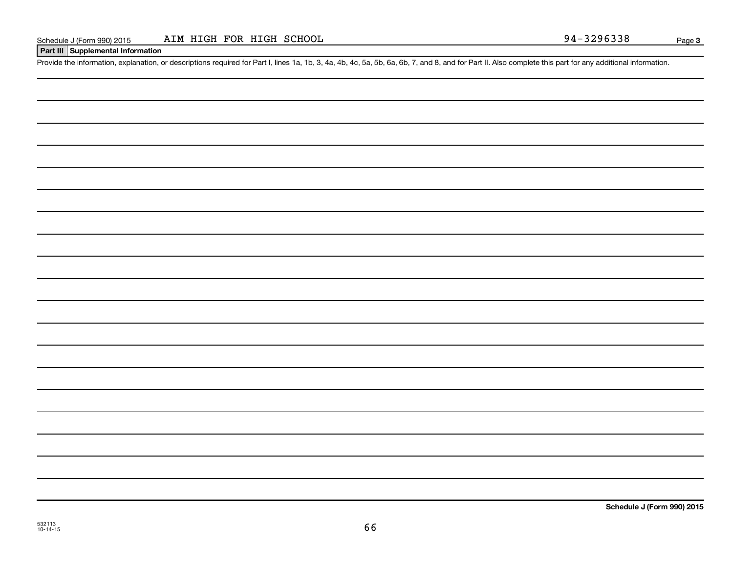#### **Part III Supplemental Information**

Provide the information, explanation, or descriptions required for Part I, lines 1a, 1b, 3, 4a, 4b, 4c, 5a, 5b, 6a, 6b, 7, and 8, and for Part II. Also complete this part for any additional information.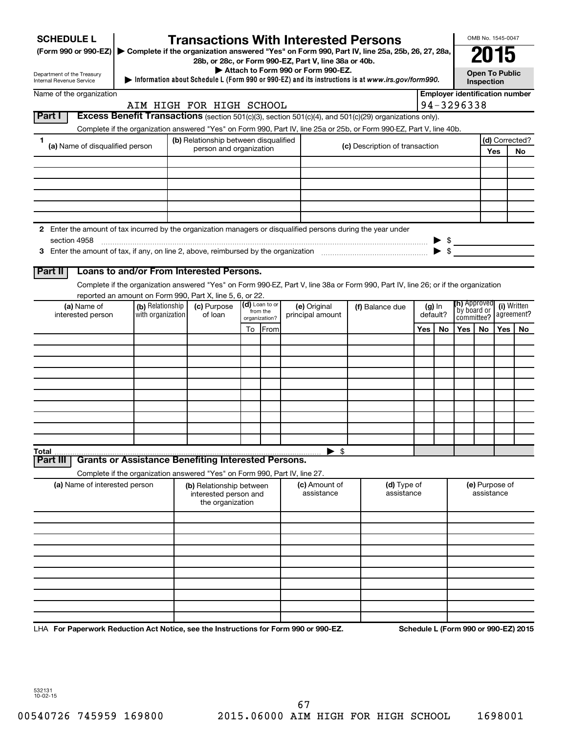| <b>SCHEDULE L</b>                                                                                                                                                           |                                                                            |  | <b>Transactions With Interested Persons</b>           |    |                            |  |                                    |  |                                                                                                                                    |            |                      |                             | OMB No. 1545-0047                   |     |                                      |
|-----------------------------------------------------------------------------------------------------------------------------------------------------------------------------|----------------------------------------------------------------------------|--|-------------------------------------------------------|----|----------------------------|--|------------------------------------|--|------------------------------------------------------------------------------------------------------------------------------------|------------|----------------------|-----------------------------|-------------------------------------|-----|--------------------------------------|
| (Form 990 or 990-EZ)                                                                                                                                                        |                                                                            |  | 28b, or 28c, or Form 990-EZ, Part V, line 38a or 40b. |    |                            |  |                                    |  | Complete if the organization answered "Yes" on Form 990, Part IV, line 25a, 25b, 26, 27, 28a,                                      |            |                      |                             | 2015                                |     |                                      |
| Department of the Treasury<br>Internal Revenue Service                                                                                                                      |                                                                            |  |                                                       |    |                            |  | Attach to Form 990 or Form 990-EZ. |  | Information about Schedule L (Form 990 or 990-EZ) and its instructions is at www.irs.gov/form990.                                  |            |                      |                             | <b>Open To Public</b><br>Inspection |     |                                      |
| <b>Employer identification number</b><br>Name of the organization                                                                                                           |                                                                            |  |                                                       |    |                            |  |                                    |  |                                                                                                                                    |            |                      |                             |                                     |     |                                      |
|                                                                                                                                                                             |                                                                            |  | AIM HIGH FOR HIGH SCHOOL                              |    |                            |  |                                    |  |                                                                                                                                    |            |                      | 94-3296338                  |                                     |     |                                      |
| Part I                                                                                                                                                                      |                                                                            |  |                                                       |    |                            |  |                                    |  | Excess Benefit Transactions (section 501(c)(3), section 501(c)(4), and 501(c)(29) organizations only).                             |            |                      |                             |                                     |     |                                      |
| 1                                                                                                                                                                           |                                                                            |  | (b) Relationship between disqualified                 |    |                            |  |                                    |  | Complete if the organization answered "Yes" on Form 990, Part IV, line 25a or 25b, or Form 990-EZ, Part V, line 40b.               |            |                      |                             |                                     |     | (d) Corrected?                       |
| (a) Name of disqualified person                                                                                                                                             |                                                                            |  | person and organization                               |    |                            |  |                                    |  | (c) Description of transaction                                                                                                     |            |                      |                             |                                     | Yes | No                                   |
|                                                                                                                                                                             |                                                                            |  |                                                       |    |                            |  |                                    |  |                                                                                                                                    |            |                      |                             |                                     |     |                                      |
|                                                                                                                                                                             |                                                                            |  |                                                       |    |                            |  |                                    |  |                                                                                                                                    |            |                      |                             |                                     |     |                                      |
|                                                                                                                                                                             |                                                                            |  |                                                       |    |                            |  |                                    |  |                                                                                                                                    |            |                      |                             |                                     |     |                                      |
|                                                                                                                                                                             |                                                                            |  |                                                       |    |                            |  |                                    |  |                                                                                                                                    |            |                      |                             |                                     |     |                                      |
|                                                                                                                                                                             |                                                                            |  |                                                       |    |                            |  |                                    |  |                                                                                                                                    |            |                      |                             |                                     |     |                                      |
| 2 Enter the amount of tax incurred by the organization managers or disqualified persons during the year under                                                               |                                                                            |  |                                                       |    |                            |  |                                    |  |                                                                                                                                    |            |                      |                             |                                     |     |                                      |
| section 4958                                                                                                                                                                |                                                                            |  |                                                       |    |                            |  |                                    |  |                                                                                                                                    |            |                      | $\blacktriangleright$ \$    |                                     |     |                                      |
| 3 Enter the amount of tax, if any, on line 2, above, reimbursed by the organization match match the amount of tax, if any, on line 2, above, reimbursed by the organization |                                                                            |  |                                                       |    |                            |  |                                    |  |                                                                                                                                    |            |                      |                             |                                     |     |                                      |
| Part II                                                                                                                                                                     | Loans to and/or From Interested Persons.                                   |  |                                                       |    |                            |  |                                    |  |                                                                                                                                    |            |                      |                             |                                     |     |                                      |
|                                                                                                                                                                             |                                                                            |  |                                                       |    |                            |  |                                    |  | Complete if the organization answered "Yes" on Form 990-EZ, Part V, line 38a or Form 990, Part IV, line 26; or if the organization |            |                      |                             |                                     |     |                                      |
|                                                                                                                                                                             | reported an amount on Form 990, Part X, line 5, 6, or 22.                  |  |                                                       |    |                            |  |                                    |  |                                                                                                                                    |            |                      |                             |                                     |     |                                      |
| (a) Name of<br>interested person                                                                                                                                            | (b) Relationship<br>with organization                                      |  | (c) Purpose<br>of loan                                |    | (d) Loan to or<br>from the |  | (e) Original<br>principal amount   |  | (f) Balance due                                                                                                                    |            | $(g)$ In<br>default? | (h) Approved<br>by board or |                                     |     | (i) Written<br>agreement?            |
|                                                                                                                                                                             |                                                                            |  |                                                       |    | organization?              |  |                                    |  |                                                                                                                                    |            |                      | committee?                  |                                     |     |                                      |
|                                                                                                                                                                             |                                                                            |  |                                                       | To | From                       |  |                                    |  |                                                                                                                                    | <b>Yes</b> | No                   | Yes l                       | No.                                 | Yes | No                                   |
|                                                                                                                                                                             |                                                                            |  |                                                       |    |                            |  |                                    |  |                                                                                                                                    |            |                      |                             |                                     |     |                                      |
|                                                                                                                                                                             |                                                                            |  |                                                       |    |                            |  |                                    |  |                                                                                                                                    |            |                      |                             |                                     |     |                                      |
|                                                                                                                                                                             |                                                                            |  |                                                       |    |                            |  |                                    |  |                                                                                                                                    |            |                      |                             |                                     |     |                                      |
|                                                                                                                                                                             |                                                                            |  |                                                       |    |                            |  |                                    |  |                                                                                                                                    |            |                      |                             |                                     |     |                                      |
|                                                                                                                                                                             |                                                                            |  |                                                       |    |                            |  |                                    |  |                                                                                                                                    |            |                      |                             |                                     |     |                                      |
|                                                                                                                                                                             |                                                                            |  |                                                       |    |                            |  |                                    |  |                                                                                                                                    |            |                      |                             |                                     |     |                                      |
|                                                                                                                                                                             |                                                                            |  |                                                       |    |                            |  |                                    |  |                                                                                                                                    |            |                      |                             |                                     |     |                                      |
|                                                                                                                                                                             |                                                                            |  |                                                       |    |                            |  |                                    |  |                                                                                                                                    |            |                      |                             |                                     |     |                                      |
| Total<br>Part III                                                                                                                                                           | <b>Grants or Assistance Benefiting Interested Persons.</b>                 |  |                                                       |    |                            |  | $\blacktriangleright$ \$           |  |                                                                                                                                    |            |                      |                             |                                     |     |                                      |
|                                                                                                                                                                             | Complete if the organization answered "Yes" on Form 990, Part IV, line 27. |  |                                                       |    |                            |  |                                    |  |                                                                                                                                    |            |                      |                             |                                     |     |                                      |
| (a) Name of interested person                                                                                                                                               |                                                                            |  | (b) Relationship between<br>interested person and     |    |                            |  | (c) Amount of<br>assistance        |  | (d) Type of<br>assistance                                                                                                          |            |                      |                             | (e) Purpose of<br>assistance        |     |                                      |
|                                                                                                                                                                             |                                                                            |  | the organization                                      |    |                            |  |                                    |  |                                                                                                                                    |            |                      |                             |                                     |     |                                      |
|                                                                                                                                                                             |                                                                            |  |                                                       |    |                            |  |                                    |  |                                                                                                                                    |            |                      |                             |                                     |     |                                      |
|                                                                                                                                                                             |                                                                            |  |                                                       |    |                            |  |                                    |  |                                                                                                                                    |            |                      |                             |                                     |     |                                      |
|                                                                                                                                                                             |                                                                            |  |                                                       |    |                            |  |                                    |  |                                                                                                                                    |            |                      |                             |                                     |     |                                      |
|                                                                                                                                                                             |                                                                            |  |                                                       |    |                            |  |                                    |  |                                                                                                                                    |            |                      |                             |                                     |     |                                      |
|                                                                                                                                                                             |                                                                            |  |                                                       |    |                            |  |                                    |  |                                                                                                                                    |            |                      |                             |                                     |     |                                      |
|                                                                                                                                                                             |                                                                            |  |                                                       |    |                            |  |                                    |  |                                                                                                                                    |            |                      |                             |                                     |     |                                      |
|                                                                                                                                                                             |                                                                            |  |                                                       |    |                            |  |                                    |  |                                                                                                                                    |            |                      |                             |                                     |     |                                      |
|                                                                                                                                                                             |                                                                            |  |                                                       |    |                            |  |                                    |  |                                                                                                                                    |            |                      |                             |                                     |     |                                      |
| LHA For Paperwork Reduction Act Notice, see the Instructions for Form 990 or 990-EZ.                                                                                        |                                                                            |  |                                                       |    |                            |  |                                    |  |                                                                                                                                    |            |                      |                             |                                     |     | Schedule L (Form 990 or 990-EZ) 2015 |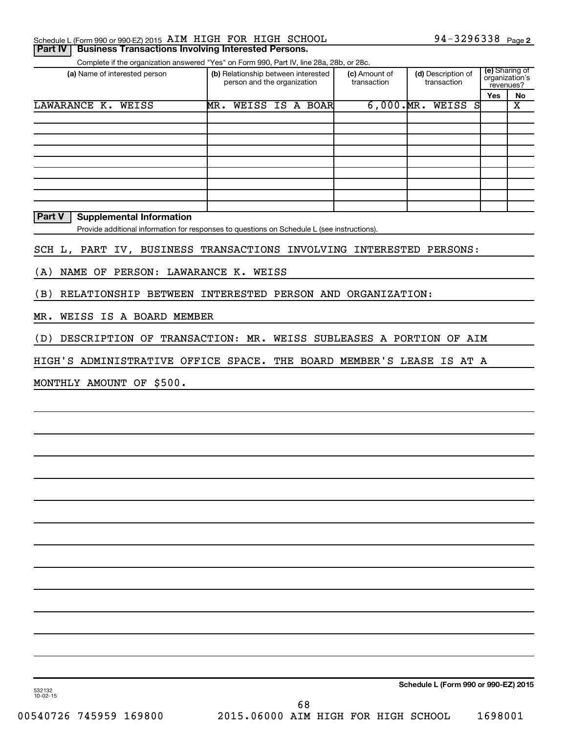| Schedule L (Form 990 or 990-EZ) 2015 AIM HIGH FOR HIGH SCHOOL        |  | $94 - 3296338$ Page 2 |  |
|----------------------------------------------------------------------|--|-----------------------|--|
| <b>Part IV   Business Transactions Involving Interested Persons.</b> |  |                       |  |

Complete if the organization answered "Yes" on Form 990, Part IV, line 28a, 28b, or 28c.

| (a) Name of interested person | (b) Relationship between interested<br>person and the organization | (d) Description of<br>(c) Amount of<br>transaction<br>transaction |         | revenues?  | (e) Sharing of<br>organization's |
|-------------------------------|--------------------------------------------------------------------|-------------------------------------------------------------------|---------|------------|----------------------------------|
|                               |                                                                    |                                                                   |         | <b>Yes</b> | No                               |
| LAWARANCE K. WEISS            | WEISS IS A BOAR<br>MR.                                             | $6,000 \,$ .MR.                                                   | WEISS S |            | х                                |
|                               |                                                                    |                                                                   |         |            |                                  |
|                               |                                                                    |                                                                   |         |            |                                  |
|                               |                                                                    |                                                                   |         |            |                                  |
|                               |                                                                    |                                                                   |         |            |                                  |
|                               |                                                                    |                                                                   |         |            |                                  |
|                               |                                                                    |                                                                   |         |            |                                  |
|                               |                                                                    |                                                                   |         |            |                                  |
|                               |                                                                    |                                                                   |         |            |                                  |
|                               |                                                                    |                                                                   |         |            |                                  |

**Part V Supplemental Information**

Provide additional information for responses to questions on Schedule L (see instructions).

SCH L, PART IV, BUSINESS TRANSACTIONS INVOLVING INTERESTED PERSONS:

(A) NAME OF PERSON: LAWARANCE K. WEISS

(B) RELATIONSHIP BETWEEN INTERESTED PERSON AND ORGANIZATION:

MR. WEISS IS A BOARD MEMBER

(D) DESCRIPTION OF TRANSACTION: MR. WEISS SUBLEASES A PORTION OF AIM

HIGH'S ADMINISTRATIVE OFFICE SPACE. THE BOARD MEMBER'S LEASE IS AT A

MONTHLY AMOUNT OF \$500.

**Schedule L (Form 990 or 990-EZ) 2015**

532132 10-02-15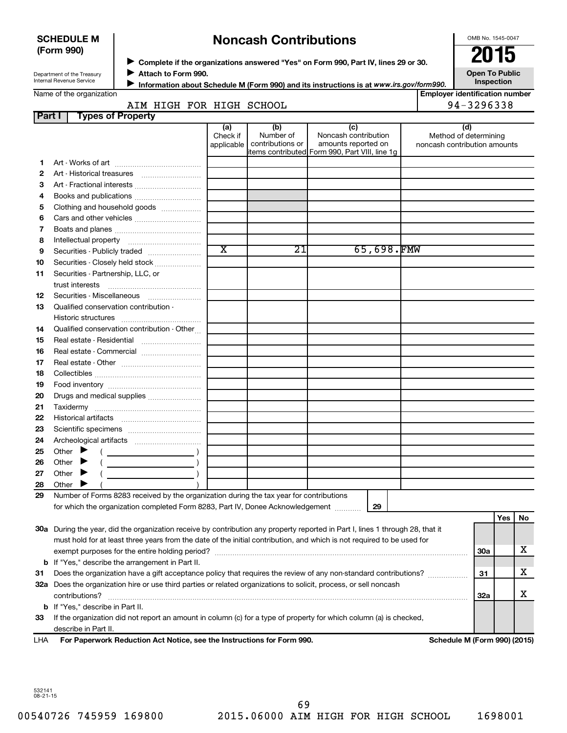| <b>SCHEDULE M</b> |  |
|-------------------|--|
| (Form 990)        |  |

## **Noncash Contributions**

OMB No. 1545-0047

| Department of the Treasury |
|----------------------------|
| Internal Revenue Service   |

◆ Complete if the organizations answered "Yes" on Form 990, Part IV, lines 29 or 30.<br>▶ Complete if the organizations answered "Yes" on Form 990, Part IV, lines 29 or 30. **Attach to Form 990.**  $\blacktriangleright$ 

**Open To Public Inspection**

| Name of the organization |  |
|--------------------------|--|
|--------------------------|--|

**Information about Schedule M (Form 990) and its instructions is at www.irs.gov/form990.** 

AIM HIGH FOR HIGH SCHOOL

| . |  |                                       |
|---|--|---------------------------------------|
|   |  | <b>Employer identification number</b> |
|   |  | 94-3296338                            |
|   |  |                                       |

| Part I | <b>Types of Property</b>                                                                                                                                                                                                             |                             |                                                   |                                                                                                      |                                                              |            |     |    |
|--------|--------------------------------------------------------------------------------------------------------------------------------------------------------------------------------------------------------------------------------------|-----------------------------|---------------------------------------------------|------------------------------------------------------------------------------------------------------|--------------------------------------------------------------|------------|-----|----|
|        |                                                                                                                                                                                                                                      | (a)<br>Check if             | (b)<br>Number of<br>applicable   contributions or | (c)<br>Noncash contribution<br>amounts reported on<br>items contributed Form 990, Part VIII, line 1g | (d)<br>Method of determining<br>noncash contribution amounts |            |     |    |
| 1.     |                                                                                                                                                                                                                                      |                             |                                                   |                                                                                                      |                                                              |            |     |    |
| 2      |                                                                                                                                                                                                                                      |                             |                                                   |                                                                                                      |                                                              |            |     |    |
| 3      | Art - Fractional interests                                                                                                                                                                                                           |                             |                                                   |                                                                                                      |                                                              |            |     |    |
| 4      |                                                                                                                                                                                                                                      |                             |                                                   |                                                                                                      |                                                              |            |     |    |
| 5      | Clothing and household goods                                                                                                                                                                                                         |                             |                                                   |                                                                                                      |                                                              |            |     |    |
| 6      | Cars and other vehicles                                                                                                                                                                                                              |                             |                                                   |                                                                                                      |                                                              |            |     |    |
| 7      |                                                                                                                                                                                                                                      |                             |                                                   |                                                                                                      |                                                              |            |     |    |
| 8      |                                                                                                                                                                                                                                      |                             |                                                   |                                                                                                      |                                                              |            |     |    |
| 9      | Securities - Publicly traded                                                                                                                                                                                                         | $\overline{\textnormal{x}}$ | 21                                                | 65,698.FMW                                                                                           |                                                              |            |     |    |
| 10     | Securities - Closely held stock                                                                                                                                                                                                      |                             |                                                   |                                                                                                      |                                                              |            |     |    |
| 11     | Securities - Partnership, LLC, or<br>trust interests                                                                                                                                                                                 |                             |                                                   |                                                                                                      |                                                              |            |     |    |
| 12     |                                                                                                                                                                                                                                      |                             |                                                   |                                                                                                      |                                                              |            |     |    |
| 13     | Qualified conservation contribution -                                                                                                                                                                                                |                             |                                                   |                                                                                                      |                                                              |            |     |    |
| 14     | Qualified conservation contribution - Other                                                                                                                                                                                          |                             |                                                   |                                                                                                      |                                                              |            |     |    |
| 15     | Real estate - Residential                                                                                                                                                                                                            |                             |                                                   |                                                                                                      |                                                              |            |     |    |
| 16     | Real estate - Commercial                                                                                                                                                                                                             |                             |                                                   |                                                                                                      |                                                              |            |     |    |
| 17     |                                                                                                                                                                                                                                      |                             |                                                   |                                                                                                      |                                                              |            |     |    |
| 18     |                                                                                                                                                                                                                                      |                             |                                                   |                                                                                                      |                                                              |            |     |    |
| 19     |                                                                                                                                                                                                                                      |                             |                                                   |                                                                                                      |                                                              |            |     |    |
| 20     | Drugs and medical supplies                                                                                                                                                                                                           |                             |                                                   |                                                                                                      |                                                              |            |     |    |
| 21     |                                                                                                                                                                                                                                      |                             |                                                   |                                                                                                      |                                                              |            |     |    |
| 22     |                                                                                                                                                                                                                                      |                             |                                                   |                                                                                                      |                                                              |            |     |    |
| 23     |                                                                                                                                                                                                                                      |                             |                                                   |                                                                                                      |                                                              |            |     |    |
| 24     |                                                                                                                                                                                                                                      |                             |                                                   |                                                                                                      |                                                              |            |     |    |
| 25     | Other $\blacktriangleright$                                                                                                                                                                                                          |                             |                                                   |                                                                                                      |                                                              |            |     |    |
| 26     | Other                                                                                                                                                                                                                                |                             |                                                   |                                                                                                      |                                                              |            |     |    |
| 27     | Other                                                                                                                                                                                                                                |                             |                                                   |                                                                                                      |                                                              |            |     |    |
| 28     | Other $\blacktriangleright$                                                                                                                                                                                                          |                             |                                                   |                                                                                                      |                                                              |            |     |    |
| 29     | Number of Forms 8283 received by the organization during the tax year for contributions<br>for which the organization completed Form 8283, Part IV, Donee Acknowledgement                                                            |                             |                                                   | 29                                                                                                   |                                                              |            |     |    |
|        |                                                                                                                                                                                                                                      |                             |                                                   |                                                                                                      |                                                              |            | Yes | No |
|        | 30a During the year, did the organization receive by contribution any property reported in Part I, lines 1 through 28, that it                                                                                                       |                             |                                                   |                                                                                                      |                                                              |            |     |    |
|        | must hold for at least three years from the date of the initial contribution, and which is not required to be used for                                                                                                               |                             |                                                   |                                                                                                      |                                                              |            |     |    |
|        |                                                                                                                                                                                                                                      |                             |                                                   |                                                                                                      |                                                              | <b>30a</b> |     | x  |
|        | <b>b</b> If "Yes," describe the arrangement in Part II.                                                                                                                                                                              |                             |                                                   |                                                                                                      |                                                              |            |     |    |
| 31     | Does the organization have a gift acceptance policy that requires the review of any non-standard contributions?<br>32a Does the organization hire or use third parties or related organizations to solicit, process, or sell noncash |                             |                                                   |                                                                                                      |                                                              | 31         |     | х  |
|        | contributions?                                                                                                                                                                                                                       |                             |                                                   |                                                                                                      |                                                              | 32a        |     | х  |
|        | <b>b</b> If "Yes," describe in Part II.                                                                                                                                                                                              |                             |                                                   |                                                                                                      |                                                              |            |     |    |
| 33     | If the organization did not report an amount in column (c) for a type of property for which column (a) is checked,                                                                                                                   |                             |                                                   |                                                                                                      |                                                              |            |     |    |
|        | describe in Part II.                                                                                                                                                                                                                 |                             |                                                   |                                                                                                      |                                                              |            |     |    |

**For Paperwork Reduction Act Notice, see the Instructions for Form 990. Schedule M (Form 990) (2015)** LHA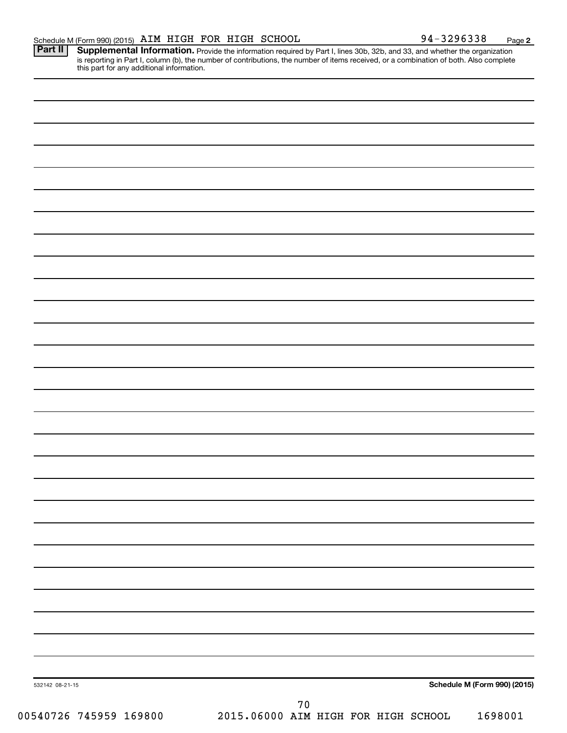Provide the information required by Part I, lines 30b, 32b, and 33, and whether the organization is reporting in Part I, column (b), the number of contributions, the number of items received, or a combination of both. Also complete this part for any additional information. **Part II Supplemental Information.** 

| 532142 08-21-15        | <b>Schedule M (Form 990) (2015)</b>                    |
|------------------------|--------------------------------------------------------|
|                        |                                                        |
| 00540726 745959 169800 | $70$<br>2015.06000 AIM HIGH FOR HIGH SCHOOL<br>1698001 |
|                        |                                                        |